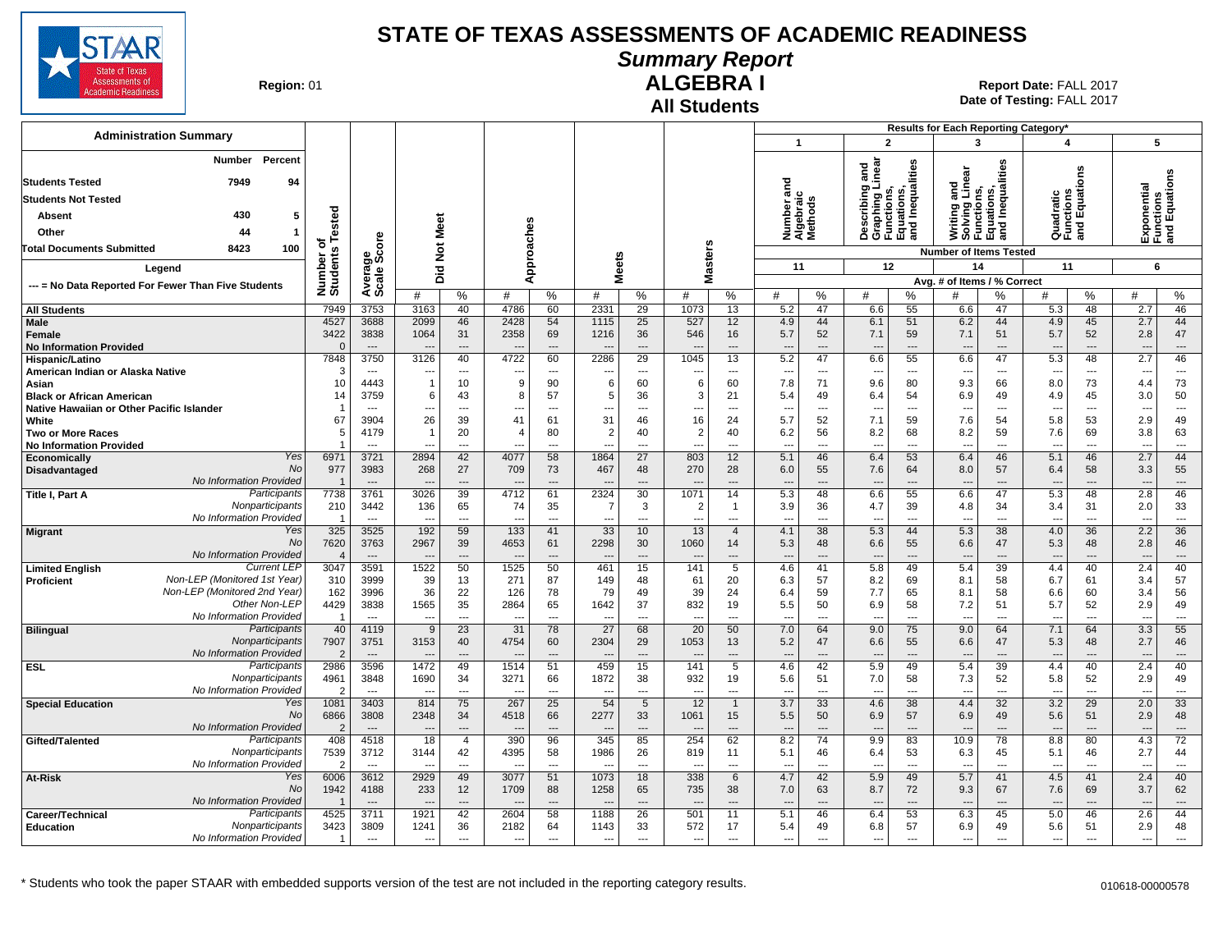

## **Summary Report**

**Region: 01** 

#### **All Students ALGEBRA I**

**Date of Testing:**  FALL 2017 01 **Report Date:** FALL 2017

|                                                                              |                          |                                          |                                          |                                      |                                          |                      |                                          |                                |                                  |                      |                                        |                          |                                                                        |                                      | Results for Each Reporting Category'                                          |                          |                                        |                          |                                           |                                      |
|------------------------------------------------------------------------------|--------------------------|------------------------------------------|------------------------------------------|--------------------------------------|------------------------------------------|----------------------|------------------------------------------|--------------------------------|----------------------------------|----------------------|----------------------------------------|--------------------------|------------------------------------------------------------------------|--------------------------------------|-------------------------------------------------------------------------------|--------------------------|----------------------------------------|--------------------------|-------------------------------------------|--------------------------------------|
| <b>Administration Summary</b>                                                |                          |                                          |                                          |                                      |                                          |                      |                                          |                                |                                  |                      | $\mathbf{1}$                           |                          | $\overline{2}$                                                         |                                      | 3                                                                             |                          | 4                                      |                          | 5                                         |                                      |
| Percent<br><b>Number</b><br><b>Students Tested</b><br>7949<br>94             |                          |                                          |                                          |                                      |                                          |                      |                                          |                                |                                  |                      | ਠ<br>೯                                 |                          | inear<br>and                                                           | Inequalities                         | Writing and<br>Solving Linear<br>Functions,<br>Equations,<br>and Inequalities | Inequalities             |                                        | es<br>ons                | Exponential<br>Functions<br>and Equations |                                      |
| <b>Students Not Tested</b>                                                   |                          |                                          |                                          |                                      |                                          |                      |                                          |                                |                                  |                      |                                        |                          |                                                                        |                                      |                                                                               |                          |                                        |                          |                                           |                                      |
| 430<br><b>Absent</b><br>5                                                    | ested                    |                                          |                                          |                                      |                                          |                      |                                          |                                |                                  |                      | umber ar<br>Igebraic<br>Iethods        |                          | Describing<br>Graphing Lii<br>Functions,<br>Equations,<br>and Inequali |                                      |                                                                               |                          | Quadratic<br>Functions<br>and Equati   |                          |                                           |                                      |
| 44<br>Other<br>-1                                                            |                          |                                          | Meet                                     |                                      |                                          |                      |                                          |                                |                                  |                      | z∢∑                                    |                          |                                                                        |                                      |                                                                               |                          |                                        |                          |                                           |                                      |
| 100<br>8423<br><b>Total Documents Submitted</b>                              | ۴<br>৳                   | ge<br>Score                              | $\check{\mathbf{z}}$                     |                                      |                                          |                      |                                          |                                |                                  |                      |                                        |                          |                                                                        |                                      | <b>Number of Items Tested</b>                                                 |                          |                                        |                          |                                           |                                      |
|                                                                              |                          |                                          |                                          |                                      |                                          |                      |                                          |                                |                                  |                      | 11                                     |                          |                                                                        | 12                                   | 14                                                                            |                          | 11                                     |                          | 6                                         |                                      |
| Legend                                                                       |                          |                                          | Did                                      |                                      |                                          | Approaches           |                                          | <b>Meets</b>                   | <b>Masters</b>                   |                      |                                        |                          |                                                                        |                                      | Avg. # of Items / % Correct                                                   |                          |                                        |                          |                                           |                                      |
| --- = No Data Reported For Fewer Than Five Students                          | Number o<br>Students     | Averag<br>Scale                          | #                                        | %                                    | #                                        | %                    | #                                        | %                              | #                                | %                    | #                                      | %                        | #                                                                      | %                                    | #                                                                             | %                        | #                                      | %                        | #                                         | %                                    |
| <b>All Students</b>                                                          | 7949                     | 3753                                     | 3163                                     | 40                                   | 4786                                     | 60                   | 2331                                     | 29                             | 1073                             | 13                   | 5.2                                    | 47                       | 6.6                                                                    | 55                                   | 6.6                                                                           | 47                       | 5.3                                    | 48                       | 2.7                                       | 46                                   |
| <b>Male</b><br>Female<br><b>No Information Provided</b>                      | 4527<br>3422<br>$\Omega$ | 3688<br>3838<br>$\overline{\phantom{a}}$ | 2099<br>1064<br>$\overline{\phantom{a}}$ | 46<br>31<br>$\overline{\phantom{a}}$ | 2428<br>2358<br>$\overline{\phantom{a}}$ | 54<br>69<br>$---$    | 1115<br>1216<br>$\overline{\phantom{a}}$ | 25<br>36<br>---                | 527<br>546<br>---                | 12<br>16<br>$---$    | 4.9<br>5.7<br>$\overline{\phantom{a}}$ | 44<br>52<br>$---$        | 6.1<br>7.1<br>$\overline{\phantom{a}}$                                 | 51<br>59<br>$\overline{\phantom{a}}$ | 6.2<br>7.1<br>$\overline{\phantom{a}}$                                        | 44<br>51<br>$\cdots$     | 4.9<br>5.7<br>$\overline{\phantom{a}}$ | 45<br>52<br>$---$        | 2.7<br>2.8<br>---                         | 44<br>47<br>$\hspace{0.05cm} \ldots$ |
| Hispanic/Latino                                                              | 7848                     | 3750                                     | 3126                                     | 40                                   | 4722                                     | 60                   | 2286                                     | 29                             | 1045                             | 13                   | 5.2                                    | 47                       | 6.6                                                                    | 55                                   | 6.6                                                                           | 47                       | 5.3                                    | 48                       | 2.7                                       | 46                                   |
| American Indian or Alaska Native                                             | 3                        | $---$                                    | ---                                      | ---                                  | $\overline{\phantom{a}}$                 | $---$                | ---                                      | ---                            | ---                              | $---$                | $\overline{\phantom{a}}$               | $\overline{\phantom{a}}$ | $\overline{\phantom{a}}$                                               | $\overline{\phantom{a}}$             | $\ddotsc$                                                                     | $\cdots$                 | ---                                    | $\overline{\phantom{a}}$ | ---                                       | $---$                                |
| Asian<br><b>Black or African American</b>                                    | 10<br>14                 | 4443<br>3759                             | $\overline{\mathbf{1}}$<br>-6            | 10<br>43                             | 9<br>8                                   | 90<br>57             | 6<br>5                                   | 60<br>36                       | 6<br>3                           | 60<br>21             | 7.8<br>5.4                             | 71<br>49                 | 9.6<br>6.4                                                             | 80<br>54                             | 9.3<br>6.9                                                                    | 66<br>49                 | 8.0<br>4.9                             | 73<br>45                 | 4.4<br>3.0                                | 73<br>50                             |
| Native Hawaiian or Other Pacific Islander                                    |                          | $---$                                    | ---                                      | $\overline{a}$                       |                                          | $---$                | ---                                      | ---                            | ---                              | $\sim$               | $\overline{a}$                         | $---$                    | $\sim$                                                                 | $\overline{\phantom{a}}$             | $\overline{\phantom{a}}$                                                      | $---$                    | ---                                    | $---$                    | ---                                       | $\sim$                               |
| White                                                                        | 67                       | 3904                                     | 26                                       | 39                                   | 41                                       | 61                   | 31                                       | 46                             | 16                               | 24                   | 5.7                                    | 52                       | 7.1                                                                    | 59                                   | 7.6                                                                           | 54                       | 5.8                                    | 53                       | 2.9                                       | 49                                   |
| <b>Two or More Races</b>                                                     | 5                        | 4179                                     |                                          | 20                                   |                                          | 80                   | $\overline{2}$                           | 40                             | $\overline{2}$                   | 40                   | 6.2                                    | 56                       | 8.2                                                                    | 68                                   | 8.2                                                                           | 59                       | 7.6                                    | 69                       | 3.8                                       | 63                                   |
| <b>No Information Provided</b><br>Yes<br>Economically                        | 6971                     | $\overline{a}$<br>3721                   | $\sim$<br>2894                           | ---<br>42                            | $\overline{a}$<br>4077                   | $\overline{a}$<br>58 | ---<br>1864                              | ---<br>27                      | ---<br>803                       | $\overline{a}$<br>12 | $\overline{a}$<br>5.1                  | $\overline{a}$<br>46     | $\overline{\phantom{a}}$<br>6.4                                        | $\overline{a}$<br>53                 | $\overline{\phantom{a}}$<br>6.4                                               | $\overline{a}$<br>46     | $-$ --<br>5.1                          | ---<br>46                | ---<br>2.7                                | $\overline{\phantom{a}}$<br>44       |
| <b>No</b><br><b>Disadvantaged</b>                                            | 977                      | 3983                                     | 268                                      | 27                                   | 709                                      | 73                   | 467                                      | 48                             | 270                              | 28                   | 6.0                                    | 55                       | 7.6                                                                    | 64                                   | 8.0                                                                           | 57                       | 6.4                                    | 58                       | 3.3                                       | 55                                   |
| No Information Provided                                                      |                          | $\overline{a}$                           |                                          | $\overline{a}$                       |                                          |                      |                                          | $\sim$                         |                                  |                      |                                        | $---$                    | $\overline{\phantom{a}}$                                               | $\overline{\phantom{a}}$             |                                                                               |                          |                                        | $---$                    |                                           | $\overline{\phantom{a}}$             |
| Participants<br>Title I, Part A                                              | 7738                     | 3761                                     | 3026                                     | 39                                   | 4712                                     | 61                   | 2324                                     | 30                             | 1071                             | 14                   | 5.3                                    | 48                       | 6.6                                                                    | 55                                   | 6.6                                                                           | 47                       | 5.3                                    | 48                       | 2.8                                       | 46                                   |
| Nonparticipants<br>No Information Provided                                   | 210<br>-1                | 3442<br>$\sim$                           | 136                                      | 65<br>$\overline{\phantom{a}}$       | 74<br>$\overline{\phantom{a}}$           | 35<br>$\overline{a}$ | 7<br>---                                 | 3<br>---                       | $\overline{2}$<br>$\overline{a}$ | 1<br>---             | 3.9<br>---                             | 36<br>$\overline{a}$     | 4.7<br>$\overline{\phantom{a}}$                                        | 39<br>$\overline{\phantom{a}}$       | 4.8<br>---                                                                    | 34<br>$\overline{a}$     | 3.4<br>$\overline{a}$                  | 31<br>---                | 2.0<br>Ξ.                                 | 33<br>$\overline{\phantom{a}}$       |
| Yes<br><b>Migrant</b>                                                        | 325                      | 3525                                     | 192                                      | 59                                   | 133                                      | 41                   | 33                                       | 10                             | 13                               | $\overline{4}$       | 4.1                                    | 38                       | 5.3                                                                    | 44                                   | 5.3                                                                           | 38                       | 4.0                                    | 36                       | 2.2                                       | 36                                   |
| No                                                                           | 7620                     | 3763                                     | 2967                                     | 39                                   | 4653                                     | 61                   | 2298                                     | 30                             | 1060                             | 14                   | 5.3                                    | 48                       | 6.6                                                                    | 55                                   | 6.6                                                                           | 47                       | 5.3                                    | 48                       | 2.8                                       | 46                                   |
| No Information Provided                                                      | $\overline{4}$           | $\overline{a}$                           |                                          | $\overline{a}$                       |                                          |                      |                                          | ---                            |                                  |                      |                                        |                          | $\overline{\phantom{a}}$                                               |                                      | $\overline{\phantom{a}}$                                                      |                          |                                        | ---                      | ---                                       | $\cdots$                             |
| <b>Current LEF</b><br><b>Limited English</b><br>Non-LEP (Monitored 1st Year) | 3047<br>310              | 3591                                     | 1522                                     | 50                                   | 1525                                     | 50                   | 461                                      | 15<br>48                       | 141                              | 5                    | 4.6                                    | 41                       | 5.8                                                                    | 49<br>69                             | 5.4                                                                           | 39                       | 4.4                                    | 40<br>61                 | 2.4                                       | 40<br>57                             |
| Proficient<br>Non-LEP (Monitored 2nd Year)                                   | 162                      | 3999<br>3996                             | 39<br>36                                 | 13<br>22                             | 271<br>126                               | 87<br>78             | 149<br>79                                | 49                             | 61<br>39                         | 20<br>24             | 6.3<br>6.4                             | 57<br>59                 | 8.2<br>7.7                                                             | 65                                   | 8.1<br>8.1                                                                    | 58<br>58                 | 6.7<br>6.6                             | 60                       | 3.4<br>3.4                                | 56                                   |
| Other Non-LEP                                                                | 4429                     | 3838                                     | 1565                                     | 35                                   | 2864                                     | 65                   | 1642                                     | 37                             | 832                              | 19                   | 5.5                                    | 50                       | 6.9                                                                    | 58                                   | 7.2                                                                           | 51                       | 5.7                                    | 52                       | 2.9                                       | 49                                   |
| No Information Provided                                                      | $\overline{1}$           | $\overline{a}$                           | ---                                      | $\overline{\phantom{a}}$             | $\overline{\phantom{a}}$                 | $\overline{a}$       | $\overline{a}$                           | $\overline{\phantom{a}}$       |                                  | $\overline{a}$       | $\overline{a}$                         | $\overline{a}$           | $\overline{\phantom{a}}$                                               | $\overline{\phantom{a}}$             | $\overline{a}$                                                                | $\overline{a}$           | $\overline{\phantom{a}}$               | $\overline{a}$           | ---                                       | $\overline{\phantom{a}}$             |
| Participants<br><b>Bilingual</b>                                             | 40                       | 4119                                     | 9                                        | 23                                   | 31                                       | 78                   | 27                                       | 68                             | 20                               | 50                   | 7.0                                    | 64                       | 9.0                                                                    | 75                                   | 9.0                                                                           | 64                       | 7.1                                    | 64                       | 3.3                                       | 55                                   |
| Nonparticipants<br>No Information Provided                                   | 7907<br>2                | 3751<br>$---$                            | 3153                                     | 40<br>$---$                          | 4754                                     | 60<br>$---$          | 2304                                     | 29<br>$\overline{a}$           | 1053                             | 13<br>$---$          | 5.2                                    | 47<br>$\overline{a}$     | 6.6<br>$\sim$                                                          | 55<br>$\overline{\phantom{a}}$       | 6.6                                                                           | 47<br>$---$              | 5.3                                    | 48<br>---                | 2.7<br>$\overline{\phantom{a}}$           | 46<br>$---$                          |
| Participants<br>ESL                                                          | 2986                     | 3596                                     | 1472                                     | 49                                   | 1514                                     | 51                   | 459                                      | 15                             | 141                              | 5                    | 4.6                                    | 42                       | 5.9                                                                    | 49                                   | 5.4                                                                           | 39                       | 4.4                                    | 40                       | 2.4                                       | 40                                   |
| Nonparticipants                                                              | 4961                     | 3848                                     | 1690                                     | 34                                   | 3271                                     | 66                   | 1872                                     | 38                             | 932                              | 19                   | 5.6                                    | 51                       | 7.0                                                                    | 58                                   | 7.3                                                                           | 52                       | 5.8                                    | 52                       | 2.9                                       | 49                                   |
| No Information Provided                                                      | $\overline{2}$           | ---                                      |                                          | ---                                  | $\overline{\phantom{a}}$                 | ---                  | $\overline{\phantom{a}}$                 | $\overline{\phantom{a}}$       | ---                              | ---                  | ---                                    | $\overline{a}$           | $\overline{\phantom{a}}$                                               | $\overline{\phantom{a}}$             | $\overline{\phantom{a}}$                                                      | $\overline{\phantom{a}}$ | ---                                    | ---                      | ---                                       | $\cdots$                             |
| Yes<br><b>Special Education</b><br>No                                        | 1081                     | 3403                                     | 814                                      | 75                                   | 267                                      | 25                   | 54                                       | 5                              | 12                               | $\mathbf{1}$         | 3.7                                    | 33                       | 4.6                                                                    | 38                                   | 4.4                                                                           | 32                       | 3.2                                    | 29                       | 2.0                                       | $\overline{33}$                      |
| No Information Provided                                                      | 6866<br>$\mathcal{P}$    | 3808<br>$\overline{a}$                   | 2348<br>---                              | 34<br>$\overline{a}$                 | 4518                                     | 66<br>$\overline{a}$ | 2277                                     | 33<br>$\overline{a}$           | 1061                             | 15<br>---            | 5.5<br>$\overline{a}$                  | 50<br>$---$              | 6.9<br>$\overline{\phantom{a}}$                                        | 57<br>$\overline{\phantom{a}}$       | 6.9                                                                           | 49<br>$---$              | 5.6<br>$\overline{a}$                  | 51<br>$---$              | 2.9<br>---                                | 48<br>$---$                          |
| Participants<br>Gifted/Talented                                              | 408                      | 4518                                     | 18                                       | $\overline{4}$                       | 390                                      | 96                   | 345                                      | 85                             | 254                              | 62                   | 8.2                                    | 74                       | 9.9                                                                    | 83                                   | 10.9                                                                          | 78                       | 8.8                                    | 80                       | 4.3                                       | $\overline{72}$                      |
| Nonparticipants                                                              | 7539                     | 3712                                     | 3144                                     | 42                                   | 4395                                     | 58                   | 1986                                     | 26                             | 819                              | 11                   | 5.1                                    | 46                       | 6.4                                                                    | 53                                   | 6.3                                                                           | 45                       | 5.1                                    | 46                       | 2.7                                       | 44                                   |
| No Information Provided                                                      | 2                        | $---$                                    | $\overline{a}$                           | $---$                                | $\overline{\phantom{a}}$                 | $\overline{a}$       | $\overline{\phantom{a}}$                 | ---                            | ---                              | ---                  | ---                                    | $---$                    | $\ddotsc$                                                              | ---                                  | $\overline{\phantom{a}}$                                                      | $---$                    | ---                                    | ---                      | ---                                       | $\hspace{0.05cm} \ldots$             |
| Yes<br>At-Risk<br>No                                                         | 6006                     | 3612                                     | 2929                                     | 49                                   | 3077                                     | 51                   | 1073                                     | 18                             | 338                              | 6                    | 4.7                                    | 42                       | 5.9                                                                    | 49                                   | 5.7                                                                           | 41                       | 4.5                                    | 41                       | 2.4                                       | 40                                   |
| No Information Provided                                                      | 1942                     | 4188<br>$\overline{a}$                   | 233                                      | 12<br>$\overline{a}$                 | 1709                                     | 88<br>$\overline{a}$ | 1258                                     | 65<br>$\overline{\phantom{a}}$ | 735                              | 38<br>---            | 7.0                                    | 63<br>$\overline{a}$     | 8.7                                                                    | 72<br>$\overline{\phantom{a}}$       | 9.3                                                                           | 67<br>$\overline{a}$     | 7.6                                    | 69<br>$\sim$             | 3.7<br>$\overline{a}$                     | 62<br>$---$                          |
| Participants<br>Career/Technical                                             | 4525                     | 3711                                     | 1921                                     | 42                                   | 2604                                     | 58                   | 1188                                     | 26                             | 501                              | 11                   | 5.1                                    | 46                       | 6.4                                                                    | 53                                   | 6.3                                                                           | 45                       | 5.0                                    | 46                       | 2.6                                       | 44                                   |
| Nonparticipants<br><b>Education</b>                                          | 3423                     | 3809                                     | 1241                                     | 36                                   | 2182                                     | 64                   | 1143                                     | 33                             | 572                              | 17                   | 5.4                                    | 49                       | 6.8                                                                    | 57                                   | 6.9                                                                           | 49                       | 5.6                                    | 51                       | 2.9                                       | 48                                   |
| No Information Provided                                                      | $\overline{1}$           | $\sim$                                   | $\overline{\phantom{a}}$                 | $\overline{a}$                       | $---$                                    | $\overline{a}$       | $\overline{a}$                           | $\sim$                         | $\overline{\phantom{a}}$         | $\overline{a}$       | $---$                                  | $\overline{a}$           | $\overline{a}$                                                         | $\overline{\phantom{a}}$             | $\overline{a}$                                                                | $\overline{a}$           | $-$ --                                 | $\overline{a}$           | ---                                       | $\sim$                               |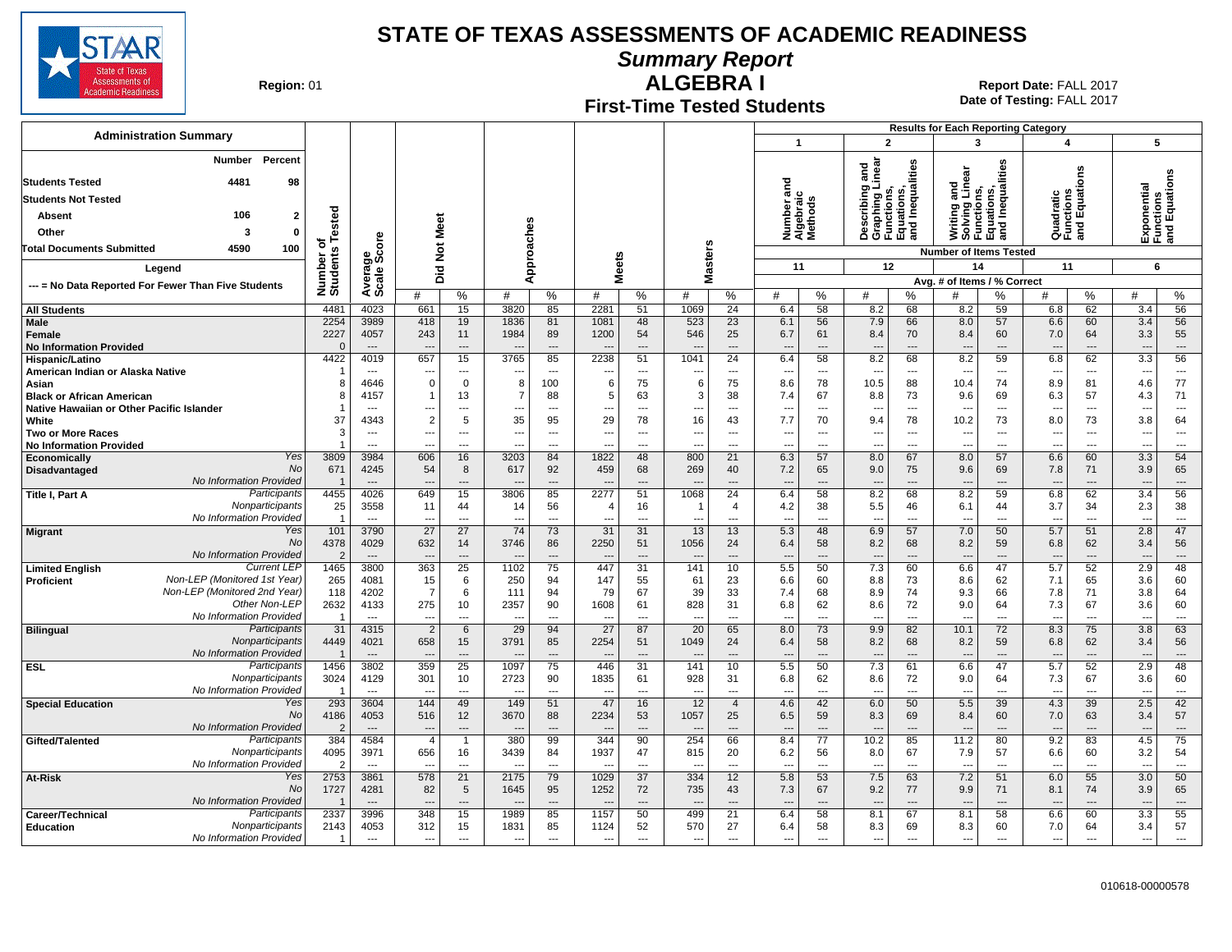

**Summary Report**

**Region: 01** 

#### **First-Time Tested Students ALGEBRA I** Report Date: FALL 2017

**Date of Testing:**  FALL 2017

|                                                             |                        |                          |                                  |                                   |                                  |                      |                                  |                           |                                |                                  |                                   |                      |                                                                                   |                                | <b>Results for Each Reporting Category</b>                                    |                          |                                      |                      |                       |                                           |
|-------------------------------------------------------------|------------------------|--------------------------|----------------------------------|-----------------------------------|----------------------------------|----------------------|----------------------------------|---------------------------|--------------------------------|----------------------------------|-----------------------------------|----------------------|-----------------------------------------------------------------------------------|--------------------------------|-------------------------------------------------------------------------------|--------------------------|--------------------------------------|----------------------|-----------------------|-------------------------------------------|
| <b>Administration Summary</b>                               |                        |                          |                                  |                                   |                                  |                      |                                  |                           |                                |                                  | $\mathbf{1}$                      |                      | $\overline{2}$                                                                    |                                | 3                                                                             |                          | 4                                    |                      | 5                     |                                           |
| Percent<br>Number                                           |                        |                          |                                  |                                   |                                  |                      |                                  |                           |                                |                                  | ਠ                                 |                      | Describing and<br>Graphing Linear<br>Functions,<br>Equations,<br>and Inequalities |                                | Writing and<br>Solving Linear<br>Functions,<br>Equations,<br>and Inequalities |                          |                                      | 등                    |                       | Exponentiai<br>Functions<br>and Equations |
| 4481<br>98<br><b>Students Tested</b>                        |                        |                          |                                  |                                   |                                  |                      |                                  |                           |                                |                                  | 듦                                 |                      |                                                                                   |                                |                                                                               |                          |                                      |                      |                       |                                           |
| <b>Students Not Tested</b>                                  |                        |                          |                                  |                                   |                                  |                      |                                  |                           |                                |                                  |                                   |                      |                                                                                   |                                |                                                                               |                          |                                      |                      |                       |                                           |
| 106<br>Absent<br>$\mathbf{2}$                               | ested                  |                          |                                  |                                   |                                  |                      |                                  |                           |                                |                                  | Number ar<br>Algebraic<br>Methods |                      |                                                                                   |                                |                                                                               |                          | Quadratic<br>Functions<br>and Equati |                      |                       |                                           |
| Other<br>$\bf{0}$<br>3                                      |                        |                          |                                  |                                   |                                  |                      |                                  |                           |                                |                                  |                                   |                      |                                                                                   |                                |                                                                               |                          |                                      |                      |                       |                                           |
| 100<br><b>Total Documents Submitted</b><br>4590             | ৳                      | <b>e</b>                 | Not Meet                         |                                   |                                  | Approaches           |                                  |                           | <b>SD</b>                      |                                  |                                   |                      |                                                                                   |                                | <b>Number of Items Tested</b>                                                 |                          |                                      |                      |                       |                                           |
| Legend                                                      | Number o<br>Students   |                          |                                  |                                   |                                  |                      | <b>Meets</b>                     |                           | laster                         |                                  | 11                                |                      | 12                                                                                |                                | 14                                                                            |                          | 11                                   |                      |                       | 6                                         |
|                                                             |                        |                          | Did                              |                                   |                                  |                      |                                  |                           | Σ                              |                                  |                                   |                      |                                                                                   |                                | Avg. # of Items / % Correct                                                   |                          |                                      |                      |                       |                                           |
| --- = No Data Reported For Fewer Than Five Students         |                        | Average<br>Scale Sc      | #                                | %                                 | #                                | $\%$                 | #                                | $\%$                      | #                              | %                                | #                                 | %                    | #                                                                                 | %                              | #                                                                             | $\%$                     | #                                    | %                    | #                     | %                                         |
| <b>All Students</b>                                         | 4481                   | 4023                     | 661                              | 15                                | 3820                             | 85                   | 2281                             | 51                        | 1069                           | 24                               | 6.4                               | 58                   | 8.2                                                                               | 68                             | 8.2                                                                           | 59                       | 6.8                                  | 62                   | 3.4                   | 56                                        |
| Male<br>Female                                              | 2254<br>2227           | 3989<br>4057             | 418<br>243                       | 19<br>11                          | 1836<br>1984                     | 81<br>89             | 1081<br>1200                     | 48<br>54                  | 523<br>546                     | 23<br>25                         | 6.1<br>6.7                        | 56<br>61             | 7.9<br>8.4                                                                        | 66<br>70                       | 8.0<br>8.4                                                                    | 57<br>60                 | 6.6<br>7.0                           | 60<br>64             | 3.4<br>3.3            | 56<br>55                                  |
| <b>No Information Provided</b>                              | $\Omega$<br>4422       | $\overline{a}$<br>4019   | 657                              | $\overline{\phantom{a}}$<br>15    | 3765                             | $\overline{a}$<br>85 | 2238                             | $\overline{a}$<br>51      | 1041                           | $\overline{a}$<br>24             |                                   | $\overline{a}$<br>58 | $\overline{\phantom{a}}$                                                          | $\overline{a}$<br>68           | $\overline{a}$<br>8.2                                                         | $\overline{a}$<br>59     | 6.8                                  | ---<br>62            | 3.3                   | ---<br>56                                 |
| Hispanic/Latino<br>American Indian or Alaska Native         |                        | $\sim$                   | ---                              | $\hspace{0.05cm} \ldots$          | $\overline{\phantom{a}}$         | $\cdots$             | $\overline{\phantom{a}}$         | $\overline{\phantom{a}}$  | ---                            | ---                              | 6.4<br>---                        | ---                  | 8.2<br>$\overline{\phantom{a}}$                                                   | ---                            | $\overline{\phantom{a}}$                                                      | $\overline{\phantom{a}}$ | $\overline{\phantom{a}}$             | ---                  | ---                   | $\overline{\phantom{a}}$                  |
| Asian                                                       | 8                      | 4646                     | $\mathbf 0$                      | $\mathbf 0$                       | 8                                | 100                  | 6                                | 75                        | 6                              | 75                               | 8.6                               | 78                   | 10.5                                                                              | 88                             | 10.4                                                                          | 74                       | 8.9                                  | 81                   | 4.6                   | 77                                        |
| <b>Black or African American</b>                            |                        | 4157                     |                                  | 13                                |                                  | 88                   | 5                                | 63                        | 3                              | 38                               | 7.4                               | 67                   | 8.8                                                                               | 73                             | 9.6                                                                           | 69                       | 6.3                                  | 57                   | 4.3                   | 71                                        |
| Native Hawaiian or Other Pacific Islander                   |                        | $- - -$                  | $\overline{\phantom{a}}$         | $\overline{\phantom{a}}$          | $\overline{\phantom{a}}$         | $---$                | ---                              | ---                       | $\overline{\phantom{a}}$       | $---$                            | $\overline{\phantom{a}}$          | ---                  | $\overline{\phantom{a}}$                                                          | ---                            | ---                                                                           | ---                      | $\overline{\phantom{a}}$             | ---                  | $\overline{a}$        | ---                                       |
| White<br><b>Two or More Races</b>                           | 37<br>3                | 4343<br>$---$            | $\overline{2}$<br>$\overline{a}$ | 5<br>$---$                        | 35<br>$\overline{\phantom{a}}$   | 95<br>$---$          | 29<br>$\overline{\phantom{a}}$   | 78<br>$\overline{a}$      | 16<br>$\overline{a}$           | 43<br>$\overline{a}$             | 7.7<br>$\sim$                     | 70<br>$\overline{a}$ | 9.4<br>$\overline{\phantom{a}}$                                                   | 78<br>$---$                    | 10.2<br>$\overline{\phantom{a}}$                                              | 73<br>$\overline{a}$     | 8.0<br>$\overline{\phantom{a}}$      | 73<br>$---$          | 3.8<br>---            | 64<br>$\sim$                              |
| <b>No Information Provided</b>                              |                        | $---$                    | $---$                            | $---$                             | $\sim$                           | $---$                | $\overline{a}$                   | $---$                     | $\sim$                         | $---$                            | $\sim$                            | $---$                | $\overline{\phantom{a}}$                                                          | $---$                          | $---$                                                                         | ---                      | $---$                                | $---$                | $---$                 | ---                                       |
| Yes<br>Economically                                         | 3809                   | 3984                     | 606                              | 16                                | 3203                             | 84                   | 1822                             | 48                        | 800                            | 21                               | 6.3                               | 57                   | 8.0                                                                               | 67                             | 8.0                                                                           | 57                       | 6.6                                  | 60                   | 3.3                   | 54                                        |
| No<br><b>Disadvantaged</b>                                  | 671                    | 4245                     | 54                               | 8                                 | 617                              | 92                   | 459                              | 68                        | 269                            | 40                               | 7.2                               | 65                   | 9.0                                                                               | 75                             | 9.6                                                                           | 69                       | 7.8                                  | 71                   | 3.9                   | 65                                        |
| No Information Provided<br>Participants<br>Title I, Part A  | 4455                   | $\overline{a}$<br>4026   | 649                              | $\overline{a}$<br>15              | 3806                             | 85                   | 2277                             | $\sim$<br>51              | 1068                           | $---$<br>24                      | 6.4                               | $\overline{a}$<br>58 | 8.2                                                                               | 68                             | $\overline{a}$<br>8.2                                                         | ---<br>59                | 6.8                                  | 62                   | 3.4                   | $\overline{\phantom{a}}$<br>56            |
| Nonparticipants                                             | 25                     | 3558                     | 11                               | 44                                | 14                               | 56                   | $\overline{4}$                   | 16                        |                                | 4                                | 4.2                               | 38                   | 5.5                                                                               | 46                             | 6.1                                                                           | 44                       | 3.7                                  | 34                   | 2.3                   | 38                                        |
| No Information Provided                                     |                        | $---$                    |                                  | ---                               | $\overline{\phantom{a}}$         | ---                  | ---                              | ---                       |                                | ---                              |                                   | ---                  | $\overline{\phantom{a}}$                                                          | ---                            | $\overline{a}$                                                                | ---                      |                                      | ---                  |                       | ---                                       |
| Yes<br><b>Migrant</b>                                       | 101                    | 3790                     | 27                               | 27                                | 74                               | 73                   | 31                               | 31                        | 13                             | 13                               | 5.3                               | 48                   | 6.9                                                                               | 57                             | $7.0$                                                                         | 50                       | 5.7                                  | 51                   | 2.8                   | 47                                        |
| No<br>No Information Provided                               | 4378<br>$\mathcal{P}$  | 4029<br>---              | 632                              | 14<br>$---$                       | 3746                             | 86                   | 2250                             | 51<br>$\overline{a}$      | 1056                           | 24<br>---                        | 6.4                               | 58                   | 8.2<br>$\overline{\phantom{a}}$                                                   | 68                             | 8.2<br>$\overline{a}$                                                         | 59<br>---                | 6.8<br>$\overline{\phantom{a}}$      | 62<br>---            | 3.4                   | 56<br>$\overline{a}$                      |
| <b>Current LEF</b><br><b>Limited English</b>                | 1465                   | 3800                     | 363                              | 25                                | 1102                             | 75                   | 447                              | 31                        | 141                            | 10                               | 5.5                               | 50                   | 7.3                                                                               | 60                             | 6.6                                                                           | 47                       | 5.7                                  | 52                   | 2.9                   | 48                                        |
| Non-LEP (Monitored 1st Year)<br>Proficient                  | 265                    | 4081                     | 15                               | 6                                 | 250                              | 94                   | 147                              | 55                        | 61                             | 23                               | 6.6                               | 60                   | 8.8                                                                               | 73                             | 8.6                                                                           | 62                       | 7.1                                  | 65                   | 3.6                   | 60                                        |
| Non-LEP (Monitored 2nd Year)                                | 118                    | 4202                     | $\overline{7}$                   | 6                                 | 111                              | 94                   | 79                               | 67                        | 39                             | 33                               | 7.4                               | 68                   | 8.9                                                                               | 74                             | 9.3                                                                           | 66                       | 7.8                                  | 71                   | 3.8                   | 64                                        |
| Other Non-LEP                                               | 2632                   | 4133                     | 275                              | 10                                | 2357                             | 90                   | 1608                             | 61                        | 828                            | 31                               | 6.8                               | 62                   | 8.6                                                                               | 72                             | 9.0                                                                           | 64                       | 7.3                                  | 67                   | 3.6                   | 60                                        |
| No Information Provided<br>Participants<br><b>Bilingual</b> | 31                     | $\sim$<br>4315           | $\overline{2}$                   | $\overline{a}$<br>6               | 29                               | $\overline{a}$<br>94 | 27                               | $\sim$<br>87              | 20                             | $\overline{a}$<br>65             | 8.0                               | $\overline{a}$<br>73 | $\sim$<br>9.9                                                                     | $\overline{a}$<br>82           | $\sim$<br>10.1                                                                | $\overline{a}$<br>72     | 8.3                                  | $-$ --<br>75         | 3.8                   | $\overline{\phantom{a}}$<br>63            |
| Nonparticipants                                             | 4449                   | 4021                     | 658                              | 15                                | 3791                             | 85                   | 2254                             | 51                        | 1049                           | 24                               | 6.4                               | 58                   | 8.2                                                                               | 68                             | 8.2                                                                           | 59                       | 6.8                                  | 62                   | 3.4                   | 56                                        |
| No Information Provided                                     |                        | $\overline{\phantom{a}}$ |                                  | $\overline{\phantom{a}}$          |                                  | $\sim$               | $\sim$                           | $\overline{\phantom{a}}$  |                                | $\overline{\phantom{a}}$         |                                   | $---$                | $\overline{\phantom{a}}$                                                          | $\overline{a}$                 | $\overline{a}$                                                                | ---                      |                                      | $---$                | $\sim$                | $\overline{a}$                            |
| Participants<br><b>ESL</b>                                  | 1456                   | 3802                     | 359                              | 25                                | 1097                             | 75                   | 446                              | $\overline{31}$           | 141                            | 10                               | 5.5                               | 50                   | 7.3                                                                               | 61                             | 6.6                                                                           | 47                       | 5.7                                  | 52                   | 2.9                   | 48                                        |
| Nonparticipants                                             | 3024                   | 4129                     | 301                              | 10                                | 2723                             | 90                   | 1835                             | 61                        | 928                            | 31                               | 6.8                               | 62                   | 8.6                                                                               | 72                             | 9.0                                                                           | 64                       | 7.3                                  | 67                   | 3.6                   | 60                                        |
| No Information Provided<br>Yes<br><b>Special Education</b>  | 293                    | $\overline{a}$<br>3604   | $\overline{\phantom{a}}$<br>144  | $\overline{a}$<br>49              | $\overline{\phantom{a}}$<br>149  | $\overline{a}$<br>51 | $\overline{a}$<br>47             | $\overline{a}$<br>16      | $\overline{\phantom{a}}$<br>12 | $\overline{a}$<br>$\overline{4}$ | ---<br>4.6                        | ---<br>42            | $\overline{a}$<br>6.0                                                             | ---<br>50                      | $\overline{a}$<br>5.5                                                         | ---<br>39                | ---<br>4.3                           | ---<br>39            | $\overline{a}$<br>2.5 | ---<br>42                                 |
| <b>No</b>                                                   | 4186                   | 4053                     | 516                              | 12                                | 3670                             | 88                   | 2234                             | 53                        | 1057                           | 25                               | 6.5                               | 59                   | 8.3                                                                               | 69                             | 8.4                                                                           | 60                       | 7.0                                  | 63                   | 3.4                   | 57                                        |
| No Information Provided                                     | $\overline{2}$         | $---$                    | $\overline{\phantom{a}}$         | $---$                             |                                  | $---$                | $\overline{\phantom{a}}$         | $\overline{\phantom{a}}$  |                                | $---$                            | $\overline{a}$                    | $\overline{a}$       | $\sim$                                                                            | $---$                          | $\overline{a}$                                                                | $\overline{a}$           | $\overline{\phantom{a}}$             | $---$                | $\overline{a}$        | $\hspace{0.05cm} \ldots$                  |
| Participants<br>Gifted/Talented                             | 384                    | 4584                     | $\overline{4}$                   | $\overline{1}$                    | 380                              | 99                   | 344                              | 90                        | 254                            | 66                               | 8.4                               | 77                   | 10.2                                                                              | 85                             | 11.2                                                                          | 80                       | 9.2                                  | 83                   | 4.5                   | $\overline{75}$                           |
| Nonparticipants                                             | 4095                   | 3971                     | 656                              | 16                                | 3439                             | 84                   | 1937                             | 47                        | 815                            | 20                               | 6.2                               | 56                   | 8.0                                                                               | 67                             | 7.9                                                                           | 57                       | 6.6                                  | 60                   | 3.2                   | 54                                        |
| No Information Provided<br>Yes<br>At-Risk                   | $\overline{2}$<br>2753 | $\overline{a}$<br>3861   | $\overline{a}$<br>578            | $\overline{a}$<br>$\overline{21}$ | $\overline{\phantom{a}}$<br>2175 | $\overline{a}$<br>79 | $\overline{\phantom{a}}$<br>1029 | $-$ --<br>$\overline{37}$ | $\overline{a}$<br>334          | $\overline{a}$<br>12             | $\overline{a}$<br>5.8             | $\overline{a}$<br>53 | $\overline{\phantom{a}}$<br>7.5                                                   | $\overline{\phantom{a}}$<br>63 | $\overline{a}$<br>7.2                                                         | ---<br>51                | $\overline{a}$<br>6.0                | $\overline{a}$<br>55 | $\overline{a}$<br>3.0 | $\overline{a}$<br>50                      |
| <b>No</b>                                                   | 1727                   | 4281                     | 82                               | 5                                 | 1645                             | 95                   | 1252                             | 72                        | 735                            | 43                               | 7.3                               | 67                   | 9.2                                                                               | 77                             | 9.9                                                                           | 71                       | 8.1                                  | 74                   | 3.9                   | 65                                        |
| No Information Provided                                     |                        | $---$                    |                                  | $\overline{\phantom{a}}$          |                                  | $\overline{a}$       | $\overline{\phantom{a}}$         | $\overline{\phantom{a}}$  |                                | $\overline{a}$                   |                                   | $\overline{a}$       | $\overline{\phantom{a}}$                                                          |                                | $\overline{\phantom{a}}$                                                      | $\overline{\phantom{a}}$ |                                      |                      |                       | $\hspace{0.05cm} \ldots$                  |
| Participants<br>Career/Technical                            | 2337                   | 3996                     | 348                              | 15                                | 1989                             | 85                   | 1157                             | 50                        | 499                            | 21                               | 6.4                               | 58                   | 8.1                                                                               | 67                             | 8.1                                                                           | 58                       | 6.6                                  | 60                   | 3.3                   | 55                                        |
| Nonparticipants<br><b>Education</b>                         | 2143                   | 4053                     | 312                              | 15                                | 1831                             | 85                   | 1124                             | 52                        | 570                            | 27                               | 6.4                               | 58                   | 8.3                                                                               | 69                             | 8.3                                                                           | 60                       | 7.0                                  | 64                   | 3.4                   | 57                                        |
| No Information Provided                                     | $\overline{1}$         | $---$                    | $\overline{a}$                   | $\overline{a}$                    | $\overline{a}$                   | $\overline{a}$       | $\overline{a}$                   | $\overline{a}$            |                                | $\overline{a}$                   | $\overline{a}$                    |                      | $\overline{\phantom{a}}$                                                          | $\overline{a}$                 | $\overline{a}$                                                                | ---                      | $\overline{a}$                       | ---                  |                       | $\overline{a}$                            |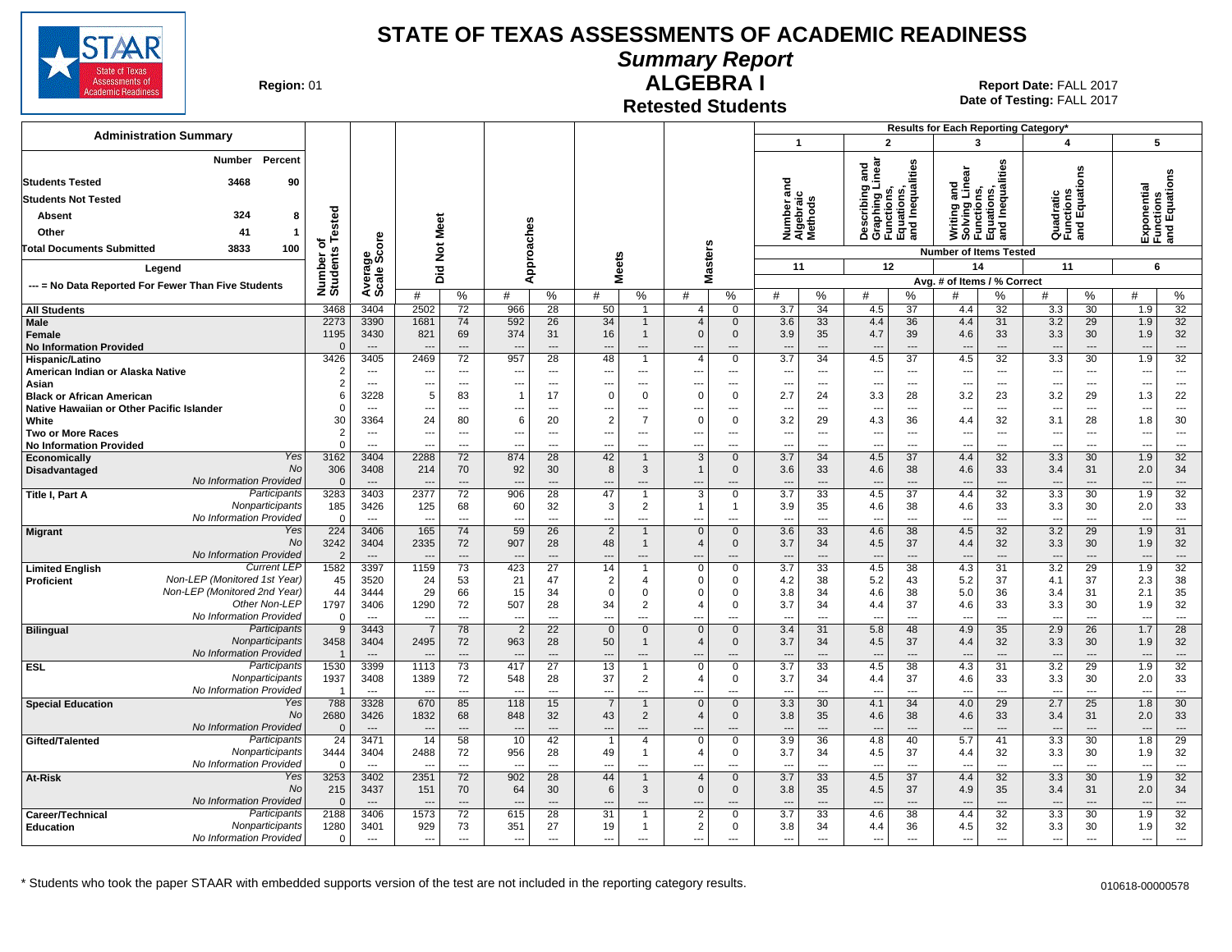

**Summary Report**

**Region: 01** 

### **ALGEBRA I** Report Date: FALL 2017

**Date of Testing:**  FALL 2017

**Retested Students**

| <b>Administration Summary</b>                             |                      |                          |                                 |                       |                                 |                        |                                            |                                  |                                            |                                |                                                  |                                           |                                                                                      | Results for Each Reporting Category*                                         |                                |                                       |                           |                                           |                                |
|-----------------------------------------------------------|----------------------|--------------------------|---------------------------------|-----------------------|---------------------------------|------------------------|--------------------------------------------|----------------------------------|--------------------------------------------|--------------------------------|--------------------------------------------------|-------------------------------------------|--------------------------------------------------------------------------------------|------------------------------------------------------------------------------|--------------------------------|---------------------------------------|---------------------------|-------------------------------------------|--------------------------------|
|                                                           |                      |                          |                                 |                       |                                 |                        |                                            |                                  |                                            |                                | $\overline{1}$                                   |                                           | $\overline{2}$                                                                       | 3                                                                            |                                | $\boldsymbol{4}$                      |                           | 5                                         |                                |
| Percent<br>Number<br>3468<br>90<br><b>Students Tested</b> |                      |                          |                                 |                       |                                 |                        |                                            |                                  |                                            |                                | ਠ<br>Number anc<br>Algebraic<br>Methods          | inear<br>ਠ<br>န္ဖ<br>inaphing<br>Lighting | Inequalities<br>Describing<br>Graphing Li<br>Functions,<br>Equations,<br>and Inequal | Writing and<br>Solving Linear<br>Functions,<br>Equations,<br>and Inequalitie | ations,<br>Inequalities        |                                       | ons                       | Exponential<br>Functions<br>and Equations |                                |
| <b>Students Not Tested</b>                                |                      |                          |                                 |                       |                                 |                        |                                            |                                  |                                            |                                |                                                  |                                           |                                                                                      |                                                                              |                                |                                       |                           |                                           |                                |
| 324<br><b>Absent</b><br>8                                 | ested                |                          |                                 |                       |                                 |                        |                                            |                                  |                                            |                                |                                                  |                                           |                                                                                      |                                                                              |                                | Quadratic<br>Functions<br>and Equatic |                           |                                           |                                |
| Other<br>41<br>-1                                         |                      |                          | Meet                            |                       |                                 |                        |                                            |                                  |                                            |                                |                                                  |                                           |                                                                                      |                                                                              |                                |                                       |                           |                                           |                                |
| <b>Total Documents Submitted</b><br>3833<br>100           | ৳                    | ore                      | $\frac{5}{2}$                   |                       |                                 | Approaches             |                                            |                                  | sters                                      |                                |                                                  |                                           |                                                                                      | <b>Number of Items Tested</b>                                                |                                |                                       |                           |                                           |                                |
| Legend                                                    |                      |                          |                                 |                       |                                 |                        |                                            | <b>Meets</b>                     |                                            |                                | 11                                               |                                           | 12                                                                                   | 14                                                                           |                                | 11                                    |                           | 6                                         |                                |
|                                                           | Number o<br>Students |                          | Did                             |                       |                                 |                        |                                            |                                  | š                                          |                                |                                                  |                                           |                                                                                      | Avg. # of Items / % Correct                                                  |                                |                                       |                           |                                           |                                |
| --- = No Data Reported For Fewer Than Five Students       |                      | Average<br>Scale Scc     | #                               | %                     | #                               | %                      | #                                          | %                                | #                                          | %                              | %<br>#                                           | #                                         | %                                                                                    | #                                                                            | %                              | #                                     | %                         | #                                         | %                              |
| <b>All Students</b>                                       | 3468                 | 3404                     | 2502                            | 72                    | 966                             | 28                     | 50                                         |                                  | $\overline{4}$                             | $\Omega$                       | 34<br>3.7                                        | 4.5                                       | 37                                                                                   | 4.4                                                                          | 32                             | 3.3                                   | 30                        | 1.9                                       | 32                             |
| Male                                                      | 2273                 | 3390                     | 1681                            | 74                    | 592                             | 26                     | 34                                         |                                  | $\overline{4}$                             | $\Omega$                       | 3.6<br>33                                        | 4.4                                       | 36                                                                                   | 4.4                                                                          | 31                             | 3.2                                   | 29                        | 1.9                                       | 32                             |
| <b>Female</b>                                             | 1195                 | 3430                     | 821                             | 69                    | 374                             | 31                     | 16                                         | $\mathbf 1$                      | $\Omega$                                   | 0                              | 3.9<br>35                                        | 4.7                                       | 39                                                                                   | 4.6                                                                          | 33                             | 3.3                                   | 30                        | 1.9                                       | 32                             |
| <b>No Information Provided</b>                            | $\Omega$             | $\overline{\phantom{a}}$ |                                 | ---                   |                                 | $\overline{a}$         |                                            | ---                              | $\overline{a}$                             | ---                            | ---<br>---                                       | $\overline{\phantom{a}}$                  | $\overline{\phantom{a}}$                                                             | $\overline{\phantom{a}}$                                                     | $\overline{\phantom{a}}$       | $\overline{\phantom{a}}$              | $\cdots$                  |                                           | $\hspace{1.5cm} \cdots$        |
| Hispanic/Latino<br>American Indian or Alaska Native       | 3426<br>2            | 3405<br>$\overline{a}$   | 2469<br>---                     | 72<br>---             | 957<br>$\overline{\phantom{a}}$ | 28<br>---              | 48<br>$\overline{a}$                       | $\overline{1}$<br>---            | $\overline{4}$<br>$\overline{\phantom{a}}$ | $\Omega$<br>---                | $\overline{34}$<br>3.7<br>---<br>---             | 4.5<br>$\overline{\phantom{a}}$           | $\overline{37}$<br>---                                                               | 4.5<br>$\overline{a}$                                                        | 32<br>$\overline{\phantom{a}}$ | 3.3<br>---                            | $\overline{30}$<br>$\sim$ | 1.9                                       | 32<br>$\overline{a}$           |
| Asian                                                     | $\mathfrak{p}$       | $\sim$                   | $\overline{\phantom{a}}$        | ---                   | $\overline{\phantom{a}}$        | $---$                  | ---                                        | ---                              | ---                                        | ---                            | ---<br>$\overline{\phantom{a}}$                  | $\overline{\phantom{a}}$                  | $\sim$                                                                               | $\overline{\phantom{a}}$                                                     | $\sim$                         | ---                                   | $---$                     | $\sim$                                    | $\overline{\phantom{a}}$       |
| <b>Black or African American</b>                          | 6                    | 3228                     | 5                               | 83                    | ٠                               | 17                     | $\mathbf 0$                                | $\mathbf 0$                      | $\Omega$                                   | $\Omega$                       | 2.7<br>24                                        | 3.3                                       | 28                                                                                   | 3.2                                                                          | 23                             | 3.2                                   | 29                        | 1.3                                       | 22                             |
| Native Hawaiian or Other Pacific Islander                 | ∩                    | $---$                    | ---                             | ---                   | $\overline{\phantom{a}}$        | $---$                  | ---                                        | ---                              | --                                         | ---                            | $\overline{a}$<br>$\overline{\phantom{a}}$       | $\overline{\phantom{a}}$                  | $\sim$                                                                               | $\ddotsc$                                                                    | $\sim$                         | $\sim$                                | $---$                     | $\sim$                                    | ---                            |
| White                                                     | 30                   | 3364                     | 24                              | 80                    | 6                               | 20                     | $\overline{2}$                             | $\overline{7}$                   | $\mathbf{C}$                               | $\mathbf 0$                    | 3.2<br>29                                        | 4.3                                       | 36                                                                                   | 4.4                                                                          | 32                             | 3.1                                   | 28                        | 1.8                                       | 30                             |
| <b>Two or More Races</b>                                  | 2                    | $---$                    | ---                             | ---                   | ---                             | ---                    | $\qquad \qquad -$                          | ---                              | $\overline{\phantom{a}}$                   | ---                            | ---<br>---                                       | $\overline{\phantom{a}}$                  | $\sim$                                                                               | $\overline{\phantom{a}}$                                                     | $\overline{\phantom{a}}$       | ---                                   | $\overline{\phantom{a}}$  | ---                                       | $\hspace{0.05cm} \ldots$       |
| <b>No Information Provided</b><br>Yes<br>Economically     | $\Omega$<br>3162     | $-$<br>3404              | 2288                            | $\overline{a}$<br>72  | 874                             | ---<br>$\overline{28}$ | 42                                         | $\sim$<br>$\mathbf 1$            | $\overline{a}$<br>3                        | ---<br>$\mathbf{0}$            | $\overline{a}$<br>34<br>3.7                      | ---<br>4.5                                | $\overline{37}$                                                                      | 4.4                                                                          | $\overline{a}$<br>32           | 3.3                                   | $-$<br>30                 | 1.9                                       | $---$<br>32                    |
| <b>No</b><br>Disadvantaged                                | 306                  | 3408                     | 214                             | 70                    | 92                              | 30                     | 8                                          | 3                                |                                            | $\mathbf{0}$                   | 3.6<br>33                                        | 4.6                                       | 38                                                                                   | 4.6                                                                          | 33                             | 3.4                                   | 31                        | 2.0                                       | 34                             |
| No Information Provided                                   | $\Omega$             | $---$                    |                                 | ---                   | $\overline{\phantom{a}}$        | $\overline{a}$         |                                            | ---                              | ---                                        | ---                            | $\overline{\phantom{a}}$<br>$\overline{a}$       | $\overline{\phantom{a}}$                  | $\overline{\phantom{a}}$                                                             | $\overline{a}$                                                               | $\overline{\phantom{a}}$       |                                       | $\overline{a}$            |                                           | $\hspace{1.5cm} \cdots$        |
| Participants<br>Title I, Part A                           | 3283                 | 3403                     | 2377                            | $\overline{72}$       | 906                             | 28                     | 47                                         |                                  | $\overline{3}$                             | $\Omega$                       | $\overline{33}$<br>3.7                           | 4.5                                       | $\overline{37}$                                                                      | 4.4                                                                          | 32                             | 3.3                                   | $\overline{30}$           | 1.9                                       | 32                             |
| Nonparticipants                                           | 185                  | 3426                     | 125                             | 68                    | 60                              | 32                     | 3                                          | $\overline{2}$                   |                                            | 1                              | 3.9<br>35                                        | 4.6                                       | 38                                                                                   | 4.6                                                                          | 33                             | 3.3                                   | 30                        | 2.0                                       | 33                             |
| No Information Provided<br>Yes                            | $\Omega$<br>224      | $---$<br>3406            | $\overline{\phantom{a}}$<br>165 | $\overline{a}$<br>74  | $\overline{a}$<br>59            | $\overline{a}$<br>26   | $\overline{a}$<br>2                        | $\overline{a}$<br>$\overline{1}$ | ---<br>$\Omega$                            | $\overline{a}$<br>$\mathbf{0}$ | $\overline{a}$<br>$\overline{a}$<br>3.6<br>33    | $\overline{a}$<br>4.6                     | $\sim$<br>38                                                                         | $\sim$                                                                       | $\sim$<br>32                   | $\overline{a}$<br>3.2                 | $---$<br>29               | $\overline{\phantom{a}}$<br>1.9           | $\sim$<br>31                   |
| <b>Migrant</b><br>No                                      | 3242                 | 3404                     | 2335                            | 72                    | 907                             | 28                     | 48                                         | $\mathbf{1}$                     | $\Delta$                                   | $\mathbf 0$                    | 3.7<br>34                                        | 4.5                                       | 37                                                                                   | 4.5<br>4.4                                                                   | 32                             | 3.3                                   | 30                        | 1.9                                       | 32                             |
| No Information Provided                                   | $\mathcal{P}$        |                          |                                 | $\overline{a}$        |                                 |                        |                                            | $\overline{a}$                   |                                            |                                | $\overline{a}$                                   | $\overline{\phantom{a}}$                  |                                                                                      |                                                                              | $\overline{a}$                 | $\overline{a}$                        | $\overline{a}$            |                                           | $\hspace{1.5cm} \cdots$        |
| <b>Current LEP</b><br><b>Limited English</b>              | 1582                 | 3397                     | 1159                            | $\overline{73}$       | 423                             | $\overline{27}$        | 14                                         |                                  | $\mathbf 0$                                | $\Omega$                       | $\overline{3.7}$<br>33                           | 4.5                                       | 38                                                                                   | 4.3                                                                          | $\overline{31}$                | $\overline{3.2}$                      | $\overline{29}$           | 1.9                                       | 32                             |
| Non-LEP (Monitored 1st Year)<br>Proficient                | 45                   | 3520                     | 24                              | 53                    | 21                              | 47                     | $\overline{2}$                             | $\overline{4}$                   | $\Omega$                                   | 0                              | 4.2<br>38                                        | 5.2                                       | 43                                                                                   | 5.2                                                                          | 37                             | 4.1                                   | 37                        | 2.3                                       | 38                             |
| Non-LEP (Monitored 2nd Year)                              | 44                   | 3444                     | 29                              | 66                    | 15                              | 34                     | $\mathbf 0$                                | $\Omega$                         | $\Omega$                                   | $\Omega$                       | 3.8<br>34                                        | 4.6                                       | 38                                                                                   | 5.0                                                                          | 36                             | 3.4                                   | 31                        | 2.1                                       | 35                             |
| Other Non-LEP<br>No Information Provided                  | 1797<br>$\Omega$     | 3406<br>$\sim$           | 1290<br>---                     | 72<br>$\overline{a}$  | 507<br>$\overline{\phantom{a}}$ | 28<br>$\overline{a}$   | 34<br>---                                  | 2<br>---                         | 4<br>$\overline{a}$                        | $\Omega$<br>---                | 3.7<br>34<br>$\overline{a}$<br>---               | 4.4<br>$\overline{\phantom{a}}$           | 37<br>$\overline{\phantom{a}}$                                                       | 4.6<br>$\overline{a}$                                                        | 33<br>$\overline{\phantom{a}}$ | 3.3<br>$\overline{a}$                 | 30<br>$\overline{a}$      | 1.9<br>---                                | 32<br>$\overline{\phantom{a}}$ |
| Participants<br><b>Bilingual</b>                          | 9                    | 3443                     | $\overline{7}$                  | 78                    | $\overline{2}$                  | 22                     | $\mathbf{0}$                               | $\Omega$                         | $\mathbf{0}$                               | $\Omega$                       | 3.4<br>31                                        | 5.8                                       | 48                                                                                   | 4.9                                                                          | 35                             | 2.9                                   | 26                        | 1.7                                       | 28                             |
| Nonparticipants                                           | 3458                 | 3404                     | 2495                            | 72                    | 963                             | 28                     | 50                                         | $\mathbf 1$                      | 4                                          | $\mathbf{0}$                   | 3.7<br>34                                        | 4.5                                       | 37                                                                                   | 4.4                                                                          | 32                             | 3.3                                   | 30                        | 1.9                                       | 32                             |
| No Information Provided                                   |                      | $---$                    |                                 | $\overline{a}$        | $\overline{\phantom{a}}$        | $\overline{a}$         | $\overline{\phantom{a}}$                   | $\overline{a}$                   | $\overline{a}$                             | ---                            | $\overline{a}$                                   | $\overline{\phantom{a}}$                  | $\overline{\phantom{a}}$                                                             | $\overline{a}$                                                               | $---$                          | $\overline{\phantom{a}}$              | $---$                     | $\overline{\phantom{a}}$                  | $---$                          |
| Participants<br><b>ESL</b>                                | 1530                 | 3399                     | 1113                            | 73                    | 417                             | 27                     | 13                                         |                                  | $\overline{0}$                             | $\mathbf 0$                    | 33<br>3.7                                        | 4.5                                       | 38                                                                                   | 4.3                                                                          | 31                             | 3.2                                   | 29                        | 1.9                                       | 32                             |
| Nonparticipants<br>No Information Provided                | 1937                 | 3408                     | 1389                            | 72                    | 548                             | 28                     | 37                                         | 2                                | $\overline{4}$                             | 0                              | 3.7<br>34                                        | 4.4                                       | 37                                                                                   | 4.6                                                                          | 33                             | 3.3                                   | 30                        | 2.0                                       | 33                             |
| Yes<br><b>Special Education</b>                           | 788                  | $\ddotsc$<br>3328        | $\overline{\phantom{a}}$<br>670 | ---<br>85             | 118                             | ---<br>15              | $\overline{\phantom{a}}$<br>$\overline{7}$ | ---<br>$\mathbf 1$               | $\overline{\phantom{a}}$<br>$\mathbf 0$    | ---<br>$\mathbf{0}$            | ---<br>---<br>3.3<br>30                          | $\overline{\phantom{a}}$<br>4.1           | ---<br>34                                                                            | $\overline{\phantom{a}}$<br>4.0                                              | $\overline{\phantom{a}}$<br>29 | ---<br>2.7                            | $\overline{a}$<br>25      | $\overline{\phantom{a}}$<br>1.8           | $\hspace{0.05cm} \ldots$<br>30 |
| <b>No</b>                                                 | 2680                 | 3426                     | 1832                            | 68                    | 848                             | 32                     | 43                                         | 2                                | $\boldsymbol{\Delta}$                      | $\Omega$                       | 35<br>3.8                                        | 4.6                                       | 38                                                                                   | 4.6                                                                          | 33                             | 3.4                                   | 31                        | 2.0                                       | 33                             |
| No Information Provided                                   | $\Omega$             | $\overline{a}$           |                                 | $\overline{a}$        | $\overline{\phantom{a}}$        | ---                    | $\overline{a}$                             | ---                              | $\overline{a}$                             | ---                            | $\overline{a}$<br>$\overline{a}$                 | $\overline{a}$                            |                                                                                      |                                                                              | $---$                          |                                       | $---$                     |                                           | $\hspace{1.5cm} \cdots$        |
| Participants<br>Gifted/Talented                           | 24                   | 3471                     | 14                              | 58                    | 10                              | 42                     | $\mathbf{1}$                               | $\overline{4}$                   | $\overline{0}$                             | $\Omega$                       | 36<br>3.9                                        | 4.8                                       | 40                                                                                   | 5.7                                                                          | 41                             | 3.3                                   | 30                        | 1.8                                       | 29                             |
| Nonparticipants                                           | 3444                 | 3404                     | 2488                            | 72                    | 956                             | 28                     | 49                                         | $\overline{1}$                   | $\overline{4}$                             | 0                              | 3.7<br>34                                        | 4.5                                       | 37                                                                                   | 4.4                                                                          | 32                             | 3.3                                   | 30                        | 1.9                                       | 32                             |
| No Information Provided                                   | $\Omega$             | $---$                    | $\overline{a}$                  | ---                   | $\overline{a}$                  | $---$                  | ---                                        | $\overline{a}$                   | ---                                        | ---                            | ---<br>---                                       | ---                                       | $\sim$                                                                               | $\ddotsc$                                                                    | $\sim$                         | $-$                                   | $---$                     | $\sim$                                    | $\overline{\phantom{a}}$       |
| Yes<br>At-Risk<br><b>No</b>                               | 3253<br>215          | 3402<br>3437             | 2351<br>151                     | $\overline{72}$<br>70 | 902<br>64                       | $\overline{28}$<br>30  | 44<br>6                                    | $\overline{1}$<br>$\mathbf{3}$   | $\overline{4}$<br>$\mathbf 0$              | $\Omega$<br>0                  | $\overline{3.7}$<br>$\overline{33}$<br>3.8<br>35 | 4.5<br>4.5                                | $\overline{37}$<br>37                                                                | 4.4<br>4.9                                                                   | $\overline{32}$<br>35          | 3.3<br>3.4                            | 30<br>31                  | 1.9<br>2.0                                | 32<br>34                       |
| No Information Provided                                   | $\Omega$             | $\overline{a}$           |                                 | $\overline{a}$        |                                 | $---$                  |                                            | $\sim$                           |                                            |                                | $---$                                            |                                           |                                                                                      |                                                                              | $\overline{a}$                 |                                       |                           |                                           | $\overline{\phantom{a}}$       |
| Participants<br>Career/Technical                          | 2188                 | 3406                     | 1573                            | 72                    | 615                             | 28                     | 31                                         | $\mathbf 1$                      | $\overline{2}$                             | $\mathbf 0$                    | 3.7<br>33                                        | 4.6                                       | 38                                                                                   | 4.4                                                                          | 32                             | 3.3                                   | 30                        | 1.9                                       | 32                             |
| Nonparticipants<br><b>Education</b>                       | 1280                 | 3401                     | 929                             | 73                    | 351                             | 27                     | 19                                         | $\mathbf 1$                      | $\overline{2}$                             | 0                              | 3.8<br>34                                        | 4.4                                       | 36                                                                                   | 4.5                                                                          | 32                             | 3.3                                   | 30                        | 1.9                                       | 32                             |
| No Information Provided                                   | $\Omega$             | $\overline{a}$           | $\overline{\phantom{a}}$        | $\overline{a}$        | $\overline{a}$                  | $\overline{a}$         | $\overline{a}$                             | $\overline{a}$                   | ---                                        |                                | $\overline{a}$<br>---                            | ---                                       |                                                                                      | $\overline{a}$                                                               | $\overline{a}$                 | ---                                   | $\overline{a}$            |                                           | $\overline{a}$                 |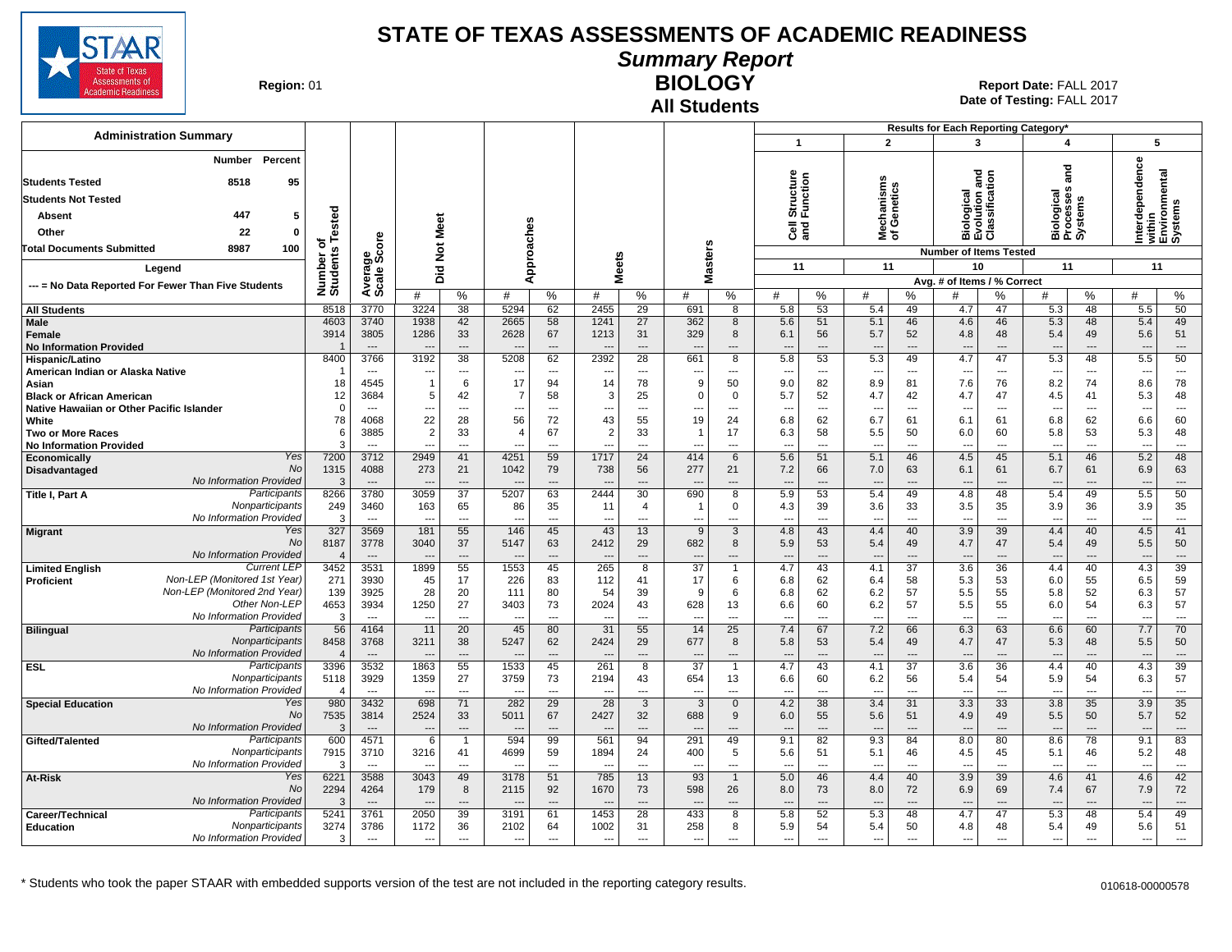

## **Summary Report**

**Region: 01** 

#### **All Students BIOLOGY**

**Date of Testing:**  FALL 2017 01 **Report Date:** FALL 2017

|                                                             |                              |                        |                                  |                                             |                                  |                      |                          |                      |                                 |                      |                                 |                      |                                 |                          | Results for Each Reporting Category*  |                      |                          |                                 |                                                       |                                |
|-------------------------------------------------------------|------------------------------|------------------------|----------------------------------|---------------------------------------------|----------------------------------|----------------------|--------------------------|----------------------|---------------------------------|----------------------|---------------------------------|----------------------|---------------------------------|--------------------------|---------------------------------------|----------------------|--------------------------|---------------------------------|-------------------------------------------------------|--------------------------------|
| <b>Administration Summary</b>                               |                              |                        |                                  |                                             |                                  |                      |                          |                      |                                 |                      | $\mathbf{1}$                    |                      |                                 | $\overline{2}$           | 3                                     |                      | $\overline{\mathbf{4}}$  |                                 | 5                                                     |                                |
| Percent<br>Number                                           |                              |                        |                                  |                                             |                                  |                      |                          |                      |                                 |                      |                                 |                      |                                 |                          |                                       |                      |                          |                                 |                                                       |                                |
|                                                             |                              |                        |                                  |                                             |                                  |                      |                          |                      |                                 |                      |                                 |                      |                                 |                          | and                                   |                      |                          | and                             | Interdependence<br>within<br>Environmental<br>Systems |                                |
| <b>Students Tested</b><br>8518<br>95                        |                              |                        |                                  |                                             |                                  |                      |                          |                      |                                 |                      | Structure<br>Function           |                      |                                 | lechanisms<br>f Genetics | logical<br>vlution and<br>ssification |                      |                          |                                 |                                                       |                                |
| <b>Students Not Tested</b>                                  |                              |                        |                                  |                                             |                                  |                      |                          |                      |                                 |                      |                                 |                      |                                 |                          |                                       |                      |                          | iological<br>rocesses<br>ystems |                                                       |                                |
| 447<br>5<br><b>Absent</b>                                   |                              |                        | Meet                             |                                             |                                  |                      |                          |                      |                                 |                      |                                 |                      |                                 |                          | ₫.                                    | $\frac{1}{2}$        |                          |                                 |                                                       |                                |
| 22<br>Other<br>$\mathbf 0$                                  |                              |                        |                                  |                                             |                                  |                      |                          |                      |                                 |                      | <b>Je 3</b>                     |                      | ই ঠ                             |                          | mάō                                   |                      | 面正の                      |                                 |                                                       |                                |
| 8987<br>100<br><b>Total Documents Submitted</b>             |                              | ige<br>Score           | $\breve{\mathbf{z}}$             |                                             |                                  |                      |                          |                      |                                 |                      |                                 |                      |                                 |                          | <b>Number of Items Tested</b>         |                      |                          |                                 |                                                       |                                |
| Legend                                                      | Number of<br>Students Tested |                        | Did                              |                                             |                                  | Approaches           |                          | <b>Meets</b>         | Masters                         |                      | 11                              |                      | 11                              |                          | 10                                    |                      | 11                       |                                 | 11                                                    |                                |
| --- = No Data Reported For Fewer Than Five Students         |                              | Avera                  |                                  |                                             |                                  |                      |                          |                      |                                 |                      |                                 |                      |                                 |                          | Avg. # of Items / % Correct           |                      |                          |                                 |                                                       |                                |
|                                                             |                              |                        | #                                | %                                           | #                                | %                    | #                        | %                    | #                               | %                    | #                               | %                    | #                               | %                        |                                       | %                    | #                        | %                               | #                                                     | %                              |
| <b>All Students</b><br><b>Male</b>                          | 8518<br>4603                 | 3770<br>3740           | 3224<br>1938                     | 38<br>42                                    | 5294<br>2665                     | 62<br>58             | 2455<br>1241             | 29<br>27             | 691<br>362                      | 8<br>8               | 5.8<br>5.6                      | 53<br>51             | 5.4<br>5.1                      | 49<br>46                 | 4.7<br>4.6                            | 47<br>46             | 5.3<br>5.3               | 48<br>48                        | 5.5<br>5.4                                            | 50<br>49                       |
| Female                                                      | 3914                         | 3805                   | 1286                             | 33                                          | 2628                             | 67                   | 1213                     | 31                   | 329                             | 8                    | 6.1                             | 56                   | 5.7                             | 52                       | 4.8                                   | 48                   | 5.4                      | 49                              | 5.6                                                   | 51                             |
| <b>No Information Provided</b>                              |                              | $---$                  | $\sim$                           | $\overline{\phantom{a}}$                    | - -                              | $---$                | $\overline{\phantom{a}}$ | $\overline{a}$       | $\overline{a}$                  | ---                  | $\overline{a}$                  | $---$                | $---$                           | $\overline{\phantom{a}}$ | $\overline{a}$                        | $\overline{a}$       | $\overline{\phantom{a}}$ | $---$                           | $\overline{\phantom{a}}$                              | $---$                          |
| Hispanic/Latino                                             | 8400                         | 3766                   | 3192                             | $\overline{38}$<br>$\overline{\phantom{a}}$ | 5208                             | 62                   | 2392                     | 28                   | 661                             | $\overline{8}$       | 5.8                             | 53                   | 5.3                             | 49                       | 4.7                                   | 47                   | 5.3                      | 48                              | 5.5                                                   | 50<br>$\overline{\phantom{a}}$ |
| American Indian or Alaska Native<br>Asian                   | 18                           | ---<br>4545            | ---<br>$\overline{1}$            | 6                                           | $\overline{\phantom{a}}$<br>17   | ---<br>94            | 14                       | ---<br>78            | ---<br>9                        | ---<br>50            | $\overline{\phantom{a}}$<br>9.0 | $\overline{a}$<br>82 | ---<br>8.9                      | ---<br>81                | $\overline{\phantom{a}}$<br>7.6       | ---<br>76            | ---<br>8.2               | $\overline{\phantom{a}}$<br>74  | ---<br>8.6                                            | 78                             |
| <b>Black or African American</b>                            | 12                           | 3684                   | 5                                | 42                                          | 7                                | 58                   | 3                        | 25                   | $\Omega$                        | $\mathbf 0$          | 5.7                             | 52                   | 4.7                             | 42                       | 4.7                                   | 47                   | 4.5                      | 41                              | 5.3                                                   | 48                             |
| Native Hawaiian or Other Pacific Islander                   | $\Omega$                     | $---$                  | ---                              | $\overline{\phantom{a}}$                    | $\sim$                           | $\overline{a}$       | ---                      | $\overline{a}$       | ---                             | $---$                | $\overline{a}$                  | $---$                | $\overline{\phantom{a}}$        | $\overline{\phantom{a}}$ | $\overline{\phantom{a}}$              | $\overline{a}$       | ---                      | $---$                           | $\overline{\phantom{a}}$                              | $\hspace{0.05cm} \ldots$       |
| White                                                       | 78                           | 4068                   | 22                               | 28                                          | 56                               | 72                   | 43                       | 55                   | 19                              | 24                   | 6.8                             | 62                   | 6.7                             | 61                       | 6.1                                   | 61                   | 6.8                      | 62                              | 6.6                                                   | 60                             |
| <b>Two or More Races</b><br><b>No Information Provided</b>  | 6<br>3                       | 3885<br>$\overline{a}$ | $\overline{2}$<br>---            | 33<br>$---$                                 | -4<br>$\sim$                     | 67<br>$\overline{a}$ | $\overline{2}$<br>---    | 33<br>---            | -1<br>---                       | 17<br>$\overline{a}$ | 6.3<br>$\overline{a}$           | 58<br>$---$          | 5.5<br>$\sim$                   | 50<br>$\overline{a}$     | 6.0<br>$\overline{a}$                 | 60<br>---            | 5.8<br>---               | 53<br>$---$                     | 5.3<br>---                                            | 48<br>$\overline{\phantom{a}}$ |
| Yes<br>Economically                                         | 7200                         | 3712                   | 2949                             | 41                                          | 4251                             | 59                   | 1717                     | 24                   | 414                             | 6                    | 5.6                             | 51                   | 5.1                             | 46                       | 4.5                                   | 45                   | 5.1                      | 46                              | 5.2                                                   | 48                             |
| No<br>Disadvantaged                                         | 1315                         | 4088                   | 273                              | 21                                          | 1042                             | 79                   | 738                      | 56                   | 277                             | 21                   | 7.2                             | 66                   | 7.0                             | 63                       | 6.1                                   | 61                   | 6.7                      | 61                              | 6.9                                                   | 63                             |
| No Information Provided<br>Participants                     | 3                            | $---$                  | $\overline{\phantom{a}}$         | $\overline{\phantom{a}}$                    | $\overline{\phantom{a}}$         | ---                  | $\overline{\phantom{a}}$ | $\overline{a}$       | $\overline{\phantom{a}}$        | ---                  | $---$                           | $---$                | $\overline{\phantom{a}}$        | $\overline{\phantom{a}}$ | $\overline{\phantom{a}}$              | ---                  | $\overline{\phantom{a}}$ | $---$                           | $\overline{\phantom{a}}$                              | $\overline{\phantom{a}}$       |
| Title I, Part A<br>Nonparticipants                          | 8266<br>249                  | 3780<br>3460           | 3059<br>163                      | $\overline{37}$<br>65                       | 5207<br>86                       | 63<br>35             | 2444<br>11               | 30<br>$\overline{4}$ | 690<br>$\mathbf{1}$             | 8<br>$\mathbf 0$     | 5.9<br>4.3                      | 53<br>39             | 5.4<br>3.6                      | 49<br>33                 | 4.8<br>3.5                            | 48<br>35             | 5.4<br>3.9               | 49<br>36                        | 5.5<br>3.9                                            | 50<br>35                       |
| No Information Provided                                     | 3                            | $\overline{a}$         | $\overline{a}$                   | $---$                                       | $\overline{a}$                   | $\overline{a}$       | ---                      | $\overline{a}$       | ---                             | $\overline{a}$       | $\overline{a}$                  | $\overline{a}$       | $\overline{\phantom{a}}$        | $\sim$                   | $\overline{a}$                        | $\overline{a}$       | $\overline{a}$           | $\overline{a}$                  | $\overline{\phantom{a}}$                              | $\overline{\phantom{a}}$       |
| Yes<br><b>Migrant</b>                                       | 327                          | 3569                   | 181                              | 55                                          | 146                              | 45                   | 43                       | 13                   | 9                               | 3                    | 4.8                             | 43                   | 4.4                             | 40                       | 3.9                                   | 39                   | 4.4                      | 40                              | 4.5                                                   | 41                             |
| <b>No</b><br>No Information Provided                        | 8187                         | 3778<br>$---$          | 3040                             | 37<br>$---$                                 | 5147                             | 63<br>$---$          | 2412                     | 29<br>$\overline{a}$ | 682                             | 8<br>$---$           | 5.9                             | 53<br>$---$          | 5.4<br>$\overline{\phantom{a}}$ | 49<br>$\sim$             | 4.7                                   | 47<br>$\overline{a}$ | 5.4                      | 49<br>$\overline{a}$            | 5.5<br>$\overline{\phantom{a}}$                       | 50<br>$---$                    |
| <b>Current LEF</b><br><b>Limited English</b>                | 3452                         | 3531                   | 1899                             | 55                                          | 1553                             | 45                   | 265                      | $\overline{8}$       | $\overline{37}$                 | $\mathbf{1}$         | 4.7                             | 43                   | 4.1                             | $\overline{37}$          | 3.6                                   | 36                   | 4.4                      | 40                              | 4.3                                                   | $\overline{39}$                |
| Non-LEP (Monitored 1st Year)<br>Proficient                  | 271                          | 3930                   | 45                               | 17                                          | 226                              | 83                   | 112                      | 41                   | 17                              | 6                    | 6.8                             | 62                   | 6.4                             | 58                       | 5.3                                   | 53                   | 6.0                      | 55                              | 6.5                                                   | 59                             |
| Non-LEP (Monitored 2nd Year)                                | 139                          | 3925                   | 28                               | 20                                          | 111                              | 80                   | 54                       | 39                   | 9                               | 6                    | 6.8                             | 62                   | 6.2                             | 57                       | 5.5                                   | 55                   | 5.8                      | 52                              | 6.3                                                   | 57                             |
| Other Non-LEP<br>No Information Provided                    | 4653                         | 3934                   | 1250                             | 27                                          | 3403                             | 73                   | 2024                     | 43                   | 628                             | 13                   | 6.6                             | 60                   | 6.2                             | 57                       | 5.5                                   | 55                   | 6.0                      | 54                              | 6.3                                                   | 57                             |
| Participants<br><b>Bilingual</b>                            | 3<br>56                      | $\overline{a}$<br>4164 | ---<br>11                        | $---$<br>20                                 | $\sim$<br>45                     | $\overline{a}$<br>80 | ---<br>31                | $\overline{a}$<br>55 | ---<br>14                       | ---<br>25            | $\overline{a}$<br>7.4           | $\overline{a}$<br>67 | $\overline{\phantom{a}}$<br>7.2 | ---<br>66                | $\overline{a}$<br>6.3                 | ---<br>63            | ---<br>6.6               | $\overline{a}$<br>60            | $\overline{\phantom{a}}$<br>7.7                       | $\overline{\phantom{a}}$<br>70 |
| Nonparticipants                                             | 8458                         | 3768                   | 3211                             | 38                                          | 5247                             | 62                   | 2424                     | 29                   | 677                             | 8                    | 5.8                             | 53                   | 5.4                             | 49                       | 4.7                                   | 47                   | 5.3                      | 48                              | 5.5                                                   | 50                             |
| No Information Provided                                     | $\overline{4}$               | $---$                  |                                  | $---$                                       |                                  | $\overline{a}$       |                          | $\overline{a}$       |                                 | ---                  |                                 | $---$                | $\overline{\phantom{a}}$        | $\overline{a}$           |                                       | ---                  |                          | $---$                           |                                                       | $---$                          |
| Participants<br>ESL                                         | 3396                         | 3532                   | 1863                             | 55                                          | 1533                             | 45                   | 261                      | $\overline{8}$       | $\overline{37}$                 | $\mathbf{1}$         | 4.7                             | 43                   | 4.1                             | $\overline{37}$          | 3.6                                   | 36                   | 4.4                      | 40                              | 4.3                                                   | $\overline{39}$                |
| Nonparticipants<br>No Information Provided                  | 5118<br>$\sqrt{2}$           | 3929<br>$\overline{a}$ | 1359<br>$\overline{\phantom{a}}$ | 27<br>$\overline{\phantom{a}}$              | 3759<br>$\overline{\phantom{a}}$ | 73<br>$\overline{a}$ | 2194<br>---              | 43<br>---            | 654<br>$\overline{\phantom{a}}$ | 13<br>---            | 6.6<br>$\overline{\phantom{a}}$ | 60<br>$---$          | 6.2<br>$\overline{\phantom{a}}$ | 56<br>---                | 5.4<br>$\overline{\phantom{a}}$       | 54<br>---            | 5.9<br>---               | 54<br>$\overline{a}$            | 6.3<br>$\overline{\phantom{a}}$                       | 57<br>$\overline{\phantom{a}}$ |
| Yes<br><b>Special Education</b>                             | 980                          | 3432                   | 698                              | 71                                          | 282                              | 29                   | 28                       | $\mathbf{3}$         | 3                               | $\mathbf 0$          | 4.2                             | 38                   | 3.4                             | 31                       | 3.3                                   | 33                   | 3.8                      | 35                              | 3.9                                                   | 35                             |
| No                                                          | 7535                         | 3814                   | 2524                             | 33                                          | 5011                             | 67                   | 2427                     | 32                   | 688                             | 9                    | 6.0                             | 55                   | 5.6                             | 51                       | 4.9                                   | 49                   | 5.5                      | 50                              | 5.7                                                   | 52                             |
| No Information Provided                                     | 3                            | $\overline{a}$         | $\overline{a}$                   | $\overline{a}$                              |                                  | $---$                |                          | $\overline{a}$       |                                 | $---$                |                                 | $\overline{a}$       | $\overline{\phantom{a}}$        | $\sim$                   |                                       | ---                  |                          | $\overline{a}$                  | ---                                                   | $---$                          |
| Participants<br>Gifted/Talented<br>Nonparticipants          | 600<br>7915                  | 4571<br>3710           | 6<br>3216                        | -1<br>41                                    | 594<br>4699                      | 99<br>59             | 561<br>1894              | 94<br>24             | 291<br>400                      | 49<br>5              | 9.1<br>5.6                      | 82<br>51             | 9.3<br>5.1                      | 84<br>46                 | 8.0<br>4.5                            | 80<br>45             | 8.6<br>5.1               | 78<br>46                        | 9.1<br>5.2                                            | 83<br>48                       |
| No Information Provided                                     | 3                            | $---$                  |                                  | $---$                                       | $\overline{\phantom{a}}$         | $\overline{a}$       | $\overline{a}$           | ---                  | ---                             | $---$                | $\overline{a}$                  | $---$                | $\sim$                          | $\overline{a}$           | $\sim$                                | $\overline{a}$       | $\sim$                   | $---$                           | $\overline{a}$                                        | $---$                          |
| Yes<br>At-Risk                                              | 6221                         | 3588                   | 3043                             | 49                                          | 3178                             | 51                   | 785                      | 13                   | 93                              | $\overline{1}$       | 5.0                             | 46                   | 4.4                             | 40                       | 3.9                                   | 39                   | 4.6                      | 41                              | 4.6                                                   | 42                             |
| No                                                          | 2294                         | 4264                   | 179                              | 8                                           | 2115                             | 92                   | 1670                     | 73                   | 598                             | 26                   | 8.0                             | 73                   | 8.0                             | 72                       | 6.9                                   | 69                   | 7.4                      | 67                              | 7.9                                                   | 72                             |
| No Information Provided<br>Participants<br>Career/Technical | 3<br>5241                    | ---<br>3761            | $\overline{\phantom{a}}$<br>2050 | 39                                          |                                  | ---<br>61            | 1453                     | ---<br>28            | 433                             | 8                    | 5.8                             | $\overline{a}$<br>52 | ---<br>5.3                      | ---<br>48                | 4.7                                   | 47                   |                          | $\overline{\phantom{a}}$<br>48  |                                                       | $\hspace{0.05cm} \ldots$<br>49 |
| Nonparticipants<br><b>Education</b>                         | 3274                         | 3786                   | 1172                             | 36                                          | 3191<br>2102                     | 64                   | 1002                     | 31                   | 258                             | 8                    | 5.9                             | 54                   | 5.4                             | 50                       | 4.8                                   | 48                   | 5.3<br>5.4               | 49                              | 5.4<br>5.6                                            | 51                             |
| No Information Provided                                     | 3                            | $\overline{a}$         | $\overline{a}$                   | $\overline{a}$                              | $---$                            | $\overline{a}$       | $\overline{a}$           | $\overline{a}$       | $\overline{a}$                  | ---                  | $\overline{a}$                  | $\overline{a}$       | $\overline{a}$                  | ---                      | $\overline{a}$                        | ---                  | ---                      | $\overline{a}$                  |                                                       | $\overline{a}$                 |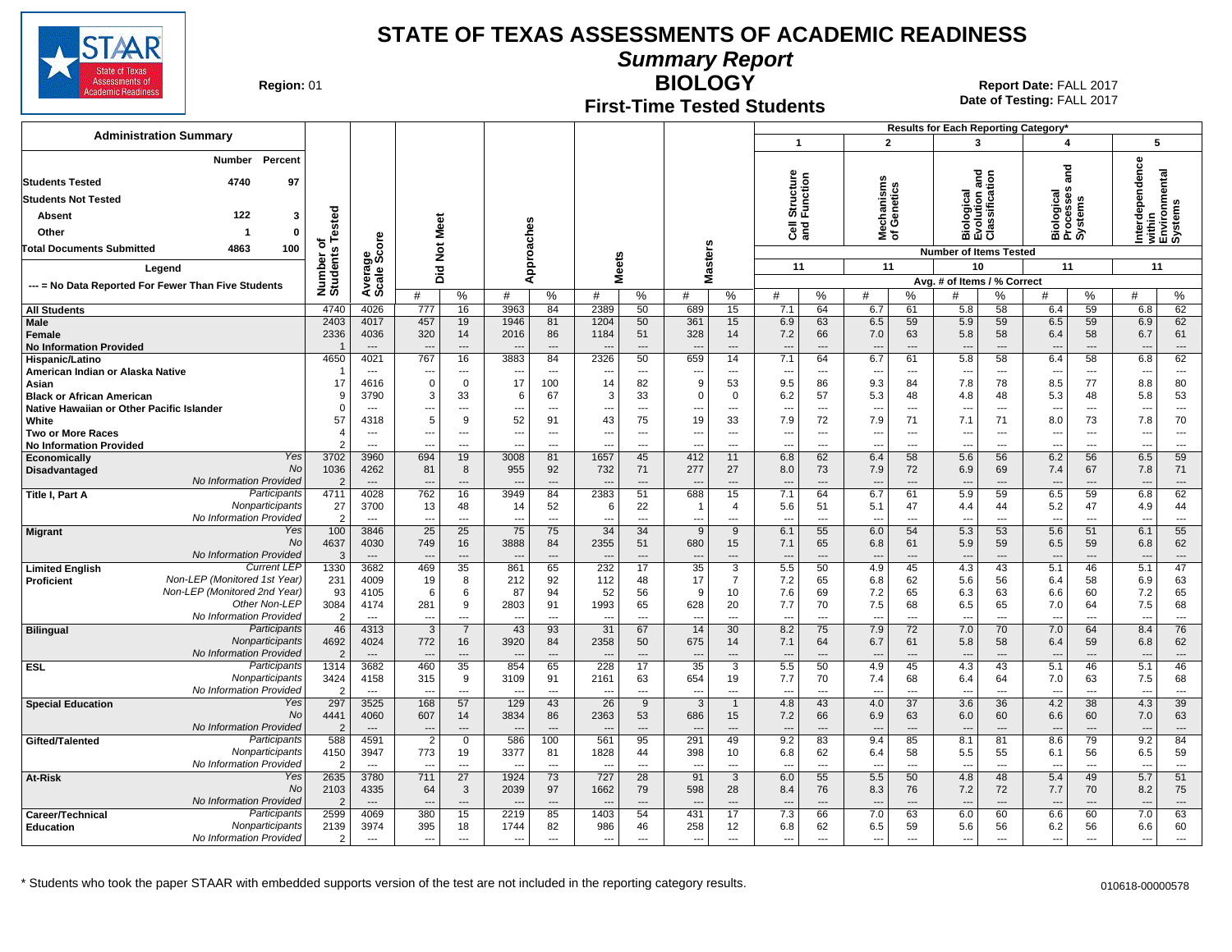

**Summary Report**

**Region: 01** 

#### **First-Time Tested Students BIOLOGY**

**Date of Testing:**  FALL 2017 01 **Report Date:** FALL 2017

| <b>Administration Summary</b>                                                |                        |                        |                          |                          |                      |                          |                               |                                |                                |                       | $\mathbf{1}$             |                                | $\overline{2}$                  |                          | Results for Each Reporting Category*<br>3            |                      | 4                               |                                    | 5                        |                                    |
|------------------------------------------------------------------------------|------------------------|------------------------|--------------------------|--------------------------|----------------------|--------------------------|-------------------------------|--------------------------------|--------------------------------|-----------------------|--------------------------|--------------------------------|---------------------------------|--------------------------|------------------------------------------------------|----------------------|---------------------------------|------------------------------------|--------------------------|------------------------------------|
| <b>Number</b><br>Percent                                                     |                        |                        |                          |                          |                      |                          |                               |                                |                                |                       |                          |                                |                                 |                          |                                                      |                      |                                 |                                    | Φ                        |                                    |
|                                                                              |                        |                        |                          |                          |                      |                          |                               |                                |                                |                       |                          |                                |                                 |                          | 짇                                                    |                      | ठ<br>듦                          |                                    |                          |                                    |
| 97<br><b>Students Tested</b><br>4740                                         |                        |                        |                          |                          |                      |                          |                               |                                |                                |                       | Structure<br>Function    |                                | U)                              |                          | <b>Siological</b><br>Evolution and<br>Classification |                      | ഗ                               |                                    | ependenc                 | within<br>Environmental<br>Systems |
| <b>Students Not Tested</b>                                                   |                        |                        |                          |                          |                      |                          |                               |                                |                                |                       |                          |                                | Mechanisms<br>of Genetics       |                          |                                                      |                      |                                 | Biological<br>Processes<br>Systems |                          |                                    |
| 122<br>Absent<br>3                                                           | Tested                 |                        |                          |                          |                      |                          |                               |                                |                                |                       |                          |                                |                                 |                          |                                                      |                      |                                 |                                    | 힡                        |                                    |
| $\mathbf{0}$<br>Other                                                        |                        |                        | Meet                     |                          |                      |                          |                               |                                |                                |                       | ලි දි                    |                                |                                 |                          | മ <b>ш ധ</b>                                         |                      |                                 |                                    |                          |                                    |
| 4863<br>100<br><b>Total Documents Submitted</b>                              | ৳                      | ge<br>Score            | $\frac{5}{2}$            |                          |                      |                          |                               |                                |                                |                       |                          |                                |                                 |                          | <b>Number of Items Tested</b>                        |                      |                                 |                                    |                          |                                    |
| Legend                                                                       | Number of<br>Students  |                        |                          |                          |                      | Approaches               | <b>Meets</b>                  |                                | <b>Masters</b>                 |                       | 11                       |                                | 11                              |                          | 10                                                   |                      | 11                              |                                    | 11                       |                                    |
| --- = No Data Reported For Fewer Than Five Students                          |                        | Averag<br>Scale        | Did                      |                          |                      |                          |                               |                                |                                |                       |                          |                                |                                 |                          | Avg. # of Items / % Correct                          |                      |                                 |                                    |                          |                                    |
|                                                                              |                        |                        | #                        | %                        | #                    | ℅                        | #                             | %                              | #                              | %                     | #                        | %                              | #                               | $\%$                     |                                                      | %                    |                                 | $\%$                               | #                        | $\%$                               |
| <b>All Students</b>                                                          | 4740                   | 4026                   | $\overline{777}$         | 16                       | 3963                 | 84                       | 2389                          | 50                             | 689                            | 15                    | 7.1                      | 64                             | 6.7                             | 61                       | 5.8                                                  | 58                   | 6.4                             | 59                                 | 6.8                      | 62                                 |
| Male<br>Female                                                               | 2403<br>2336           | 4017<br>4036           | 457<br>320               | 19<br>14                 | 1946<br>2016         | 81<br>86                 | 1204<br>1184                  | 50<br>51                       | 361<br>328                     | 15<br>14              | 6.9<br>7.2               | 63<br>66                       | 6.5<br>7.0                      | 59<br>63                 | 5.9<br>5.8                                           | 59<br>58             | 6.5<br>6.4                      | 59<br>58                           | 6.9<br>6.7               | 62<br>61                           |
| <b>No Information Provided</b>                                               |                        | $---$                  |                          | $\overline{\phantom{a}}$ |                      | $\overline{a}$           |                               | $\overline{\phantom{a}}$       |                                | $\overline{a}$        |                          | $\overline{a}$                 | $\overline{\phantom{a}}$        | $\overline{\phantom{a}}$ | $\overline{a}$                                       | ---                  |                                 | $\overline{a}$                     |                          | $---$                              |
| Hispanic/Latino                                                              | 4650                   | 4021                   | 767                      | 16                       | 3883                 | 84                       | 2326                          | 50                             | 659                            | 14                    | 7.1                      | 64                             | 6.7                             | 61                       | 5.8                                                  | 58                   | 6.4                             | 58                                 | 6.8                      | 62                                 |
| American Indian or Alaska Native                                             |                        | $\overline{a}$         |                          | $---$                    |                      | $\overline{a}$           |                               | $\overline{a}$                 |                                | $---$                 |                          | $---$                          | $\overline{\phantom{a}}$        | $\overline{a}$           | $\sim$                                               | $\overline{a}$       | --                              | $---$                              |                          | $\overline{a}$                     |
| Asian<br><b>Black or African American</b>                                    | 17                     | 4616<br>3790           | $\mathbf 0$<br>3         | $\mathbf 0$<br>33        | 17<br>6              | 100<br>67                | 14<br>3                       | 82<br>33                       | 9<br>$\Omega$                  | 53<br>$\Omega$        | 9.5<br>6.2               | 86<br>57                       | 9.3<br>5.3                      | 84<br>48                 | 7.8<br>4.8                                           | 78<br>48             | 8.5<br>5.3                      | 77<br>48                           | 8.8<br>5.8               | 80<br>53                           |
| Native Hawaiian or Other Pacific Islander                                    | $\Omega$               | $---$                  | ---                      | $---$                    |                      | $\overline{a}$           | ---                           | $\overline{a}$                 |                                | $\overline{a}$        | $\overline{a}$           | $\overline{a}$                 | $\overline{\phantom{a}}$        | $\overline{a}$           | $\overline{a}$                                       | $\overline{a}$       | $\overline{\phantom{a}}$        | $---$                              | --                       | $\overline{\phantom{a}}$           |
| White                                                                        | 57                     | 4318                   | 5                        | 9                        | 52                   | 91                       | 43                            | 75                             | 19                             | 33                    | 7.9                      | 72                             | 7.9                             | 71                       | 7.1                                                  | 71                   | 8.0                             | 73                                 | 7.8                      | 70                                 |
| <b>Two or More Races</b>                                                     |                        | $\overline{a}$         | ---                      | $\overline{a}$           | $\sim$               | $\overline{a}$           | ---                           | $\overline{\phantom{a}}$       | $\sim$                         | $\overline{a}$        | $\overline{a}$           | $\overline{a}$                 | $\overline{\phantom{a}}$        | $\overline{a}$           | $\overline{a}$                                       | ---                  | $\overline{\phantom{a}}$        | $\overline{a}$                     |                          | $---$                              |
| <b>No Information Provided</b><br>Yes                                        | 3702                   | $\overline{a}$<br>3960 | ---<br>694               | $\overline{a}$<br>19     | 3008                 | $\overline{a}$<br>81     | $\sim$<br>1657                | $\overline{a}$<br>45           | $\sim$<br>412                  | $\overline{a}$<br>11  | $\overline{a}$<br>6.8    | $\overline{a}$<br>62           | $\overline{\phantom{a}}$<br>6.4 | $\overline{a}$<br>58     | $\overline{a}$<br>5.6                                | ---<br>56            | $\overline{\phantom{a}}$<br>6.2 | $---$<br>56                        | ---<br>6.5               | $\overline{a}$<br>59               |
| Economically<br>No<br>Disadvantaged                                          | 1036                   | 4262                   | 81                       | 8                        | 955                  | 92                       | 732                           | 71                             | 277                            | 27                    | 8.0                      | 73                             | 7.9                             | 72                       | 6.9                                                  | 69                   | 7.4                             | 67                                 | 7.8                      | 71                                 |
| No Information Provided                                                      | $\overline{2}$         | $---$                  |                          | $\overline{\phantom{a}}$ |                      | $\overline{\phantom{a}}$ |                               | $\overline{\phantom{a}}$       |                                | $\overline{a}$        | $\overline{a}$           | $\overline{a}$                 | $\overline{\phantom{a}}$        | ---                      | $\overline{a}$                                       | ---                  | $\overline{\phantom{a}}$        | $\overline{a}$                     | $\overline{a}$           | $---$                              |
| Participants<br>Title I, Part A                                              | 4711                   | 4028                   | 762                      | 16                       | 3949                 | 84                       | 2383                          | 51                             | 688                            | 15                    | 7.1                      | 64                             | 6.7                             | 61                       | 5.9                                                  | 59                   | 6.5                             | 59                                 | 6.8                      | 62                                 |
| Nonparticipants<br>No Information Provided                                   | 27<br>2                | 3700<br>$\overline{a}$ | 13                       | 48                       | 14<br>$\overline{a}$ | 52<br>$\overline{a}$     | 6<br>$\overline{\phantom{a}}$ | 22<br>$\overline{\phantom{a}}$ | -1                             | $\overline{4}$<br>--- | 5.6                      | 51<br>$\overline{a}$           | 5.1<br>$\overline{\phantom{a}}$ | 47<br>---                | 4.4<br>$\overline{a}$                                | 44<br>---            | 5.2<br>$\overline{a}$           | 47                                 | 4.9<br>---               | 44<br>$\overline{\phantom{a}}$     |
| Yes<br>Migrant                                                               | 100                    | 3846                   | ---<br>25                | 25                       | 75                   | 75                       | 34                            | 34                             | 9                              | 9                     | $---$<br>6.1             | 55                             | 6.0                             | 54                       | 5.3                                                  | 53                   | 5.6                             | 51                                 | 6.1                      | 55                                 |
| No                                                                           | 4637                   | 4030                   | 749                      | 16                       | 3888                 | 84                       | 2355                          | 51                             | 680                            | 15                    | 7.1                      | 65                             | 6.8                             | 61                       | 5.9                                                  | 59                   | 6.5                             | 59                                 | 6.8                      | 62                                 |
| No Information Provided                                                      | 3                      | $---$                  |                          | $\overline{\phantom{a}}$ |                      | $\overline{a}$           |                               | $---$                          |                                | $\overline{a}$        |                          | $---$                          | $\sim$ $\sim$                   | $---$                    | $---$                                                | $\overline{a}$       | $\overline{\phantom{a}}$        | $\overline{a}$                     | ---                      | $\overline{\phantom{a}}$           |
| <b>Current LEP</b><br><b>Limited English</b><br>Non-LEP (Monitored 1st Year) | 1330                   | 3682                   | 469                      | 35                       | 861                  | 65                       | 232                           | 17                             | $\overline{35}$                | 3<br>$\overline{7}$   | 5.5                      | 50                             | 4.9                             | 45                       | 4.3                                                  | 43                   | 5.1                             | 46                                 | 5.1                      | 47                                 |
| Proficient<br>Non-LEP (Monitored 2nd Year)                                   | 231<br>93              | 4009<br>4105           | 19<br>6                  | 8<br>6                   | 212<br>87            | 92<br>94                 | 112<br>52                     | 48<br>56                       | 17<br><sub>9</sub>             | 10                    | 7.2<br>7.6               | 65<br>69                       | 6.8<br>7.2                      | 62<br>65                 | 5.6<br>6.3                                           | 56<br>63             | 6.4<br>6.6                      | 58<br>60                           | 6.9<br>7.2               | 63<br>65                           |
| Other Non-LEP                                                                | 3084                   | 4174                   | 281                      | 9                        | 2803                 | 91                       | 1993                          | 65                             | 628                            | 20                    | 7.7                      | 70                             | 7.5                             | 68                       | 6.5                                                  | 65                   | 7.0                             | 64                                 | 7.5                      | 68                                 |
| No Information Provided                                                      | $\overline{2}$         | $---$                  | ---                      | $---$                    | $\overline{a}$       | $\overline{a}$           | $\overline{a}$                | $\overline{a}$                 | $\overline{\phantom{a}}$       | $\overline{a}$        | $\overline{a}$           | $---$                          | $\overline{\phantom{a}}$        | $\overline{a}$           | $\overline{a}$                                       | ---                  | $\overline{a}$                  | $---$                              | ---                      | ---                                |
| Participants<br><b>Bilingual</b>                                             | 46                     | 4313                   | 3                        | $\overline{7}$           | 43                   | 93                       | 31                            | 67                             | 14                             | 30                    | 8.2                      | 75                             | 7.9                             | 72                       | 7.0                                                  | 70                   | 7.0                             | 64                                 | 8.4                      | 76                                 |
| Nonparticipants<br>No Information Provided                                   | 4692<br>$\overline{2}$ | 4024<br>$---$          | 772                      | 16                       | 3920                 | 84<br>---                | 2358                          | 50<br>$\overline{\phantom{a}}$ | 675                            | 14<br>---             | 7.1                      | 64<br>$\overline{\phantom{a}}$ | 6.7                             | 61<br>---                | 5.8<br>$\overline{\phantom{a}}$                      | 58<br>---            | 6.4                             | 59<br>$\overline{a}$               | 6.8                      | 62<br>$\cdots$                     |
| Participants<br><b>ESL</b>                                                   | 1314                   | 3682                   | 460                      | 35                       | 854                  | 65                       | 228                           | 17                             | 35                             | 3                     | 5.5                      | 50                             | 4.9                             | 45                       | 4.3                                                  | 43                   | 5.1                             | 46                                 | 5.1                      | 46                                 |
| Nonparticipants                                                              | 3424                   | 4158                   | 315                      | 9                        | 3109                 | 91                       | 2161                          | 63                             | 654                            | 19                    | 7.7                      | 70                             | 7.4                             | 68                       | 6.4                                                  | 64                   | 7.0                             | 63                                 | 7.5                      | 68                                 |
| No Information Provided                                                      | 2                      | ---                    |                          | $\overline{\phantom{a}}$ | $\overline{a}$       | $\overline{a}$           | $\sim$                        | ---                            | $\overline{\phantom{a}}$       | ---                   |                          | $\overline{a}$                 | $\overline{\phantom{a}}$        | ---                      | $\overline{a}$                                       | ---                  | $\overline{\phantom{a}}$        | $\overline{\phantom{a}}$           | ---                      | $\overline{\phantom{a}}$           |
| Yes<br><b>Special Education</b><br>No                                        | 297<br>4441            | 3525<br>4060           | 168<br>607               | 57<br>14                 | 129<br>3834          | 43<br>86                 | 26<br>2363                    | 9<br>53                        | 3<br>686                       | $\overline{1}$<br>15  | 4.8<br>7.2               | 43<br>66                       | 4.0<br>6.9                      | 37<br>63                 | 3.6<br>6.0                                           | 36<br>60             | 4.2<br>6.6                      | 38<br>60                           | 4.3<br>7.0               | 39<br>63                           |
| No Information Provided                                                      |                        | $---$                  | ---                      | $\overline{a}$           |                      | $\overline{a}$           | $\overline{\phantom{a}}$      | $\overline{\phantom{a}}$       |                                | $\overline{a}$        | $\overline{a}$           | $\overline{a}$                 | $\overline{\phantom{a}}$        | ---                      | $\overline{a}$                                       | ---                  | $\overline{\phantom{a}}$        | $\overline{a}$                     | $\overline{\phantom{a}}$ | $\overline{\phantom{a}}$           |
| Participants<br>Gifted/Talented                                              | 588                    | 4591                   | $\overline{2}$           | 0                        | 586                  | 100                      | 561                           | 95                             | 291                            | 49                    | 9.2                      | 83                             | 9.4                             | 85                       | 8.1                                                  | 81                   | 8.6                             | 79                                 | 9.2                      | 84                                 |
| Nonparticipants                                                              | 4150                   | 3947                   | 773                      | 19                       | 3377                 | 81                       | 1828                          | 44                             | 398                            | 10                    | 6.8                      | 62                             | 6.4                             | 58                       | 5.5                                                  | 55                   | 6.1                             | 56                                 | 6.5                      | 59                                 |
| No Information Provided<br>Yes                                               | 2<br>2635              | $\overline{a}$<br>3780 | 711                      | $\sim$<br>27             | $\overline{a}$       | $\overline{a}$<br>73     | $\sim$<br>727                 | $- - -$<br>28                  | $\overline{\phantom{a}}$<br>91 | $\overline{a}$<br>3   | $---$<br>6.0             | $\overline{a}$<br>55           | $\sim$<br>5.5                   | $\overline{a}$<br>50     | $\overline{a}$<br>4.8                                | $\overline{a}$<br>48 | $\overline{\phantom{a}}$<br>5.4 | $\overline{a}$<br>49               | ---                      | $\overline{\phantom{a}}$<br>51     |
| At-Risk<br>No                                                                | 2103                   | 4335                   | 64                       | $\mathbf{3}$             | 1924<br>2039         | 97                       | 1662                          | 79                             | 598                            | 28                    | 8.4                      | 76                             | 8.3                             | 76                       | 7.2                                                  | 72                   | 7.7                             | 70                                 | 5.7<br>8.2               | 75                                 |
| No Information Provideo                                                      | $\overline{2}$         | $---$                  | ---                      | $---$                    | $\overline{a}$       | $---$                    | $---$                         | $\overline{\phantom{a}}$       | $\overline{\phantom{a}}$       | $---$                 | $\overline{a}$           | $---$                          | $\overline{\phantom{a}}$        | $---$                    | $\overline{a}$                                       | $\overline{a}$       | $\overline{a}$                  | $---$                              | $\overline{a}$           | $\cdots$                           |
| Participants<br>Career/Technical                                             | 2599                   | 4069                   | 380                      | 15                       | 2219                 | 85                       | 1403                          | 54                             | 431                            | 17                    | 7.3                      | 66                             | 7.0                             | 63                       | 6.0                                                  | 60                   | 6.6                             | 60                                 | 7.0                      | 63                                 |
| Nonparticipants<br><b>Education</b>                                          | 2139                   | 3974                   | 395                      | 18                       | 1744                 | 82                       | 986                           | 46                             | 258                            | 12                    | 6.8                      | 62                             | 6.5                             | 59                       | 5.6                                                  | 56                   | 6.2                             | 56                                 | 6.6                      | 60                                 |
| No Information Provided                                                      | 2                      | $\overline{a}$         | $\overline{\phantom{a}}$ | $\sim$                   | $\overline{a}$       | $\overline{a}$           | $\overline{\phantom{a}}$      | $\overline{\phantom{a}}$       | $\overline{\phantom{a}}$       | $\overline{a}$        | $\overline{\phantom{a}}$ | $\overline{a}$                 | $\overline{\phantom{a}}$        | $\sim$                   | $\overline{\phantom{a}}$                             | ---                  | ---                             | $\overline{a}$                     | ---                      | $\overline{\phantom{a}}$           |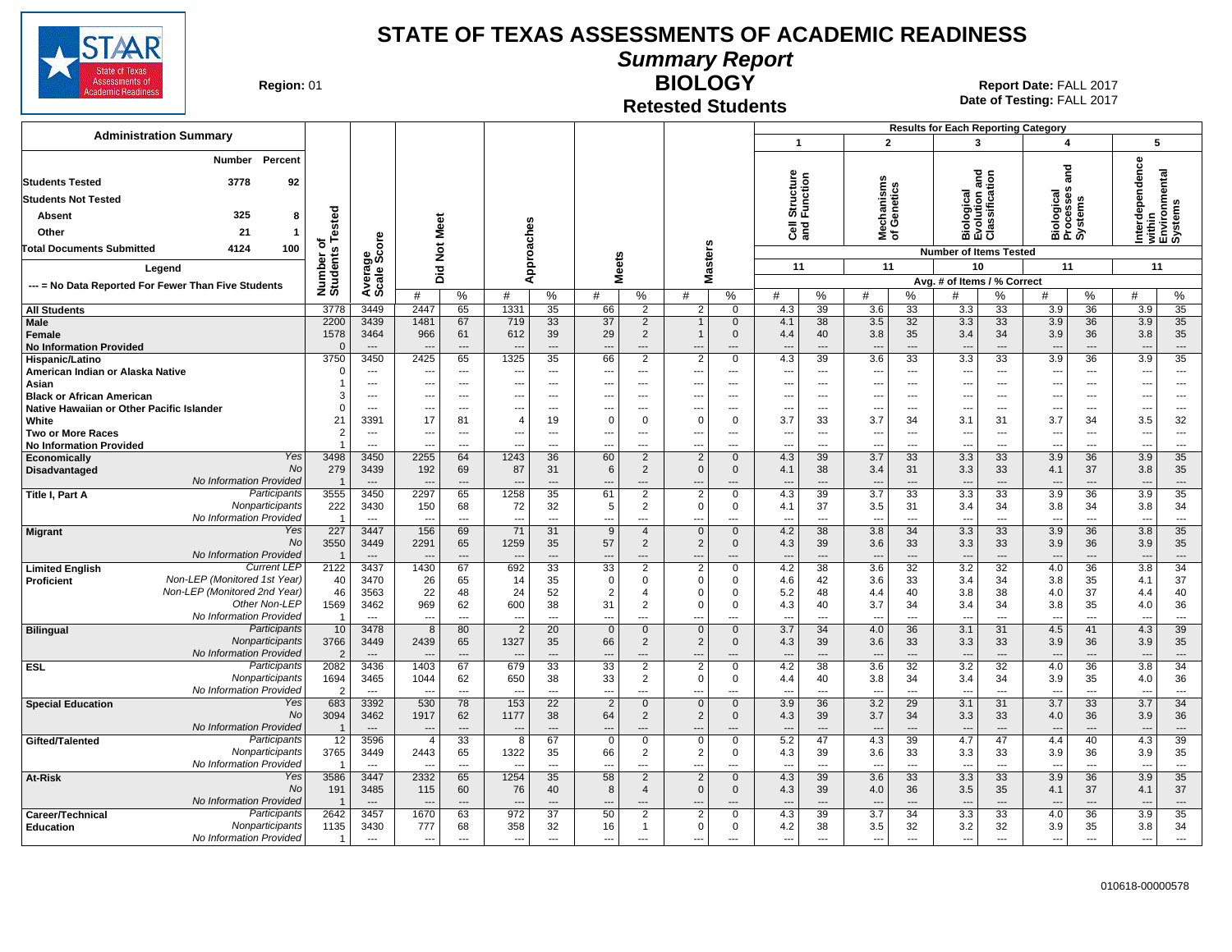

**Summary Report**

**Region: 01** 

### **Retested Students**

**BIOLOGY** Report Date: FALL 2017 **Date of Testing:**  FALL 2017

|                                                                           |                                    |                                          |                                 |                            |                                 |                                  |                            |                                  |                                     |                                                |                                  |                 |                                                      |                                      | <b>Results for Each Reporting Category</b>           |                                |                                        |                                           |                                                       |                                             |
|---------------------------------------------------------------------------|------------------------------------|------------------------------------------|---------------------------------|----------------------------|---------------------------------|----------------------------------|----------------------------|----------------------------------|-------------------------------------|------------------------------------------------|----------------------------------|-----------------|------------------------------------------------------|--------------------------------------|------------------------------------------------------|--------------------------------|----------------------------------------|-------------------------------------------|-------------------------------------------------------|---------------------------------------------|
| <b>Administration Summary</b>                                             |                                    |                                          |                                 |                            |                                 |                                  |                            |                                  |                                     |                                                | $\mathbf{1}$                     |                 | $\overline{2}$                                       |                                      | $\mathbf{3}$                                         |                                | 4                                      |                                           | 5                                                     |                                             |
| Percent<br>Number<br><b>Students Tested</b><br>3778<br>92                 |                                    |                                          |                                 |                            |                                 |                                  |                            |                                  |                                     |                                                | Structure<br>Function            |                 |                                                      |                                      | logical<br><sub>bluttion and</sub><br>ssification    |                                | ลิก<br>ลิ                              |                                           | Interdependence<br>within<br>Environmental<br>Systems |                                             |
|                                                                           |                                    |                                          |                                 |                            |                                 |                                  |                            |                                  |                                     |                                                |                                  |                 | hanisms<br>ienetics                                  |                                      |                                                      |                                |                                        | <b>Siological</b><br>Processes<br>Systems |                                                       |                                             |
| <b>Students Not Tested</b>                                                |                                    |                                          |                                 |                            |                                 |                                  |                            |                                  |                                     |                                                |                                  |                 |                                                      |                                      |                                                      |                                |                                        |                                           |                                                       |                                             |
| 325<br>Absent<br>8                                                        |                                    |                                          | Meet                            |                            |                                 |                                  |                            |                                  |                                     |                                                |                                  |                 | မြို့ ဗီ                                             |                                      | $\frac{8}{2}$ $\frac{8}{2}$                          |                                |                                        |                                           |                                                       |                                             |
| Other<br>21<br>-1                                                         |                                    |                                          |                                 |                            |                                 |                                  |                            |                                  |                                     |                                                | e≣<br>ama                        |                 | হঁ ১                                                 |                                      | ¤úō                                                  |                                | m rū ဖ်ာ                               |                                           |                                                       |                                             |
| 100<br><b>Total Documents Submitted</b><br>4124                           |                                    |                                          | $\frac{5}{2}$                   |                            |                                 |                                  |                            |                                  |                                     |                                                |                                  |                 |                                                      |                                      | <b>Number of Items Tested</b>                        |                                |                                        |                                           |                                                       |                                             |
| Legend                                                                    | Number of<br>Students Tested       | Average<br>Scale Score                   | Did                             |                            |                                 | Approaches                       |                            | <b>Meets</b>                     |                                     | asters                                         | 11                               |                 | 11                                                   |                                      | 10                                                   |                                | 11                                     |                                           | 11                                                    |                                             |
| --- = No Data Reported For Fewer Than Five Students                       |                                    |                                          |                                 |                            |                                 |                                  |                            |                                  | Σ                                   |                                                |                                  |                 |                                                      |                                      | Avg. # of Items / % Correct                          |                                |                                        |                                           |                                                       |                                             |
|                                                                           |                                    |                                          | #                               | %                          | #                               | %                                | #                          | %                                | #                                   | %                                              | #                                | %               | #                                                    | %                                    | #                                                    | %                              | #                                      | %                                         | #                                                     | %                                           |
| <b>All Students</b>                                                       | 3778                               | 3449                                     | 2447                            | 65                         | 1331                            | 35                               | 66                         | 2                                | 2                                   | $\mathbf 0$                                    | 4.3                              | 39              | 3.6                                                  | 33                                   | 3.3                                                  | 33                             | 3.9                                    | 36                                        | 3.9                                                   | 35                                          |
| Male<br>Female<br><b>No Information Provided</b>                          | 2200<br>1578<br>$\Omega$           | 3439<br>3464<br>$\overline{\phantom{a}}$ | 1481<br>966                     | 67<br>61<br>$\overline{a}$ | 719<br>612                      | 33<br>39<br>$\overline{a}$       | 37<br>29<br>$\overline{a}$ | 2<br>2<br>$\overline{a}$         | $\mathbf 1$<br>-1<br>$\overline{a}$ | $\mathbf{0}$<br>$\mathbf{0}$<br>$\overline{a}$ | 4.1<br>4.4<br>$\sim$             | 38<br>40<br>--- | 3.5<br>3.8<br>$\overline{a}$                         | 32<br>35<br>$\overline{\phantom{a}}$ | 3.3<br>3.4<br>$\overline{a}$                         | 33<br>34<br>$\overline{a}$     | 3.9<br>3.9<br>$\overline{\phantom{a}}$ | 36<br>36<br>$\overline{\phantom{a}}$      | 3.9<br>3.8<br>$\sim$                                  | 35<br>35<br>$---$                           |
| <b>Hispanic/Latino</b>                                                    | 3750                               | 3450                                     | 2425                            | 65                         | 1325                            | 35                               | 66                         | $\overline{2}$                   | $\overline{2}$                      | $\mathbf 0$                                    | 4.3                              | 39              | 3.6                                                  | 33                                   | 3.3                                                  | 33                             | 3.9                                    | 36                                        | 3.9                                                   | 35                                          |
| American Indian or Alaska Native                                          | $\Omega$<br>-1                     | $\overline{\phantom{a}}$<br>$-$          | --<br>--                        | $---$<br>$\sim$            | $\overline{a}$                  | $\overline{a}$<br>$\overline{a}$ | ---<br>---                 | $\overline{a}$<br>$\overline{a}$ | $\overline{a}$<br>---               | ---<br>$\overline{a}$                          | $\overline{a}$<br>$\overline{a}$ | ---<br>---      | $\overline{\phantom{a}}$                             | $\sim$<br>$\overline{\phantom{a}}$   | $\overline{\phantom{a}}$<br>$\overline{\phantom{a}}$ | ---<br>$\overline{a}$          | $\overline{\phantom{a}}$<br>---        | ---<br>---                                | ---<br>---                                            | $\sim$<br>$\sim$                            |
| Asian<br><b>Black or African American</b>                                 | 3                                  | $\overline{a}$                           | ---                             | ---                        | ---                             | ---                              | ---                        | ---                              | ---                                 | ---                                            | ---                              | ---             | $\overline{\phantom{a}}$<br>$\overline{\phantom{a}}$ | $\sim$                               | $\overline{\phantom{a}}$                             | ---                            | $---$                                  | ---                                       | ---                                                   | $\overline{a}$                              |
| Native Hawaiian or Other Pacific Islander                                 | $\Omega$                           | $\overline{a}$                           | ---                             | ---                        | ---                             | $\overline{a}$                   | ---                        | ---                              | $\overline{a}$                      | ---                                            | $\overline{\phantom{a}}$         | ---             | $\overline{\phantom{a}}$                             | $\overline{\phantom{a}}$             | $\overline{\phantom{a}}$                             | ---                            | ---                                    | ---                                       | ---                                                   | $---$                                       |
| White                                                                     | 21                                 | 3391                                     | 17                              | 81                         | 4                               | 19                               | $\Omega$                   | $\mathbf 0$                      | $\Omega$                            | 0                                              | 3.7                              | 33              | 3.7                                                  | 34                                   | 3.1                                                  | 31                             | 3.7                                    | 34                                        | 3.5                                                   | 32                                          |
| <b>Two or More Races</b>                                                  | $\overline{2}$                     | $\overline{\phantom{a}}$                 | ---                             | ---                        |                                 | $\overline{a}$                   | $\qquad \qquad \cdots$     | ---                              | $\overline{\phantom{a}}$            | ---                                            | $\overline{a}$                   | ---             | $\overline{\phantom{a}}$                             | $\overline{\phantom{a}}$             | $\sim$                                               | ---                            | ---                                    | ---                                       | ---                                                   | $---$                                       |
| <b>No Information Provided</b><br>Yes                                     | $\overline{1}$                     | $\overline{a}$<br>3450                   | --<br>2255                      | ---                        |                                 | $\overline{a}$                   | $\overline{a}$<br>60       | $\overline{a}$                   | $\overline{a}$<br>$\overline{2}$    | ---                                            | $\overline{a}$                   | ---<br>39       | ---                                                  | ---                                  | $\overline{\phantom{a}}$<br>3.3                      | ---                            | $\overline{a}$                         | ---<br>36                                 | Ξ.                                                    | $\hspace{0.05cm} \ldots$<br>35              |
| <b>Economically</b><br><b>No</b><br>Disadvantaged                         | 3498<br>279                        | 3439                                     | 192                             | 64<br>69                   | 1243<br>87                      | 36<br>31                         | 6                          | 2<br>2                           | $\mathbf{0}$                        | $\mathbf{0}$<br>$\mathbf{0}$                   | 4.3<br>4.1                       | 38              | 3.7<br>3.4                                           | 33<br>31                             | 3.3                                                  | 33<br>33                       | 3.9<br>4.1                             | 37                                        | 3.9<br>3.8                                            | 35                                          |
| No Information Provided                                                   |                                    | $---$                                    |                                 |                            |                                 | $\overline{a}$                   | ---                        | $\overline{\phantom{a}}$         |                                     |                                                |                                  | ---             | $\overline{\phantom{a}}$                             | $\overline{\phantom{a}}$             | $\overline{\phantom{a}}$                             | ---                            |                                        | ---                                       |                                                       | $\hspace{0.05cm} \ldots$                    |
| Participants<br>Title I, Part A                                           | 3555                               | 3450                                     | 2297                            | 65                         | 1258                            | 35                               | 61                         | 2                                | 2                                   | 0                                              | 4.3                              | 39              | 3.7                                                  | 33                                   | 3.3                                                  | 33                             | 3.9                                    | 36                                        | 3.9                                                   | 35                                          |
| Nonparticipants                                                           | 222                                | 3430                                     | 150                             | 68                         | 72                              | 32                               | 5                          | 2                                | $\Omega$                            | 0                                              | 4.1                              | 37              | 3.5                                                  | 31                                   | 3.4                                                  | 34                             | 3.8                                    | 34                                        | 3.8                                                   | 34                                          |
| No Information Provided<br>Yes                                            | $\overline{1}$<br>$\overline{227}$ | $\sim$<br>3447                           | 156                             | $\overline{a}$<br>69       | $\overline{a}$<br>71            | $\overline{a}$<br>31             | $\overline{a}$<br>9        | $\overline{a}$<br>$\overline{4}$ | $\overline{a}$<br>$\Omega$          | ---<br>$\mathbf{0}$                            | $\overline{a}$<br>4.2            | ---<br>38       | $\overline{a}$<br>3.8                                | $\overline{\phantom{a}}$<br>34       | $\overline{\phantom{a}}$<br>3.3                      | $\overline{a}$<br>33           | $\sim$<br>3.9                          | $\overline{a}$<br>36                      | $\overline{a}$<br>3.8                                 | $\hspace{0.05cm} \ldots$<br>$\overline{35}$ |
| <b>Migrant</b><br>No                                                      | 3550                               | 3449                                     | 2291                            | 65                         | 1259                            | 35                               | 57                         | $\overline{2}$                   | 2                                   | $\mathbf{0}$                                   | 4.3                              | 39              | 3.6                                                  | 33                                   | 3.3                                                  | 33                             | 3.9                                    | 36                                        | 3.9                                                   | 35                                          |
| No Information Provided                                                   | $\overline{\mathbf{1}}$            | $\overline{a}$                           |                                 |                            |                                 | ---                              | $\overline{\phantom{a}}$   | $---$                            | $\overline{\phantom{a}}$            |                                                | $---$                            | ---             | $\overline{\phantom{a}}$                             | $\overline{\phantom{a}}$             | $\overline{\phantom{a}}$                             | ---                            |                                        | ---                                       | ---                                                   | $\hspace{0.05cm} \ldots$                    |
| <b>Current LEP</b><br><b>Limited English</b>                              | 2122                               | 3437                                     | 1430                            | 67                         | 692                             | 33                               | $\overline{33}$            | 2                                | 2                                   | 0                                              | 4.2                              | 38              | 3.6                                                  | 32                                   | 3.2                                                  | 32                             | 4.0                                    | 36                                        | 3.8                                                   | 34                                          |
| Non-LEP (Monitored 1st Year)<br>Proficient<br>Non-LEP (Monitored 2nd Year | 40                                 | 3470                                     | 26                              | 65                         | 14                              | 35                               | $\mathbf 0$                | $\Omega$                         | $\Omega$                            | $\Omega$                                       | 4.6                              | 42              | 3.6                                                  | 33                                   | 3.4                                                  | 34                             | 3.8                                    | 35                                        | 4.1                                                   | 37                                          |
| Other Non-LEP                                                             | 46<br>1569                         | 3563<br>3462                             | 22<br>969                       | 48<br>62                   | 24<br>600                       | 52<br>38                         | $\overline{2}$<br>31       | 4<br>2                           | $\Omega$<br>$\Omega$                | 0<br>$\Omega$                                  | 5.2<br>4.3                       | 48<br>40        | 4.4<br>3.7                                           | 40<br>34                             | 3.8<br>3.4                                           | 38<br>34                       | 4.0<br>3.8                             | 37<br>35                                  | 4.4<br>4.0                                            | 40<br>36                                    |
| No Information Provided                                                   | $\overline{1}$                     | $\sim$                                   | $\overline{a}$                  | $\overline{a}$             | $\overline{a}$                  | $\overline{a}$                   | $\overline{a}$             | $- - -$                          | ---                                 | ---                                            | $\overline{a}$                   | $\overline{a}$  | $\overline{\phantom{a}}$                             | $\overline{\phantom{a}}$             | $\sim$                                               | $\overline{a}$                 | $\overline{\phantom{a}}$               | $\overline{a}$                            | ---                                                   | $\sim$                                      |
| <b>Bilingual</b><br>Participants                                          | 10                                 | 3478                                     | 8                               | 80                         | 2                               | 20                               | $\mathbf{0}$               | $\Omega$                         | $\Omega$                            | $\mathbf{0}$                                   | 3.7                              | 34              | 4.0                                                  | 36                                   | 3.1                                                  | 31                             | 4.5                                    | 41                                        | 4.3                                                   | 39                                          |
| Nonparticipants                                                           | 3766                               | 3449                                     | 2439                            | 65                         | 1327                            | 35                               | 66                         | $\overline{2}$                   | 2                                   | $\mathbf 0$                                    | 4.3                              | 39              | 3.6                                                  | 33                                   | 3.3                                                  | 33                             | 3.9                                    | 36                                        | 3.9                                                   | 35                                          |
| No Information Provided                                                   | $\overline{2}$                     | $---$                                    |                                 | $---$                      | $\overline{\phantom{a}}$        | $---$                            | $\overline{\phantom{a}}$   | $---$                            | $\overline{a}$                      | ---                                            | $\overline{a}$                   | ---             | $\overline{\phantom{a}}$                             | $---$                                | $\sim$                                               | $---$                          | $\overline{\phantom{a}}$               | $\overline{a}$                            | ---                                                   | $\overline{a}$                              |
| Participants<br><b>ESL</b><br>Nonparticipants                             | 2082<br>1694                       | 3436<br>3465                             | 1403<br>1044                    | 67<br>62                   | 679<br>650                      | 33<br>38                         | $\overline{33}$<br>33      | 2<br>2                           | $\overline{2}$<br>$\Omega$          | 0<br>$\mathbf 0$                               | 4.2<br>4.4                       | 38<br>40        | 3.6<br>3.8                                           | 32<br>34                             | 3.2<br>3.4                                           | 32<br>34                       | 4.0<br>3.9                             | 36<br>35                                  | 3.8<br>4.0                                            | 34<br>36                                    |
| No Information Provided                                                   | $\overline{2}$                     | $-$                                      |                                 | $\overline{a}$             | $\overline{\phantom{a}}$        | $\overline{a}$                   | $\overline{a}$             | $\overline{a}$                   | ---                                 | $---$                                          | $\overline{a}$                   | $\overline{a}$  | $\overline{\phantom{a}}$                             | $\overline{\phantom{a}}$             | $\sim$                                               | $\overline{a}$                 | $\overline{\phantom{a}}$               | $\overline{a}$                            | ---                                                   | $\sim$                                      |
| Yes<br><b>Special Education</b>                                           | 683                                | 3392                                     | 530                             | 78                         | 153                             | $\overline{22}$                  | $\overline{2}$             | $\Omega$                         | $\mathbf 0$                         | $\mathbf 0$                                    | 3.9                              | 36              | 3.2                                                  | 29                                   | 3.1                                                  | 31                             | 3.7                                    | 33                                        | 3.7                                                   | 34                                          |
| <b>No</b>                                                                 | 3094                               | 3462                                     | 1917                            | 62                         | 1177                            | 38                               | 64                         | 2                                | 2                                   | $\mathbf 0$                                    | 4.3                              | 39              | 3.7                                                  | 34                                   | 3.3                                                  | 33                             | 4.0                                    | 36                                        | 3.9                                                   | 36                                          |
| No Information Provided                                                   | $\overline{1}$                     | $---$                                    | $\overline{a}$                  | $---$                      |                                 | $\overline{a}$                   | $\overline{a}$             | $\overline{a}$                   | $\overline{a}$                      | $---$                                          | $\overline{a}$                   | ---             | ---                                                  | $\overline{\phantom{a}}$             | $\overline{a}$                                       | $---$                          | $\overline{\phantom{a}}$               | ---                                       | ---                                                   | $---$                                       |
| Participants<br>Gifted/Talented<br>Nonparticipants                        | 12<br>3765                         | 3596<br>3449                             | $\overline{4}$<br>2443          | 33<br>65                   | 8<br>1322                       | 67<br>35                         | $\Omega$<br>66             | $\Omega$<br>2                    | $\Omega$<br>2                       | $\mathbf 0$<br>0                               | 5.2<br>4.3                       | 47<br>39        | 4.3<br>3.6                                           | 39<br>33                             | 4.7<br>3.3                                           | 47<br>33                       | 4.4<br>3.9                             | 40<br>36                                  | 4.3<br>3.9                                            | 39<br>35                                    |
| No Information Provided                                                   |                                    | $\overline{\phantom{a}}$                 |                                 | $\overline{a}$             |                                 | $\overline{a}$                   | $\overline{a}$             | $\overline{a}$                   | ---                                 | ---                                            | $\overline{\phantom{a}}$         | ---             | $\overline{\phantom{a}}$                             | $\overline{\phantom{a}}$             | $\overline{\phantom{a}}$                             | $\overline{a}$                 | $\overline{\phantom{a}}$               | $\overline{a}$                            | ---                                                   | $---$                                       |
| Yes<br>At-Risk                                                            | 3586                               | 3447                                     | 2332                            | 65                         | 1254                            | 35                               | 58                         | $\overline{2}$                   | $\overline{2}$                      | $\overline{0}$                                 | 4.3                              | 39              | 3.6                                                  | $\overline{33}$                      | 3.3                                                  | $\overline{33}$                | 3.9                                    | 36                                        | 3.9                                                   | 35                                          |
| No                                                                        | 191                                | 3485                                     | 115                             | 60                         | 76                              | 40                               | 8                          | $\overline{4}$                   | $\mathbf{0}$                        | $\mathbf 0$                                    | 4.3                              | 39              | 4.0                                                  | 36                                   | 3.5                                                  | 35                             | 4.1                                    | 37                                        | 4.1                                                   | 37                                          |
| No Information Provided                                                   | -1                                 | $---$                                    |                                 | $---$                      |                                 | $---$                            | ---                        | $---$                            |                                     | ---                                            |                                  | ---             | $\overline{\phantom{a}}$                             | $\overline{\phantom{a}}$             |                                                      | $---$                          |                                        | ---                                       | $\overline{\phantom{a}}$                              | $\overline{\phantom{a}}$                    |
| Participants<br>Career/Technical                                          | 2642                               | 3457                                     | 1670                            | 63                         | 972                             | $\overline{37}$                  | 50                         | $\overline{2}$                   | $\overline{2}$                      | $\mathbf 0$                                    | 4.3                              | 39              | $\overline{3.7}$                                     | 34                                   | 3.3                                                  | $\overline{33}$                | 4.0                                    | 36                                        | 3.9                                                   | 35                                          |
| Nonparticipants<br><b>Education</b><br>No Information Provided            | 1135<br>$\overline{1}$             | 3430<br>$\overline{\phantom{a}}$         | 777<br>$\overline{\phantom{a}}$ | 68<br>$---$                | 358<br>$\overline{\phantom{a}}$ | 32<br>$\overline{\phantom{a}}$   | 16<br>$\overline{a}$       | $\mathbf{1}$<br>$\overline{a}$   | $\mathbf 0$<br>$\overline{a}$       | 0<br>---                                       | 4.2<br>---                       | 38<br>---       | 3.5<br>$\overline{a}$                                | 32<br>$\overline{\phantom{a}}$       | 3.2<br>$\overline{\phantom{a}}$                      | 32<br>$\overline{\phantom{a}}$ | 3.9<br>$\overline{\phantom{a}}$        | 35<br>$\sim$                              | 3.8<br>Ξ.                                             | 34<br>$\cdots$                              |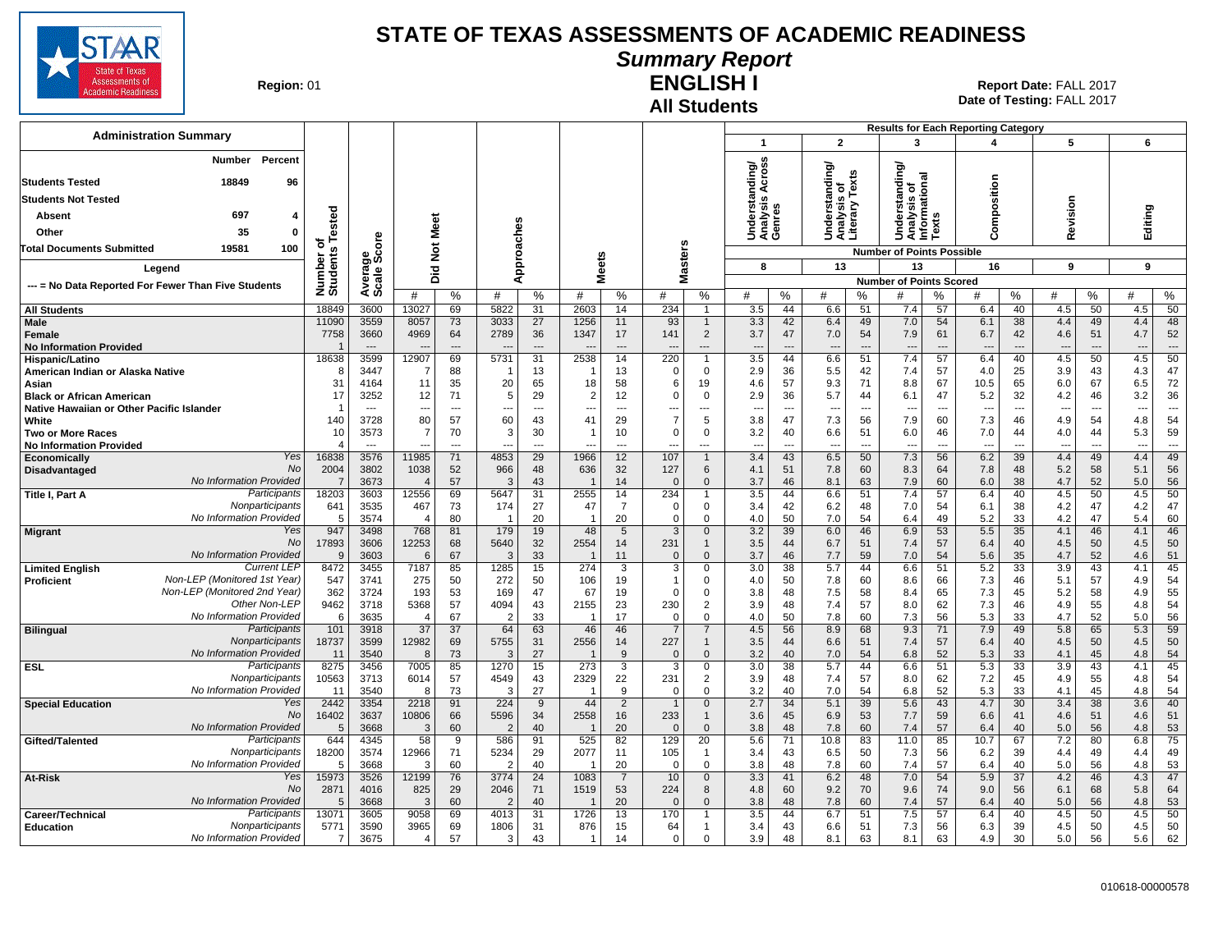

#### **Summary Report**

**Region: 01** 

## **All Students**

**ENGLISH I Report Date: FALL 2017 Report Date: FALL 2017 Date of Testing:**  FALL 2017

| <b>Administration Summary</b>                                                 |                      |                        |                                |                      |                        |                                |                   |                      |                            |                                |                                                                   |                                                 |                      |                                        |                      | <b>Results for Each Reporting Category</b> |               |                       |                      |                                 |                          |
|-------------------------------------------------------------------------------|----------------------|------------------------|--------------------------------|----------------------|------------------------|--------------------------------|-------------------|----------------------|----------------------------|--------------------------------|-------------------------------------------------------------------|-------------------------------------------------|----------------------|----------------------------------------|----------------------|--------------------------------------------|---------------|-----------------------|----------------------|---------------------------------|--------------------------|
|                                                                               |                      |                        |                                |                      |                        |                                |                   |                      |                            |                                | $\mathbf 1$                                                       | $\mathbf{2}$                                    |                      | 3                                      |                      | 4                                          |               | 5                     |                      | 6                               |                          |
| <b>Number</b><br>Percent                                                      |                      |                        |                                |                      |                        |                                |                   |                      |                            |                                |                                                                   |                                                 |                      |                                        |                      |                                            |               |                       |                      |                                 |                          |
| 18849<br><b>Students Tested</b><br>96                                         |                      |                        |                                |                      |                        |                                |                   |                      |                            |                                | anding/<br>Across                                                 | Understanding/<br>Analysis of<br>Literary Texts | is on<br>"Texts      | tanding/<br>$\overline{\mathbf{c}}$    |                      |                                            |               |                       |                      |                                 |                          |
| <b>Students Not Tested</b>                                                    |                      |                        |                                |                      |                        |                                |                   |                      |                            |                                | 亙                                                                 |                                                 |                      | $\overline{5}$<br>۰                    |                      | Composition                                |               |                       |                      |                                 |                          |
| 697<br>Absent<br>4                                                            |                      |                        |                                |                      |                        |                                |                   |                      |                            |                                | Understar<br>Analysis<br>Genres                                   |                                                 |                      | Analysis<br>Informatio<br>ဖွ<br>ō      | S                    |                                            |               | Revision              |                      | Editing                         |                          |
| 35<br>Other<br>0                                                              | ested                |                        | Meet                           |                      |                        |                                |                   |                      |                            |                                |                                                                   |                                                 |                      | 혿                                      | ä                    |                                            |               |                       |                      |                                 |                          |
| <b>Total Documents Submitted</b><br>19581<br>100                              | ৳                    |                        |                                |                      |                        |                                |                   |                      |                            |                                |                                                                   |                                                 |                      | $\Rightarrow$                          |                      |                                            |               |                       |                      |                                 |                          |
|                                                                               | Number o<br>Students | Average<br>Scale Score | $\frac{5}{2}$                  |                      | pproaches              |                                | <b>Meets</b>      |                      |                            | Masters                        | 8                                                                 | 13                                              |                      | <b>Number of Points Possible</b><br>13 |                      | 16                                         |               | 9                     |                      | 9                               |                          |
| Legend                                                                        |                      |                        | 흐<br>۵                         |                      | ⋖                      |                                |                   |                      |                            |                                |                                                                   |                                                 |                      | <b>Number of Points Scored</b>         |                      |                                            |               |                       |                      |                                 |                          |
| --- = No Data Reported For Fewer Than Five Students                           |                      |                        | #                              | %                    | #                      | $\frac{0}{0}$                  | #                 | %                    | #                          | $\%$                           | %<br>#                                                            | #                                               | %                    | #                                      | %                    | #                                          | %             | #                     | %                    | #                               | %                        |
| <b>All Students</b>                                                           | 18849                | 3600                   | 13027                          | 69                   | 5822                   | 31                             | 2603              | 14                   | 234                        | $\mathbf{1}$                   | 3.5<br>44                                                         | 6.6                                             | 51                   | 7.4                                    | 57                   | 6.4                                        | 40            | 4.5                   | 50                   | 4.5                             | 50                       |
| <b>Male</b>                                                                   | 11090                | 3559                   | 8057                           | 73                   | 3033                   | 27                             | 1256              | 11                   | 93                         | $\mathbf{1}$                   | 42<br>3.3                                                         | 6.4                                             | 49                   | 7.0                                    | 54                   | 6.1                                        | 38            | 4.4                   | 49                   | 4.4                             | 48                       |
| Female<br><b>No Information Provided</b>                                      | 7758                 | 3660<br>$\sim$         | 4969                           | 64<br>$\overline{a}$ | 2789                   | 36<br>$\overline{\phantom{a}}$ | 1347              | 17<br>$\overline{a}$ | 141                        | $\overline{2}$<br>---          | 3.7<br>47<br>$\overline{\phantom{a}}$<br>$\overline{\phantom{a}}$ | 7.0<br>$\overline{\phantom{a}}$                 | 54<br>$\overline{a}$ | 7.9<br>$\overline{\phantom{a}}$        | 61<br>$\overline{a}$ | 6.7                                        | 42<br>$- - -$ | 4.6                   | 51<br>$\overline{a}$ | 4.7<br>$\overline{\phantom{a}}$ | 52<br>$\overline{a}$     |
| Hispanic/Latino                                                               | 18638                | 3599                   | 12907                          | 69                   | 5731                   | 31                             | 2538              | 14                   | 220                        | 1                              | 3.5<br>44                                                         | 6.6                                             | 51                   | 7.4                                    | 57                   | 6.4                                        | 40            | 4.5                   | 50                   | 4.5                             | 50                       |
| American Indian or Alaska Native                                              |                      | 3447                   | -7                             | 88                   |                        | 13                             |                   | 13                   | $\Omega$                   | 0                              | 2.9<br>36                                                         | 5.5                                             | 42                   | 7.4                                    | 57                   | 4.0                                        | 25            | 3.9                   | 43                   | 4.3                             | 47                       |
| Asian                                                                         | 31<br>17             | 4164                   | 11                             | 35<br>71             | 20                     | 65<br>29                       | 18<br>2           | 58                   | 6<br>$\Omega$              | 19<br>$\Omega$                 | 4.6<br>57<br>2.9<br>36                                            | 9.3<br>5.7                                      | 71<br>44             | 8.8                                    | 67<br>47             | 10.5                                       | 65<br>32      | 6.0                   | 67                   | 6.5                             | 72<br>36                 |
| <b>Black or African American</b><br>Native Hawaiian or Other Pacific Islander |                      | 3252<br>$---$          | 12<br>$\overline{\phantom{a}}$ | ---                  | -5<br>---              | $\overline{a}$                 | ---               | 12<br>$\overline{a}$ | ---                        | $\overline{a}$                 | $\overline{\phantom{a}}$<br>$\overline{a}$                        | $\overline{\phantom{a}}$                        | $\overline{a}$       | 6.1<br>$\overline{a}$                  | $\sim$               | 5.2<br>$\overline{a}$                      | $---$         | 4.2<br>$\sim$         | 46<br>---            | 3.2<br>---                      | $\overline{\phantom{a}}$ |
| White                                                                         | 140                  | 3728                   | 80                             | 57                   | 60                     | 43                             | 41                | 29                   | $\overline{7}$             | 5                              | 3.8<br>47                                                         | 7.3                                             | 56                   | 7.9                                    | 60                   | 7.3                                        | 46            | 4.9                   | 54                   | 4.8                             | 54                       |
| <b>Two or More Races</b>                                                      | 10                   | 3573                   | $\overline{7}$                 | 70                   | 3                      | 30                             | -1                | 10                   | $\Omega$                   | $\mathbf 0$                    | 3.2<br>40                                                         | 6.6                                             | 51                   | 6.0                                    | 46                   | 7.0                                        | 44            | 4.0                   | 44                   | 5.3                             | 59                       |
| <b>No Information Provided</b><br>Yes<br>Economically                         | 16838                | $\overline{a}$<br>3576 | 11985                          | $\overline{a}$<br>71 | $\overline{a}$<br>4853 | $\overline{a}$<br>29           | $\sim$<br>1966    | $\overline{a}$<br>12 | 107                        | $\overline{a}$<br>$\mathbf{1}$ | $\overline{\phantom{a}}$<br>$\overline{\phantom{a}}$<br>3.4<br>43 | $\overline{\phantom{a}}$<br>6.5                 | $\overline{a}$<br>50 | $\overline{a}$<br>7.3                  | $\sim$<br>56         | $\overline{a}$<br>6.2                      | $---$<br>39   | $\overline{a}$<br>4.4 | ---<br>49            | ---<br>4.4                      | $\sim$<br>49             |
| <b>No</b><br><b>Disadvantaged</b>                                             | 2004                 | 3802                   | 1038                           | 52                   | 966                    | 48                             | 636               | 32                   | 127                        | 6                              | 51<br>4.1                                                         | 7.8                                             | 60                   | 8.3                                    | 64                   | 7.8                                        | 48            | 5.2                   | 58                   | 5.1                             | 56                       |
| No Information Provided                                                       |                      | 3673                   |                                | 57                   | -3                     | 43                             |                   | 14                   | $\Omega$                   | $\Omega$                       | 3.7<br>46                                                         | 8.1                                             | 63                   | 7.9                                    | 60                   | 6.0                                        | 38            | 4.7                   | 52                   | 5.0                             | 56                       |
| Participants<br>Title I, Part A<br>Nonparticipants                            | 18203                | 3603                   | 12556                          | 69                   | 5647                   | 31                             | 2555              | 14                   | 234                        | $\Omega$                       | 3.5<br>44                                                         | 6.6                                             | 51                   | 7.4                                    | 57<br>54             | 6.4                                        | 40            | 4.5                   | 50                   | 4.5                             | 50                       |
| No Information Provided                                                       | 641<br>5             | 3535<br>3574           | 467<br>$\overline{4}$          | 73<br>80             | 174                    | 27<br>20                       | 47<br>$\mathbf 1$ | $\overline{7}$<br>20 | $\mathbf 0$<br>$\mathbf 0$ | $\Omega$                       | 3.4<br>42<br>50<br>4.0                                            | 6.2<br>7.0                                      | 48<br>54             | 7.0<br>6.4                             | 49                   | 6.1<br>5.2                                 | 38<br>33      | 4.2<br>4.2            | 47<br>47             | 4.2<br>5.4                      | 47<br>60                 |
| Yes<br><b>Migrant</b>                                                         | 947                  | 3498                   | 768                            | 81                   | 179                    | 19                             | 48                | 5                    | 3                          | $\Omega$                       | 3.2<br>39                                                         | 6.0                                             | 46                   | 6.9                                    | 53                   | 5.5                                        | 35            | 4.1                   | 46                   | 4.1                             | 46                       |
| No                                                                            | 17893                | 3606                   | 12253                          | 68                   | 5640                   | 32                             | 2554              | 14                   | 231                        | $\mathbf{1}$                   | 3.5<br>44                                                         | 6.7                                             | 51                   | 7.4                                    | 57                   | 6.4                                        | 40            | 4.5                   | 50                   | 4.5                             | 50                       |
| No Information Provided<br>Current LEF<br><b>Limited English</b>              | g<br>8472            | 3603<br>3455           | 6<br>7187                      | 67<br>85             | -3<br>1285             | 33<br>15                       | 274               | 11<br>3              | $\mathbf{0}$<br>3          | $\Omega$<br>$\Omega$           | 3.7<br>46<br>3.0<br>38                                            | 7.7<br>5.7                                      | 59<br>44             | 7.0<br>6.6                             | 54<br>51             | 5.6<br>5.2                                 | 35<br>33      | 4.7<br>3.9            | 52<br>43             | 4.6<br>4.1                      | 51<br>45                 |
| Non-LEP (Monitored 1st Year)<br><b>Proficient</b>                             | 547                  | 3741                   | 275                            | 50                   | 272                    | 50                             | 106               | 19                   | -1                         | $\Omega$                       | 50<br>4.0                                                         | 7.8                                             | 60                   | 8.6                                    | 66                   | 7.3                                        | 46            | 5.1                   | 57                   | 4.9                             | 54                       |
| Non-LEP (Monitored 2nd Year)                                                  | 362                  | 3724                   | 193                            | 53                   | 169                    | 47                             | 67                | 19                   | $\Omega$                   | $\Omega$                       | 3.8<br>48                                                         | 7.5                                             | 58                   | 8.4                                    | 65                   | 7.3                                        | 45            | 5.2                   | 58                   | 4.9                             | 55                       |
| Other Non-LEP<br>No Information Provided                                      | 9462<br>6            | 3718                   | 5368                           | 57                   | 4094<br>$\overline{2}$ | 43                             | 2155              | 23                   | 230<br>$\Omega$            | $\overline{2}$                 | 3.9<br>48                                                         | 7.4                                             | 57                   | 8.0                                    | 62                   | 7.3                                        | 46            | 4.9                   | 55                   | 4.8                             | 54                       |
| Participants<br><b>Bilingual</b>                                              | 101                  | 3635<br>3918           | $\overline{4}$<br>37           | 67<br>37             | 64                     | 33<br>63                       | 46                | 17<br>46             | $\overline{7}$             | 0<br>7                         | 50<br>4.0<br>4.5<br>56                                            | 7.8<br>8.9                                      | 60<br>68             | 7.3<br>9.3                             | 56<br>71             | 5.3<br>7.9                                 | 33<br>49      | 4.7<br>5.8            | 52<br>65             | 5.0<br>5.3                      | 56<br>59                 |
| Nonparticipants                                                               | 18737                | 3599                   | 12982                          | 69                   | 5755                   | 31                             | 2556              | 14                   | 227                        | $\mathbf{1}$                   | 3.5<br>44                                                         | 6.6                                             | 51                   | 7.4                                    | 57                   | 6.4                                        | 40            | 4.5                   | 50                   | 4.5                             | 50                       |
| No Information Provided                                                       | 11                   | 3540                   | 8                              | 73                   | -3                     | 27                             |                   | 9                    | $\mathbf{0}$               | $\Omega$                       | 3.2<br>40                                                         | 7.0                                             | 54                   | 6.8                                    | 52                   | 5.3                                        | 33            | 4.1                   | 45                   | 4.8                             | 54                       |
| Participants<br><b>ESL</b><br>Nonparticipants                                 | 8275<br>10563        | 3456<br>3713           | 7005<br>6014                   | 85<br>57             | 1270<br>4549           | 15<br>43                       | 273<br>2329       | $\overline{3}$<br>22 | 3<br>231                   | $\mathbf 0$<br>$\overline{2}$  | 3.0<br>38<br>3.9<br>48                                            | 5.7<br>7.4                                      | 44<br>57             | 6.6<br>8.0                             | 51<br>62             | 5.3<br>7.2                                 | 33<br>45      | 3.9<br>4.9            | 43<br>55             | 4.1<br>4.8                      | 45<br>54                 |
| No Information Provided                                                       | 11                   | 3540                   | 8                              | 73                   | -3                     | 27                             |                   | 9                    | $\Omega$                   | $\Omega$                       | 3.2<br>40                                                         | 7.0                                             | 54                   | 6.8                                    | 52                   | 5.3                                        | 33            | 4.1                   | 45                   | 4.8                             | 54                       |
| Yes<br><b>Special Education</b>                                               | 2442                 | 3354                   | 2218                           | 91                   | 224                    | $\overline{9}$                 | 44                | $\overline{2}$       | $\overline{1}$             | $\mathbf{0}$                   | 2.7<br>34                                                         | 5.1                                             | 39                   | 5.6                                    | 43                   | 4.7                                        | 30            | 3.4                   | 38                   | 3.6                             | 40                       |
| No                                                                            | 16402                | 3637                   | 10806                          | 66                   | 5596                   | 34                             | 2558              | 16                   | 233                        | $\mathbf{1}$                   | 3.6<br>45                                                         | 6.9                                             | 53                   | 7.7                                    | 59                   | 6.6                                        | 41            | 4.6                   | 51                   | 4.6                             | 51                       |
| No Information Provided<br>Participants<br>Gifted/Talented                    | 5<br>644             | 3668<br>4345           | 3<br>58                        | 60<br>9              | $\overline{2}$<br>586  | 40<br>91                       | 525               | 20<br>82             | $\Omega$<br>129            | $\Omega$<br>$\overline{20}$    | 48<br>3.8<br>5.6<br>71                                            | 7.8<br>10.8                                     | 60<br>83             | 7.4<br>11.0                            | 57<br>85             | 6.4<br>10.7                                | 40<br>67      | 5.0<br>7.2            | 56<br>80             | 4.8<br>6.8                      | 53<br>75                 |
| Nonparticipants                                                               | 18200                | 3574                   | 12966                          | 71                   | 5234                   | 29                             | 2077              | 11                   | 105                        | $\mathbf{1}$                   | 3.4<br>43                                                         | 6.5                                             | 50                   | 7.3                                    | 56                   | 6.2                                        | 39            | 4.4                   | 49                   | 4.4                             | 49                       |
| No Information Provided                                                       | 5                    | 3668                   | 3                              | 60                   | $\overline{2}$         | 40                             |                   | 20                   | $\Omega$                   | $\Omega$                       | 3.8<br>48                                                         | 7.8                                             | 60                   | 7.4                                    | 57                   | 6.4                                        | 40            | 5.0                   | 56                   | 4.8                             | 53                       |
| Yes<br><b>At-Risk</b>                                                         | 15973                | 3526                   | 12199                          | 76                   | 3774                   | 24                             | 1083              | 7                    | 10                         | $\Omega$                       | 3.3<br>41                                                         | 6.2                                             | 48                   | 7.0                                    | 54                   | 5.9                                        | 37            | 4.2                   | 46                   | 4.3                             | 47                       |
| <b>No</b><br>No Information Provided                                          | 2871<br>.5           | 4016<br>3668           | 825<br>3                       | 29<br>60             | 2046<br>$\overline{2}$ | 71<br>40                       | 1519<br>-1        | 53<br>20             | 224<br>$\Omega$            | 8<br>$\Omega$                  | 4.8<br>60<br>3.8<br>48                                            | 9.2<br>7.8                                      | 70<br>60             | 9.6<br>7.4                             | 74<br>57             | 9.0<br>6.4                                 | 56<br>40      | 6.1<br>5.0            | 68<br>56             | 5.8<br>4.8                      | 64<br>53                 |
| Participants<br>Career/Technical                                              | 13071                | 3605                   | 9058                           | 69                   | 4013                   | 31                             | 1726              | 13                   | 170                        |                                | 3.5<br>44                                                         | 6.7                                             | 51                   | 7.5                                    | 57                   | 6.4                                        | 40            | 4.5                   | 50                   | 4.5                             | 50                       |
| Nonparticipants<br><b>Education</b>                                           | 5771                 | 3590                   | 3965                           | 69                   | 1806                   | 31                             | 876               | 15                   | 64                         | $\overline{\mathbf{1}}$        | 3.4<br>43                                                         | 6.6                                             | 51                   | 7.3                                    | 56                   | 6.3                                        | 39            | 4.5                   | 50                   | 4.5                             | 50                       |
| No Information Provided                                                       | 7                    | 3675                   | 4                              | 57                   | 3                      | 43                             | 1                 | 14                   | $\mathbf 0$                | $\mathbf 0$                    | 48<br>3.9                                                         | 8.1                                             | 63                   | 8.1                                    | 63                   | 4.9                                        | 30            | 5.0                   | 56                   | 5.6                             | 62                       |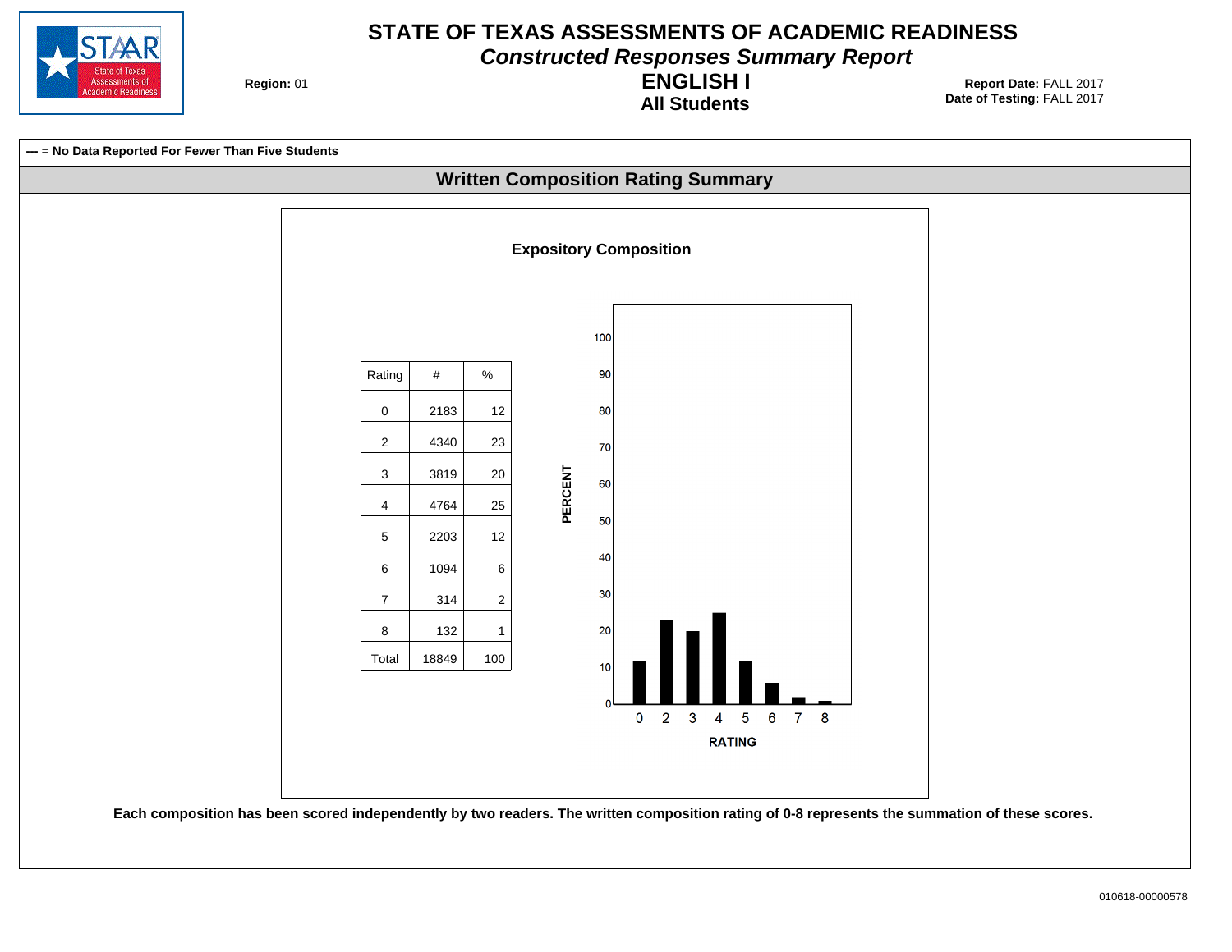

**Constructed Responses Summary Report**

**Region: 01** 

#### **All Students ENGLISH I**

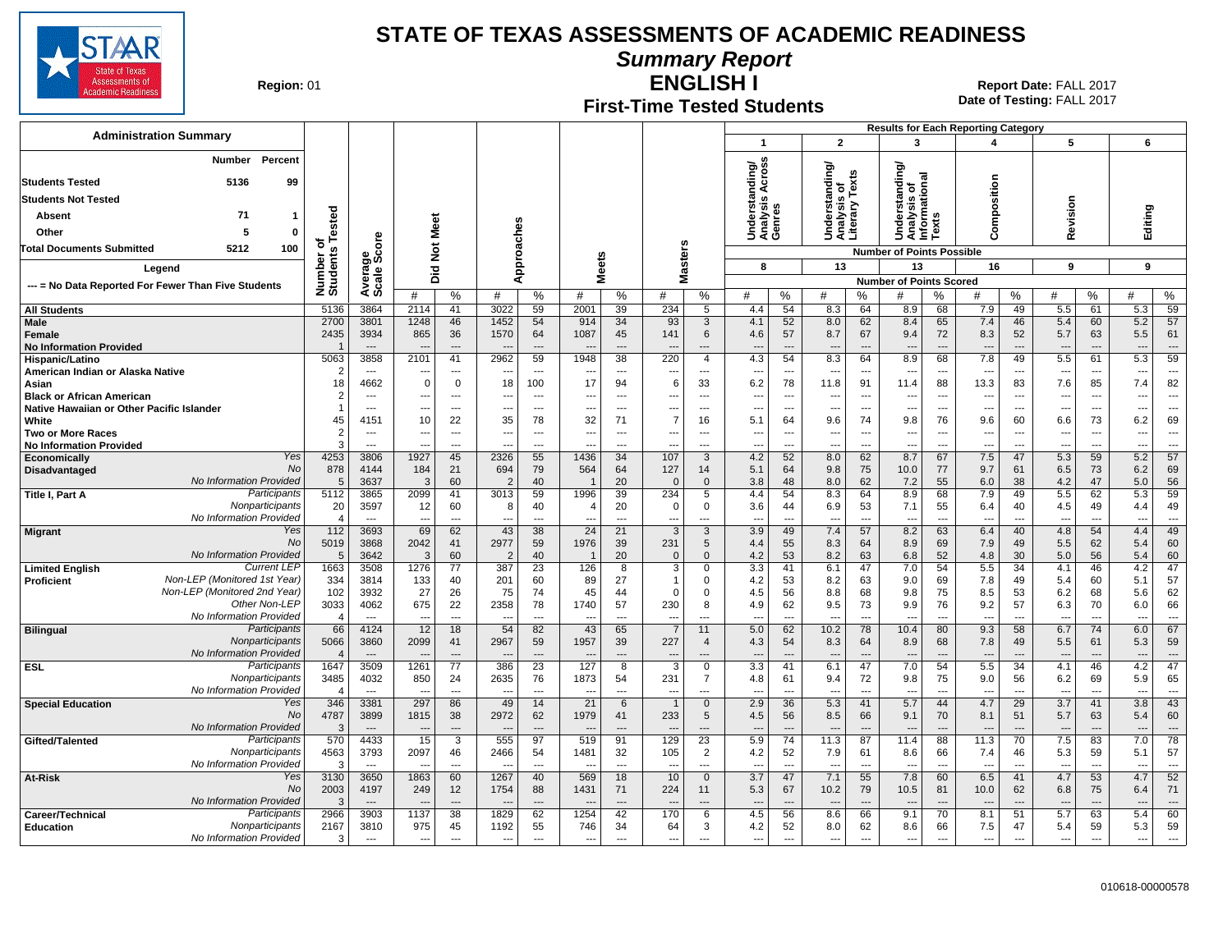

**Summary Report**

**Region: 01** 

### **First-Time Tested Students**

**ENGLISH I Report Date: FALL 2017 Report Date: FALL 2017 Date of Testing:**  FALL 2017

|                                                                                            |                      |                          |                                 |                                            |                                  |                       |                                  |                                |                            |                                                      |                                     |                                |                                 |                                |                                       |                                | <b>Results for Each Reporting Category</b> |                                |                                 |                      |                                 |                            |
|--------------------------------------------------------------------------------------------|----------------------|--------------------------|---------------------------------|--------------------------------------------|----------------------------------|-----------------------|----------------------------------|--------------------------------|----------------------------|------------------------------------------------------|-------------------------------------|--------------------------------|---------------------------------|--------------------------------|---------------------------------------|--------------------------------|--------------------------------------------|--------------------------------|---------------------------------|----------------------|---------------------------------|----------------------------|
| <b>Administration Summary</b>                                                              |                      |                          |                                 |                                            |                                  |                       |                                  |                                |                            |                                                      | $\mathbf{1}$                        |                                | $\mathbf{2}$                    |                                | 3                                     |                                | 4                                          |                                | 5                               |                      | 6                               |                            |
| <b>Number</b><br>Percent                                                                   |                      |                          |                                 |                                            |                                  |                       |                                  |                                |                            |                                                      |                                     |                                |                                 |                                | ৯                                     |                                |                                            |                                |                                 |                      |                                 |                            |
| <b>Students Tested</b><br>5136<br>99                                                       |                      |                          |                                 |                                            |                                  |                       |                                  |                                |                            |                                                      | Across<br>ding/                     |                                | standing/<br>is of<br>y Texts   |                                | tandin<br>᠊ᢛ                          |                                |                                            |                                |                                 |                      |                                 |                            |
| <b>Students Not Tested</b>                                                                 |                      |                          |                                 |                                            |                                  |                       |                                  |                                |                            |                                                      |                                     |                                |                                 |                                | ō                                     |                                |                                            |                                |                                 |                      |                                 |                            |
| 71<br>Absent<br>-1                                                                         |                      |                          |                                 |                                            |                                  |                       |                                  |                                |                            |                                                      | Understand<br>Analysis Ao<br>Genres |                                | Underst<br>Analysis<br>Literary |                                | Understar<br>Analysis o<br>Informatic |                                | omposition                                 |                                | Revision                        |                      | Editing                         |                            |
| 5<br>Other<br>$\mathbf 0$                                                                  | ested                |                          | Meet                            |                                            |                                  |                       |                                  |                                |                            |                                                      |                                     |                                |                                 |                                |                                       | Texts                          |                                            |                                |                                 |                      |                                 |                            |
| 5212<br>100<br><b>Total Documents Submitted</b>                                            | ۴<br>৳               | ge<br>Score              | $\frac{5}{2}$                   |                                            |                                  |                       |                                  |                                |                            |                                                      |                                     |                                |                                 |                                | <b>Number of Points Possible</b>      |                                | Ö                                          |                                |                                 |                      |                                 |                            |
|                                                                                            | Number o             |                          |                                 |                                            |                                  | Approaches            | <b>Meets</b>                     |                                | <b>Masters</b>             |                                                      | 8                                   |                                | 13                              |                                | 13                                    |                                | 16                                         |                                | 9                               |                      | 9                               |                            |
| Legend                                                                                     |                      | Average                  | Did                             |                                            |                                  |                       |                                  |                                |                            |                                                      |                                     |                                |                                 |                                | <b>Number of Points Scored</b>        |                                |                                            |                                |                                 |                      |                                 |                            |
| --- = No Data Reported For Fewer Than Five Students                                        |                      |                          | #                               | %                                          | #                                | %                     | #                                | %                              | #                          | %                                                    | #                                   | %                              | #                               | $\%$                           | #                                     | %                              | #                                          | %                              | #                               | %                    | #                               | %                          |
| <b>All Students</b>                                                                        | 5136                 | 3864                     | 2114                            | 41                                         | 3022                             | 59                    | 2001                             | 39                             | 234                        | 5                                                    | 4.4                                 | 54                             | 8.3                             | 64                             | 8.9                                   | 68                             | 7.9                                        | 49                             | 5.5                             | 61                   | 5.3                             | 59                         |
| <b>Male</b>                                                                                | 2700                 | 3801                     | 1248                            | 46                                         | 1452                             | 54                    | 914                              | 34                             | 93                         | 3                                                    | 4.1                                 | 52                             | 8.0                             | 62                             | 8.4                                   | 65                             | 7.4                                        | 46                             | 5.4                             | 60                   | 5.2                             | 57                         |
| Female<br><b>No Information Provided</b>                                                   | 2435                 | 3934                     | 865                             | 36<br>$\overline{a}$                       | 1570                             | 64                    | 1087                             | 45                             | 141                        | 6                                                    | 4.6                                 | 57<br>---                      | 8.7<br>$\overline{\phantom{a}}$ | 67<br>$\overline{a}$           | 9.4                                   | 72<br>$\overline{\phantom{a}}$ | 8.3                                        | 52<br>$\overline{a}$           | 5.7<br>$\overline{\phantom{a}}$ | 63                   | 5.5<br>$\overline{\phantom{a}}$ | 61                         |
| Hispanic/Latino                                                                            | 5063                 | 3858                     | 2101                            | 41                                         | 2962                             | 59                    | 1948                             | 38                             | 220                        | 4                                                    | 4.3                                 | 54                             | 8.3                             | 64                             | 8.9                                   | 68                             | 7.8                                        | 49                             | 5.5                             | 61                   | 5.3                             | 59                         |
| American Indian or Alaska Native                                                           | $\overline{2}$       | $\sim$                   |                                 | $\overline{\phantom{a}}$                   |                                  | $---$                 |                                  | $---$                          |                            | ---                                                  | ---                                 | $\overline{\phantom{a}}$       | $\sim$                          | $\overline{\phantom{a}}$       | $\overline{\phantom{a}}$              | ---                            | $\overline{\phantom{a}}$                   | ---                            | ---                             | ---                  | $\overline{\phantom{a}}$        |                            |
| Asian                                                                                      | 18<br>$\overline{2}$ | 4662                     | $\mathbf 0$                     | $\mathbf 0$                                | 18                               | 100                   | 17                               | 94                             | 6                          | 33                                                   | 6.2                                 | 78                             | 11.8                            | 91                             | 11.4                                  | 88                             | 13.3                                       | 83                             | 7.6                             | 85                   | 7.4                             | 82                         |
| <b>Black or African American</b><br>Native Hawaiian or Other Pacific Islander              | $\overline{1}$       | ---<br>---               | ---<br>---                      | $\overline{\phantom{a}}$<br>$\overline{a}$ | ---                              | ---<br>$\overline{a}$ |                                  | ---<br>$\overline{a}$          | ---<br>---                 | $\overline{\phantom{a}}$<br>$\overline{\phantom{a}}$ | ---<br>---                          | $\overline{\phantom{a}}$       | ---<br>---                      | $\overline{\phantom{a}}$       | ---<br>$\overline{\phantom{a}}$       | ---<br>---                     | ---<br>$\overline{\phantom{a}}$            | ---<br>---                     | ---<br>---                      | ---                  | ---<br>---                      | $\cdots$<br>$\overline{a}$ |
| White                                                                                      | 45                   | 4151                     | 10                              | 22                                         | 35                               | 78                    | 32                               | 71                             | $\overline{7}$             | 16                                                   | 5.1                                 | 64                             | 9.6                             | 74                             | 9.8                                   | 76                             | 9.6                                        | 60                             | 6.6                             | 73                   | 6.2                             | 69                         |
| <b>Two or More Races</b>                                                                   | $\overline{2}$       | $\overline{\phantom{a}}$ | ---                             | $\overline{\phantom{a}}$                   |                                  | $\overline{a}$        |                                  | $\overline{\phantom{a}}$       | ---                        | $\overline{a}$                                       | ---                                 | $\overline{\phantom{a}}$       | $\overline{\phantom{a}}$        | $\overline{\phantom{a}}$       | $\overline{\phantom{a}}$              | $\overline{\phantom{a}}$       | $\overline{\phantom{a}}$                   | $\overline{\phantom{a}}$       | ---                             | ---                  | ---                             | $---$                      |
| <b>No Information Provided</b><br>Yes                                                      | 3<br>4253            | ---<br>3806              | ---<br>1927                     | $\overline{\phantom{a}}$<br>45             | $\overline{\phantom{a}}$<br>2326 | $\overline{a}$<br>55  | $\overline{\phantom{a}}$<br>1436 | $\overline{a}$<br>34           | ---<br>107                 | ---<br>$\overline{3}$                                | ---<br>4.2                          | ---<br>52                      | ---<br>8.0                      | $\overline{\phantom{a}}$<br>62 | ---<br>8.7                            | ---<br>67                      | $---$<br>7.5                               | $\overline{\phantom{a}}$<br>47 | ---<br>5.3                      | ---<br>59            | $\overline{\phantom{a}}$<br>5.2 | $---$<br>57                |
| <b>Economically</b><br>No<br>Disadvantaged                                                 | 878                  | 4144                     | 184                             | 21                                         | 694                              | 79                    | 564                              | 64                             | 127                        | 14                                                   | 5.1                                 | 64                             | 9.8                             | 75                             | 10.0                                  | 77                             | 9.7                                        | 61                             | 6.5                             | 73                   | 6.2                             | 69                         |
| No Information Provided                                                                    | 5                    | 3637                     | $\overline{3}$                  | 60                                         | 2                                | 40                    |                                  | 20                             | $\Omega$                   | $\Omega$                                             | 3.8                                 | 48                             | 8.0                             | 62                             | 7.2                                   | 55                             | 6.0                                        | 38                             | 4.2                             | 47                   | 5.0                             | 56                         |
| Participants<br>Title I, Part A                                                            | 5112                 | 3865                     | 2099                            | 41                                         | 3013                             | 59                    | 1996                             | 39                             | 234                        | $\overline{5}$                                       | 4.4                                 | 54                             | 8.3                             | 64                             | 8.9                                   | 68                             | 7.9                                        | 49                             | 5.5                             | 62                   | 5.3                             | 59                         |
| Nonparticipants<br>No Information Provided                                                 | 20                   | 3597<br>$\overline{a}$   | 12<br>---                       | 60<br>$\overline{a}$                       | 8                                | 40                    | $\overline{4}$                   | 20<br>$\overline{a}$           | $\Omega$<br>$\overline{a}$ | $\mathbf 0$<br>---                                   | 3.6<br>$\overline{a}$               | 44<br>---                      | 6.9<br>---                      | 53<br>$\overline{a}$           | 7.1<br>$\overline{a}$                 | 55<br>$\overline{a}$           | 6.4<br>$\overline{a}$                      | 40<br>$\overline{\phantom{a}}$ | 4.5<br>$\overline{a}$           | 49<br>---            | 4.4<br>$\overline{\phantom{a}}$ | 49<br>$\overline{a}$       |
| Yes<br><b>Migrant</b>                                                                      | 112                  | 3693                     | 69                              | 62                                         | 43                               | 38                    | 24                               | 21                             | 3                          | 3                                                    | 3.9                                 | 49                             | 7.4                             | 57                             | 8.2                                   | 63                             | 6.4                                        | 40                             | 4.8                             | 54                   | 4.4                             | 49                         |
| No                                                                                         | 5019                 | 3868                     | 2042                            | 41                                         | 2977                             | 59                    | 1976                             | 39                             | 231                        | 5                                                    | 4.4                                 | 55                             | 8.3                             | 64                             | 8.9                                   | 69                             | 7.9                                        | 49                             | 5.5                             | 62                   | 5.4                             | 60                         |
| No Information Provided                                                                    | 5                    | 3642                     | 3                               | 60                                         | $\overline{2}$                   | 40                    |                                  | 20                             | $\mathbf 0$                | $\mathbf{0}$                                         | 4.2                                 | 53                             | 8.2                             | 63                             | 6.8                                   | 52                             | 4.8                                        | 30                             | 5.0                             | 56                   | 5.4                             | 60                         |
| <b>Current LEP</b><br><b>Limited English</b><br>Non-LEP (Monitored 1st Year)<br>Proficient | 1663<br>334          | 3508<br>3814             | 1276<br>133                     | 77<br>40                                   | 387<br>201                       | $\overline{23}$<br>60 | 126<br>89                        | 8<br>27                        | 3                          | 0<br>0                                               | 3.3<br>4.2                          | 41<br>53                       | 6.1<br>8.2                      | 47<br>63                       | 7.0<br>9.0                            | 54<br>69                       | 5.5<br>7.8                                 | 34<br>49                       | 4.1<br>5.4                      | 46<br>60             | 4.2<br>5.1                      | 47<br>57                   |
| Non-LEP (Monitored 2nd Year)                                                               | 102                  | 3932                     | 27                              | 26                                         | 75                               | 74                    | 45                               | 44                             | $\Omega$                   | $\Omega$                                             | 4.5                                 | 56                             | 8.8                             | 68                             | 9.8                                   | 75                             | 8.5                                        | 53                             | 6.2                             | 68                   | 5.6                             | 62                         |
| Other Non-LEP                                                                              | 3033                 | 4062                     | 675                             | 22                                         | 2358                             | 78                    | 1740                             | 57                             | 230                        | 8                                                    | 4.9                                 | 62                             | 9.5                             | 73                             | 9.9                                   | 76                             | 9.2                                        | 57                             | 6.3                             | 70                   | 6.0                             | 66                         |
| No Information Provided                                                                    | $\overline{4}$       | $\sim$                   | ---                             | $\sim$                                     | $- - -$                          | $\overline{a}$        | $\overline{\phantom{a}}$         | $\overline{a}$                 | $\overline{a}$             | ---                                                  | $\overline{a}$                      | $\sim$                         | $\overline{\phantom{a}}$        | $\overline{a}$                 | $\overline{a}$                        | $\overline{\phantom{a}}$       | $\overline{a}$                             | $\overline{\phantom{a}}$       | ---                             | $\overline{a}$       | $\overline{\phantom{a}}$        | $---$                      |
| <b>Bilingual</b><br>Participants<br>Nonparticipants                                        | 66<br>5066           | 4124<br>3860             | 12<br>2099                      | 18<br>41                                   | 54<br>2967                       | 82<br>59              | 43<br>1957                       | 65<br>39                       | $\overline{7}$<br>227      | 11<br>$\overline{4}$                                 | 5.0<br>4.3                          | 62<br>54                       | 10.2<br>8.3                     | 78<br>64                       | 10.4<br>8.9                           | 80<br>68                       | 9.3<br>7.8                                 | 58<br>49                       | 6.7<br>5.5                      | 74<br>61             | 6.0<br>5.3                      | 67<br>59                   |
| No Information Provided                                                                    |                      | $---$                    |                                 | $---$                                      |                                  | $\overline{a}$        |                                  | $\overline{a}$                 | $\overline{a}$             | ---                                                  | $\overline{a}$                      | $\overline{\phantom{a}}$       | $\overline{\phantom{a}}$        | $\overline{a}$                 | ---                                   | $---$                          | $\overline{a}$                             | $\overline{\phantom{a}}$       | $\overline{\phantom{a}}$        | $\overline{a}$       | $\overline{\phantom{a}}$        | $---$                      |
| Participants<br><b>ESL</b>                                                                 | 1647                 | 3509                     | 1261                            | 77                                         | 386                              | $\overline{23}$       | 127                              | 8                              | 3                          | 0                                                    | 3.3                                 | 41                             | 6.1                             | 47                             | 7.0                                   | 54                             | 5.5                                        | 34                             | 4.1                             | 46                   | 4.2                             | 47                         |
| Nonparticipants                                                                            | 3485                 | 4032                     | 850                             | 24                                         | 2635                             | 76                    | 1873                             | 54                             | 231                        | $\overline{7}$                                       | 4.8                                 | 61                             | 9.4                             | 72                             | 9.8                                   | 75                             | 9.0                                        | 56                             | 6.2                             | 69                   | 5.9                             | 65                         |
| No Information Provided<br>Yes<br><b>Special Education</b>                                 | 346                  | $\sim$<br>3381           | $\overline{\phantom{a}}$<br>297 | $\overline{a}$<br>86                       | ---<br>49                        | $\overline{a}$<br>14  | $\overline{\phantom{a}}$<br>21   | $---$<br>6                     | $\overline{a}$             | $\overline{a}$<br>$\mathbf 0$                        | $\overline{\phantom{a}}$<br>2.9     | $\overline{\phantom{a}}$<br>36 | $\overline{\phantom{a}}$<br>5.3 | $\overline{a}$<br>41           | $\sim$<br>5.7                         | $\overline{\phantom{a}}$<br>44 | $\overline{\phantom{a}}$<br>4.7            | $\overline{\phantom{a}}$<br>29 | $\overline{a}$<br>3.7           | $\overline{a}$<br>41 | $\overline{\phantom{a}}$<br>3.8 | $---$<br>43                |
| <b>No</b>                                                                                  | 4787                 | 3899                     | 1815                            | 38                                         | 2972                             | 62                    | 1979                             | 41                             | 233                        | 5                                                    | 4.5                                 | 56                             | 8.5                             | 66                             | 9.1                                   | 70                             | 8.1                                        | 51                             | 5.7                             | 63                   | 5.4                             | 60                         |
| No Information Provided                                                                    | 3                    | $\overline{\phantom{a}}$ |                                 | $---$                                      |                                  |                       |                                  |                                |                            |                                                      |                                     | $\overline{a}$                 |                                 |                                |                                       |                                |                                            | $\overline{\phantom{a}}$       | $\qquad \qquad -$               |                      | ---                             | $\overline{a}$             |
| Participants<br>Gifted/Talented                                                            | 570                  | 4433                     | 15                              | $\mathbf{3}$                               | 555                              | 97                    | 519                              | 91                             | 129                        | 23                                                   | 5.9                                 | 74                             | 11.3                            | 87                             | 11.4                                  | 88                             | 11.3                                       | 70                             | 7.5                             | 83                   | 7.0                             | 78                         |
| Nonparticipants<br>No Information Provided                                                 | 4563<br>3            | 3793<br>$\sim$           | 2097                            | 46<br>$\overline{\phantom{a}}$             | 2466                             | 54<br>$\overline{a}$  | 1481                             | 32<br>$\overline{\phantom{a}}$ | 105                        | 2<br>---                                             | 4.2<br>---                          | 52<br>$\overline{\phantom{a}}$ | 7.9<br>$\overline{\phantom{a}}$ | 61<br>$\overline{\phantom{a}}$ | 8.6<br>$\overline{a}$                 | 66<br>$\sim$                   | 7.4<br>$\overline{\phantom{a}}$            | 46<br>$\overline{a}$           | 5.3<br>---                      | 59<br>---            | 5.1<br>$\overline{\phantom{a}}$ | 57<br>$---$                |
| Yes<br>At-Risk                                                                             | 3130                 | 3650                     | 1863                            | 60                                         | 1267                             | 40                    | 569                              | 18                             | 10                         | $\overline{0}$                                       | $\overline{3.7}$                    | 47                             | 7.1                             | 55                             | 7.8                                   | 60                             | 6.5                                        | 41                             | 4.7                             | 53                   | 4.7                             | 52                         |
| No                                                                                         | 2003                 | 4197                     | 249                             | 12                                         | 1754                             | 88                    | 1431                             | 71                             | 224                        | 11                                                   | 5.3                                 | 67                             | 10.2                            | 79                             | 10.5                                  | 81                             | 10.0                                       | 62                             | 6.8                             | 75                   | 6.4                             | 71                         |
| No Information Provided                                                                    | 3                    | $\overline{\phantom{a}}$ |                                 | $\overline{\phantom{a}}$                   |                                  | $\overline{a}$        |                                  |                                |                            | ---                                                  |                                     | $\overline{\phantom{a}}$       | $\overline{\phantom{a}}$        | $\overline{\phantom{a}}$       |                                       | $\overline{\phantom{a}}$       | $\overline{\phantom{a}}$                   | ---                            |                                 |                      |                                 | $\overline{\phantom{a}}$   |
| Participants<br>Career/Technical<br>Nonparticipants<br><b>Education</b>                    | 2966                 | 3903                     | 1137<br>975                     | 38<br>45                                   | 1829<br>1192                     | 62                    | 1254<br>746                      | 42<br>34                       | 170<br>64                  | 6<br>3                                               | 4.5                                 | 56                             | 8.6                             | 66                             | 9.1<br>8.6                            | 70                             | 8.1                                        | 51<br>47                       | 5.7                             | 63                   | 5.4<br>5.3                      | 60<br>59                   |
| No Information Provided                                                                    | 2167<br>3            | 3810<br>$\overline{a}$   | $\sim$                          | ---                                        | $\overline{\phantom{a}}$         | 55<br>$\overline{a}$  | $\overline{\phantom{a}}$         | $\overline{a}$                 | ---                        | ---                                                  | 4.2<br>---                          | 52<br>---                      | 8.0<br>---                      | 62<br>---                      | $\overline{a}$                        | 66<br>$\overline{a}$           | 7.5<br>---                                 | ---                            | 5.4<br>---                      | 59<br>$\overline{a}$ | $\overline{\phantom{a}}$        | ---                        |
|                                                                                            |                      |                          |                                 |                                            |                                  |                       |                                  |                                |                            |                                                      |                                     |                                |                                 |                                |                                       |                                |                                            |                                |                                 |                      |                                 |                            |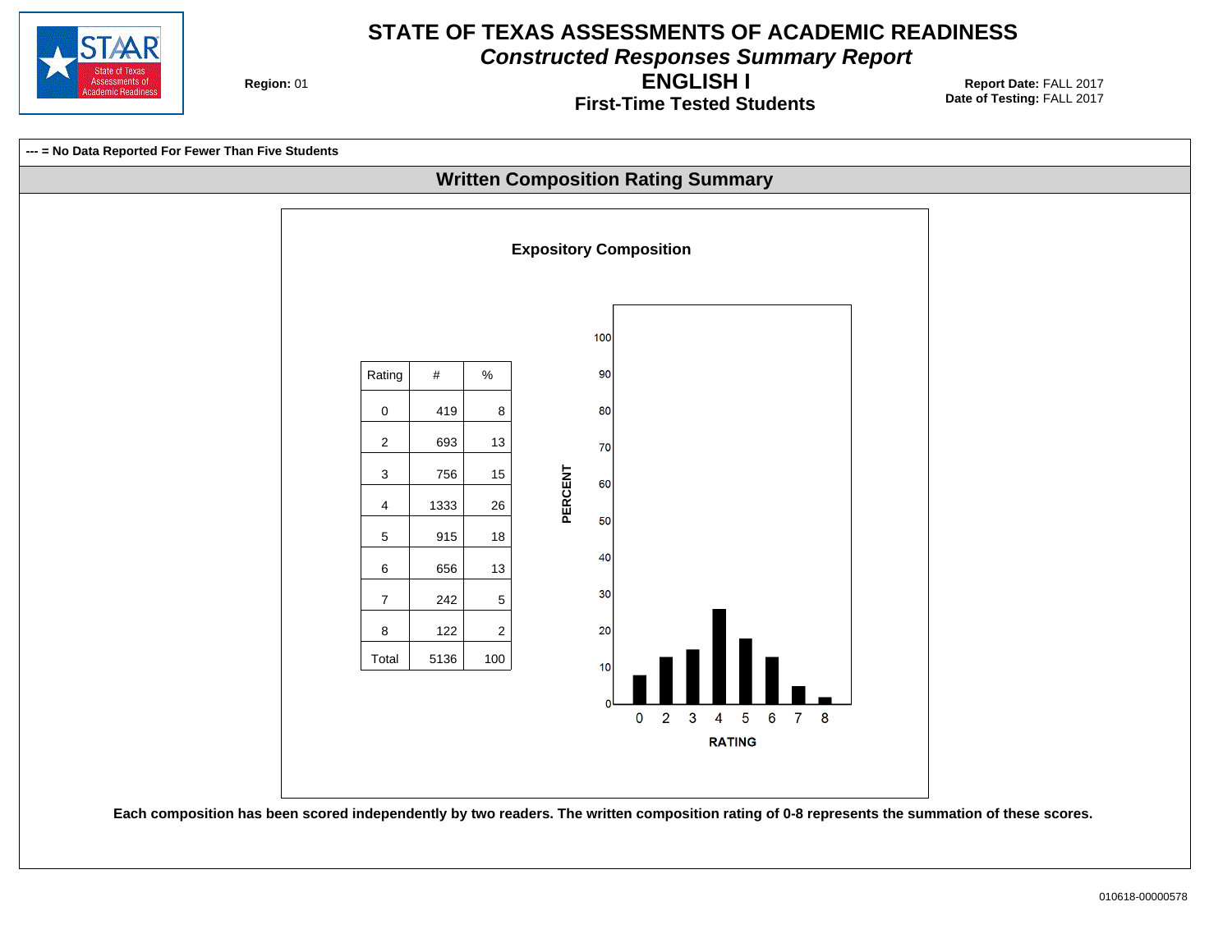

**Constructed Responses Summary Report**

**Region: 01** 

**First-Time Tested Students ENGLISH I**

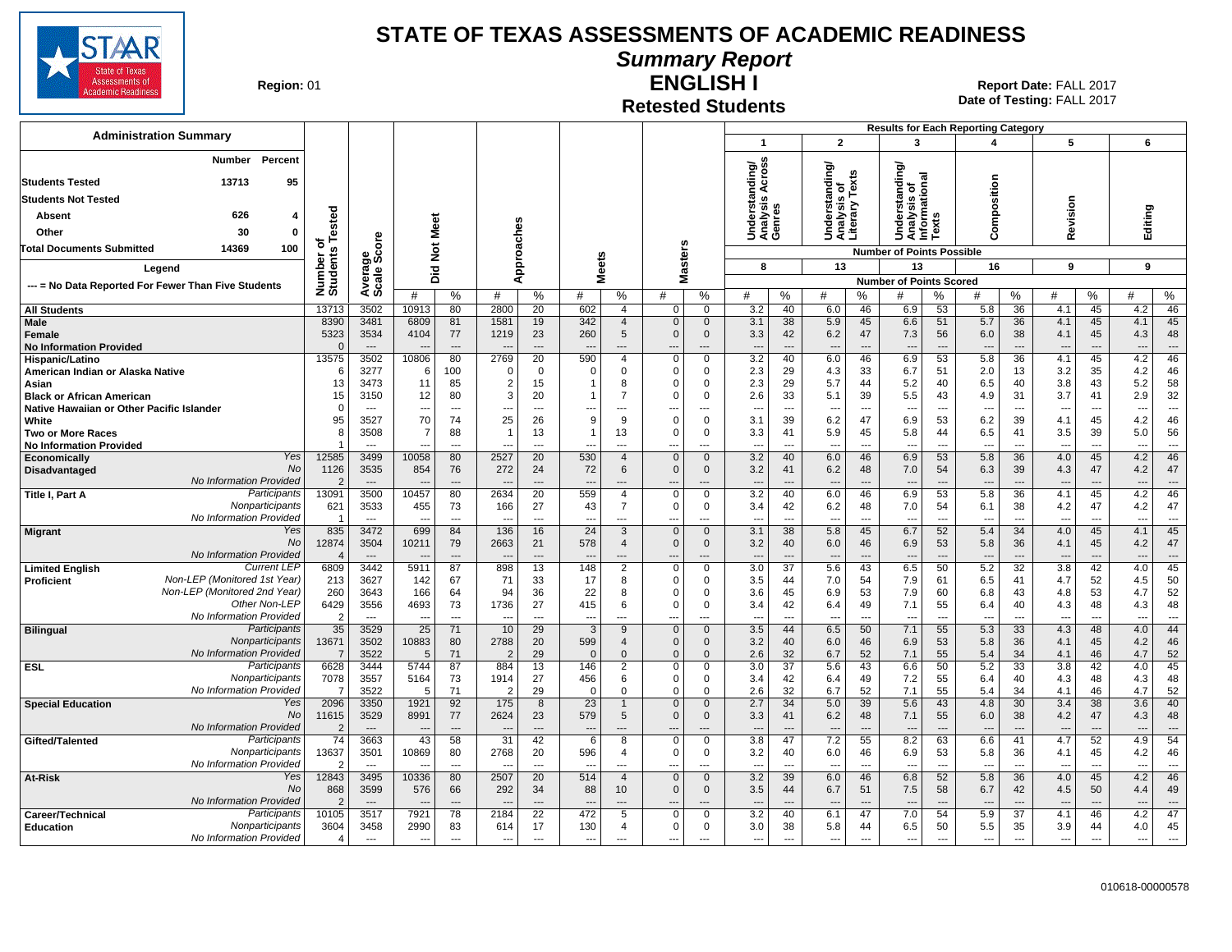

**Summary Report**

**Region: 01** 

## **Retested Students**

**ENGLISH I Report Date: FALL 2017 Report Date: FALL 2017 Date of Testing:**  FALL 2017

|                                                                            |                                 |                                  |                          |                      |                                  |                          |                                 |                        |                               |                               |                                    |                          |                                  |                      | <b>Results for Each Reporting Category</b>                        |                          |                          |                          |                                 |                          |                          |                          |
|----------------------------------------------------------------------------|---------------------------------|----------------------------------|--------------------------|----------------------|----------------------------------|--------------------------|---------------------------------|------------------------|-------------------------------|-------------------------------|------------------------------------|--------------------------|----------------------------------|----------------------|-------------------------------------------------------------------|--------------------------|--------------------------|--------------------------|---------------------------------|--------------------------|--------------------------|--------------------------|
| <b>Administration Summary</b>                                              |                                 |                                  |                          |                      |                                  |                          |                                 |                        |                               |                               | $\mathbf 1$                        |                          | $\overline{2}$                   |                      | 3                                                                 |                          | 4                        |                          | 5                               |                          | 6                        |                          |
| <b>Number</b><br>Percent                                                   |                                 |                                  |                          |                      |                                  |                          |                                 |                        |                               |                               |                                    |                          |                                  |                      |                                                                   |                          |                          |                          |                                 |                          |                          |                          |
| <b>Students Tested</b><br>13713<br>95                                      |                                 |                                  |                          |                      |                                  |                          |                                 |                        |                               |                               | nding/<br>Across                   |                          | $t$ anding/<br>s of<br>Texts     |                      | tanding/<br>Unders.<br>│Analysis of<br>│ Informational<br>│ "axts |                          |                          |                          |                                 |                          |                          |                          |
| <b>Students Not Tested</b>                                                 |                                 |                                  |                          |                      |                                  |                          |                                 |                        |                               |                               | Understanc<br>Analysis A<br>Genres |                          |                                  |                      |                                                                   |                          | Composition              |                          |                                 |                          |                          |                          |
| 626<br>Absent<br>4                                                         |                                 |                                  |                          |                      |                                  |                          |                                 |                        |                               |                               |                                    |                          | Understa<br>Analysis<br>Literary |                      |                                                                   |                          |                          |                          | Revision                        |                          |                          |                          |
|                                                                            | ested                           |                                  |                          | Meet                 |                                  |                          |                                 |                        |                               |                               |                                    |                          |                                  |                      |                                                                   |                          |                          |                          |                                 |                          | Editing                  |                          |
| 30<br>Other<br>$\mathbf 0$                                                 | ۴<br>৳                          |                                  |                          |                      |                                  |                          |                                 |                        |                               |                               |                                    |                          |                                  |                      |                                                                   |                          |                          |                          |                                 |                          |                          |                          |
| 14369<br>100<br><b>Total Documents Submitted</b>                           |                                 | ge<br>Score                      |                          | $\breve{\mathbf{z}}$ | pproaches                        |                          |                                 |                        |                               |                               |                                    |                          |                                  |                      | <b>Number of Points Possible</b>                                  |                          |                          |                          |                                 |                          |                          |                          |
| Legend                                                                     |                                 |                                  |                          | 흐                    |                                  |                          | <b>Meets</b>                    |                        |                               | <b>Masters</b>                | 8                                  |                          | 13                               |                      | 13                                                                |                          | 16                       |                          | 9                               |                          | 9                        |                          |
| --- = No Data Reported For Fewer Than Five Students                        | Number o<br>Students            | Avera<br>Scale                   |                          | ۵                    | $\hat{\mathbf{r}}$               |                          |                                 |                        |                               |                               |                                    |                          |                                  |                      | <b>Number of Points Scored</b>                                    |                          |                          |                          |                                 |                          | #                        |                          |
| <b>All Students</b>                                                        | 13713                           | 3502                             | #<br>10913               | %<br>80              | #<br>2800                        | %<br>20                  | #<br>602                        | $\%$<br>$\overline{4}$ | #<br>$\mathbf 0$              | %<br>$\mathbf 0$              | #<br>3.2                           | %<br>40                  | #<br>6.0                         | %<br>46              | #<br>6.9                                                          | ℅<br>53                  | #<br>5.8                 | %<br>36                  | #<br>4.1                        | %<br>45                  | 4.2                      | ℅<br>46                  |
| Male                                                                       | 8390                            | 3481                             | 6809                     | 81                   | 1581                             | 19                       | 342                             | $\overline{4}$         | $\mathbf{0}$                  | $\mathbf{0}$                  | 3.1                                | 38                       | 5.9                              | 45                   | 6.6                                                               | 51                       | 5.7                      | 36                       | 4.1                             | 45                       | 4.1                      | 45                       |
| <b>Female</b>                                                              | 5323                            | 3534                             | 4104                     | 77                   | 1219                             | 23                       | 260                             | $5\phantom{.0}$        | $\mathbf 0$                   | $\mathbf 0$                   | 3.3                                | 42                       | 6.2                              | 47                   | 7.3                                                               | 56                       | 6.0                      | 38                       | 4.1                             | 45                       | 4.3                      | 48                       |
| <b>No Information Provided</b>                                             | $\Omega$                        | $---$                            |                          | $\overline{a}$       |                                  | $\overline{a}$           |                                 | ---                    |                               |                               | $\overline{\phantom{a}}$           | ---                      | $\overline{\phantom{a}}$         | $\overline{a}$       | $\overline{\phantom{a}}$                                          | $\overline{\phantom{a}}$ |                          |                          |                                 |                          | --                       | $\overline{a}$           |
| Hispanic/Latino                                                            | 13575                           | 3502                             | 10806                    | 80                   | 2769                             | 20                       | 590<br>$\Omega$                 | $\overline{4}$         | $\overline{0}$<br>$\mathbf 0$ | $\overline{0}$<br>$\mathbf 0$ | 3.2                                | 40                       | 6.0                              | 46                   | 6.9                                                               | 53                       | 5.8                      | 36                       | 4.1                             | 45                       | 4.2                      | 46<br>46                 |
| American Indian or Alaska Native<br>Asian                                  | 6<br>13                         | 3277<br>3473                     | -6<br>11                 | 100<br>85            | $\overline{0}$<br>$\overline{2}$ | $\mathbf 0$<br>15        | 1                               | 0<br>8                 | $\mathbf 0$                   | $\Omega$                      | 2.3<br>2.3                         | 29<br>29                 | 4.3<br>5.7                       | 33<br>44             | 6.7<br>5.2                                                        | 51<br>40                 | 2.0<br>6.5               | 13<br>40                 | 3.2<br>3.8                      | 35<br>43                 | 4.2<br>5.2               | 58                       |
| <b>Black or African American</b>                                           | 15                              | 3150                             | 12                       | 80                   | 3                                | 20                       |                                 | $\overline{7}$         | $\Omega$                      | $\Omega$                      | 2.6                                | 33                       | 5.1                              | 39                   | 5.5                                                               | 43                       | 4.9                      | 31                       | 3.7                             | 41                       | 2.9                      | 32                       |
| Native Hawaiian or Other Pacific Islander                                  | $\Omega$                        | $\overline{\phantom{a}}$         | $\overline{a}$           | $\overline{a}$       | $\overline{a}$                   | $\overline{\phantom{a}}$ | ---                             | $\overline{a}$         | ---                           | ---                           | $\overline{a}$                     | $\overline{\phantom{a}}$ | $\overline{\phantom{a}}$         | $\overline{a}$       | ---                                                               | ---                      |                          | $\overline{a}$           | $\overline{\phantom{a}}$        | $\overline{\phantom{a}}$ | $\overline{\phantom{a}}$ | $\overline{a}$           |
| White                                                                      | 95                              | 3527                             | 70                       | 74                   | 25                               | 26                       | 9                               | 9                      | $\Omega$                      | $\Omega$                      | 3.1                                | 39                       | 6.2                              | 47                   | 6.9                                                               | 53                       | 6.2                      | 39                       | 4.1                             | 45                       | 4.2                      | 46                       |
| <b>Two or More Races</b>                                                   | -8                              | 3508                             | 7                        | 88                   | $\overline{1}$                   | 13                       | $\mathbf{1}$                    | 13                     | $\Omega$                      | $\Omega$                      | 3.3                                | 41                       | 5.9                              | 45                   | 5.8                                                               | 44                       | 6.5                      | 41                       | 3.5                             | 39                       | 5.0                      | 56                       |
| <b>No Information Provided</b><br>Yes<br>Economically                      | 12585                           | 3499                             | 10058                    | $\overline{a}$<br>80 | 2527                             | 20                       | 530                             | $\overline{4}$         | ---<br>$\mathbf{0}$           | ---<br>$\mathbf{0}$           | ---<br>3.2                         | 40                       | ---<br>6.0                       | ---<br>46            | 6.9                                                               | 53                       | 5.8                      | 36                       | $\overline{\phantom{a}}$<br>4.0 | 45                       | ---<br>4.2               | ---<br>46                |
| No<br>Disadvantaged                                                        | 1126                            | 3535                             | 854                      | 76                   | 272                              | 24                       | 72                              | 6                      | $\mathbf{0}$                  | $\mathbf 0$                   | 3.2                                | 41                       | 6.2                              | 48                   | 7.0                                                               | 54                       | 6.3                      | 39                       | 4.3                             | 47                       | 4.2                      | 47                       |
| No Information Provided                                                    | $\overline{2}$                  | $\overline{\phantom{a}}$         |                          | $\overline{a}$       |                                  |                          |                                 |                        |                               |                               |                                    |                          |                                  | $\overline{a}$       |                                                                   | $\overline{a}$           |                          |                          |                                 |                          |                          | $\overline{a}$           |
| Participants<br>Title I, Part A                                            | 13091                           | 3500                             | 10457                    | 80                   | 2634                             | 20                       | 559                             | 4                      | $\mathbf 0$                   | $\Omega$                      | 3.2                                | 40                       | 6.0                              | 46                   | 6.9                                                               | 53                       | 5.8                      | 36                       | 4.1                             | 45                       | 4.2                      | 46                       |
| Nonparticipants<br>No Information Provided                                 | 621<br>$\overline{\phantom{a}}$ | 3533                             | 455                      | 73                   | 166                              | 27<br>$---$              | 43                              | $\overline{7}$         | $\Omega$                      | 0                             | 3.4                                | 42                       | 6.2                              | 48                   | 7.0                                                               | 54                       | 6.1                      | 38                       | 4.2                             | 47                       | 4.2                      | 47<br>$\overline{a}$     |
| Yes<br>Migrant                                                             | 835                             | $\sim$<br>3472                   | 699                      | $\overline{a}$<br>84 | 136                              | 16                       | $\overline{a}$<br>24            | ---<br>3               | $\overline{a}$<br>$\mathbf 0$ | ---<br>$\mathbf 0$            | $\overline{a}$<br>3.1              | $\sim$<br>38             | $\overline{\phantom{a}}$<br>5.8  | $\overline{a}$<br>45 | 6.7                                                               | $\overline{a}$<br>52     | $\overline{a}$<br>5.4    | $\sim$<br>34             | $\overline{\phantom{a}}$<br>4.0 | $\sim$<br>45             | ---<br>4.1               | 45                       |
| <b>No</b>                                                                  | 12874                           | 3504                             | 10211                    | 79                   | 2663                             | 21                       | 578                             | $\overline{4}$         | $\Omega$                      | $\mathbf 0$                   | 3.2                                | 40                       | 6.0                              | 46                   | 6.9                                                               | 53                       | 5.8                      | 36                       | 4.1                             | 45                       | 4.2                      | 47                       |
| No Information Provided                                                    | $\boldsymbol{\Lambda}$          | $\overline{\phantom{a}}$         |                          | $\overline{a}$       |                                  | $\overline{a}$           |                                 |                        | $\overline{\phantom{a}}$      | ---                           | $\sim$                             | $\overline{\phantom{a}}$ | $\overline{\phantom{a}}$         | $\overline{a}$       | $\overline{\phantom{a}}$                                          | $\overline{a}$           | $\overline{\phantom{a}}$ | $\overline{\phantom{a}}$ |                                 | $\overline{a}$           | $\overline{a}$           | $---$                    |
| Current LEF<br><b>Limited English</b>                                      | 6809                            | 3442                             | 5911                     | 87                   | 898                              | 13                       | 148                             | $\overline{2}$         | $\mathbf 0$                   | $\Omega$                      | 3.0                                | $\overline{37}$          | 5.6                              | 43                   | 6.5                                                               | 50                       | 5.2                      | 32                       | 3.8                             | 42                       | 4.0                      | 45                       |
| Non-LEP (Monitored 1st Year)<br>Proficient<br>Non-LEP (Monitored 2nd Year) | 213                             | 3627                             | 142                      | 67<br>64             | 71<br>94                         | 33                       | 17                              | 8<br>8                 | $\Omega$<br>$\Omega$          | $\Omega$<br>$\Omega$          | 3.5                                | 44                       | 7.0                              | 54                   | 7.9                                                               | 61                       | 6.5                      | 41<br>43                 | 4.7                             | 52                       | 4.5                      | 50<br>52                 |
| Other Non-LEP                                                              | 260<br>6429                     | 3643<br>3556                     | 166<br>4693              | 73                   | 1736                             | 36<br>27                 | 22<br>415                       | 6                      | $\Omega$                      | $\Omega$                      | 3.6<br>3.4                         | 45<br>42                 | 6.9<br>6.4                       | 53<br>49             | 7.9<br>7.1                                                        | 60<br>55                 | 6.8<br>6.4               | 40                       | 4.8<br>4.3                      | 53<br>48                 | 4.7<br>4.3               | 48                       |
| No Information Provided                                                    | $\overline{2}$                  | $\overline{\phantom{a}}$         | $\sim$                   | $\overline{a}$       |                                  | $\overline{a}$           | --                              | $-$                    | --                            | ---                           | $\overline{a}$                     | $\overline{a}$           | $\overline{\phantom{a}}$         | $\overline{a}$       | $\sim$                                                            | $\overline{a}$           | $\overline{a}$           | $\overline{\phantom{a}}$ |                                 | $\overline{a}$           | $\sim$                   | $\sim$                   |
| Participants<br><b>Bilingual</b>                                           | 35                              | 3529                             | 25                       | 71                   | 10                               | 29                       | 3                               | 9                      | $\mathbf{0}$                  | $\Omega$                      | 3.5                                | 44                       | 6.5                              | 50                   | 7.1                                                               | 55                       | 5.3                      | 33                       | 4.3                             | 48                       | 4.0                      | 44                       |
| Nonparticipants                                                            | 13671                           | 3502                             | 10883                    | 80                   | 2788                             | 20                       | 599                             | $\overline{4}$         | $\mathbf{0}$                  | $\mathbf{0}$                  | 3.2                                | 40                       | 6.0                              | 46                   | 6.9                                                               | 53                       | 5.8                      | 36                       | 4.1                             | 45                       | 4.2                      | 46                       |
| No Information Provided                                                    | $\overline{7}$                  | 3522                             | $\overline{5}$           | 71                   | $\overline{2}$                   | 29                       | $\Omega$                        | $\Omega$               | $\mathbf{0}$                  | $\Omega$                      | 2.6                                | 32                       | 6.7                              | 52                   | 7.1                                                               | 55                       | 5.4                      | 34                       | 4.1                             | 46                       | 4.7                      | 52                       |
| Participants<br><b>ESL</b><br>Nonparticipants                              | 6628<br>7078                    | 3444<br>3557                     | 5744<br>5164             | 87<br>73             | 884<br>1914                      | 13<br>27                 | 146<br>456                      | $\overline{2}$<br>6    | $\mathbf 0$<br>$\mathbf 0$    | 0<br>0                        | 3.0<br>3.4                         | 37<br>42                 | 5.6<br>6.4                       | 43<br>49             | 6.6<br>7.2                                                        | 50<br>55                 | 5.2<br>6.4               | 33<br>40                 | 3.8<br>4.3                      | 42<br>48                 | 4.0<br>4.3               | 45<br>48                 |
| No Information Provided                                                    | -7                              | 3522                             | 5                        | 71                   | $\overline{2}$                   | 29                       | $\Omega$                        | $\mathbf 0$            | $\Omega$                      | 0                             | 2.6                                | 32                       | 6.7                              | 52                   | 7.1                                                               | 55                       | 5.4                      | 34                       | 4.1                             | 46                       | 4.7                      | 52                       |
| Yes<br><b>Special Education</b>                                            | 2096                            | 3350                             | 1921                     | 92                   | $\overline{175}$                 | $\overline{8}$           | $\overline{23}$                 |                        | $\mathbf{0}$                  | $\mathbf{0}$                  | 2.7                                | 34                       | 5.0                              | 39                   | 5.6                                                               | 43                       | 4.8                      | 30                       | 3.4                             | 38                       | 3.6                      | 40                       |
| No                                                                         | 11615                           | 3529                             | 8991                     | 77                   | 2624                             | 23                       | 579                             | 5                      | $\mathbf{0}$                  | $\mathbf{0}$                  | 3.3                                | 41                       | 6.2                              | 48                   | 7.1                                                               | 55                       | 6.0                      | 38                       | 4.2                             | 47                       | 4.3                      | 48                       |
| No Information Provided                                                    | $\overline{2}$                  | $\overline{\phantom{a}}$         | $\overline{\phantom{a}}$ | $\overline{a}$       |                                  |                          | ---                             |                        | ---                           |                               | $\overline{a}$                     |                          | $\overline{\phantom{a}}$         | ---                  | $\overline{\phantom{a}}$                                          | ---                      |                          |                          | $\overline{\phantom{a}}$        |                          | ---                      | $\overline{\phantom{a}}$ |
| Participants<br>Gifted/Talented<br>Nonparticipants                         | 74<br>13637                     | 3663<br>3501                     | 43<br>10869              | 58<br>80             | 31<br>2768                       | 42<br>20                 | 6<br>596                        | 8<br>$\overline{4}$    | $\overline{0}$<br>$\mathbf 0$ | $\Omega$<br>$\Omega$          | 3.8<br>3.2                         | 47<br>40                 | 7.2<br>6.0                       | 55<br>46             | 8.2<br>6.9                                                        | 63<br>53                 | 6.6<br>5.8               | 41<br>36                 | 4.7<br>4.1                      | 52<br>45                 | 4.9<br>4.2               | 54<br>46                 |
| No Information Provided                                                    | $\mathcal{P}$                   | $\overline{\phantom{a}}$         |                          | $\overline{a}$       |                                  | ---                      |                                 | $\overline{a}$         | ---                           | ---                           | $\overline{a}$                     | $\overline{\phantom{a}}$ | $\overline{\phantom{a}}$         | $\overline{a}$       | ---                                                               | $\overline{a}$           | ---                      | $\overline{\phantom{a}}$ | $\overline{a}$                  | ---                      |                          | $\overline{a}$           |
| Yes<br>At-Risk                                                             | 12843                           | 3495                             | 10336                    | 80                   | 2507                             | $\overline{20}$          | 514                             | $\overline{4}$         | $\overline{0}$                | $\Omega$                      | 3.2                                | 39                       | 6.0                              | 46                   | 6.8                                                               | 52                       | 5.8                      | 36                       | 4.0                             | 45                       | 4.2                      | 46                       |
| No                                                                         | 868                             | 3599                             | 576                      | 66                   | 292                              | 34                       | 88                              | 10                     | $\mathbf{0}$                  | $\Omega$                      | 3.5                                | 44                       | 6.7                              | 51                   | 7.5                                                               | 58                       | 6.7                      | 42                       | 4.5                             | 50                       | 4.4                      | 49                       |
| No Information Provided                                                    |                                 |                                  |                          | $---$                |                                  |                          |                                 |                        | ---                           |                               | $\overline{a}$                     |                          | $\overline{\phantom{a}}$         | ---                  |                                                                   |                          |                          |                          |                                 |                          |                          | $---$                    |
| Participants<br>Career/Technical<br>Nonparticipants                        | 10105                           | 3517                             | 7921                     | 78                   | 2184                             | 22                       | 472                             | 5                      | $\mathbf 0$<br>$\Omega$       | $\Omega$                      | 3.2                                | 40                       | 6.1                              | 47                   | 7.0                                                               | 54                       | 5.9                      | 37                       | 4.1                             | 46                       | 4.2                      | 47                       |
| <b>Education</b><br>No Information Provided                                | 3604<br>$\overline{4}$          | 3458<br>$\overline{\phantom{a}}$ | 2990<br>$\overline{a}$   | 83<br>---            | 614<br>$\overline{\phantom{a}}$  | 17<br>$\overline{a}$     | 130<br>$\overline{\phantom{a}}$ | 4<br>---               | ---                           | 0<br>---                      | 3.0<br>---                         | 38<br>$\overline{a}$     | 5.8<br>$\overline{\phantom{a}}$  | 44<br>$\overline{a}$ | 6.5<br>$\overline{\phantom{a}}$                                   | 50<br>$\overline{a}$     | 5.5<br>$\sim$            | 35<br>$\overline{a}$     | 3.9<br>$\overline{\phantom{a}}$ | 44<br>$\overline{a}$     | 4.0<br>$\overline{a}$    | 45<br>$\overline{a}$     |
|                                                                            |                                 |                                  |                          |                      |                                  |                          |                                 |                        |                               |                               |                                    |                          |                                  |                      |                                                                   |                          |                          |                          |                                 |                          |                          |                          |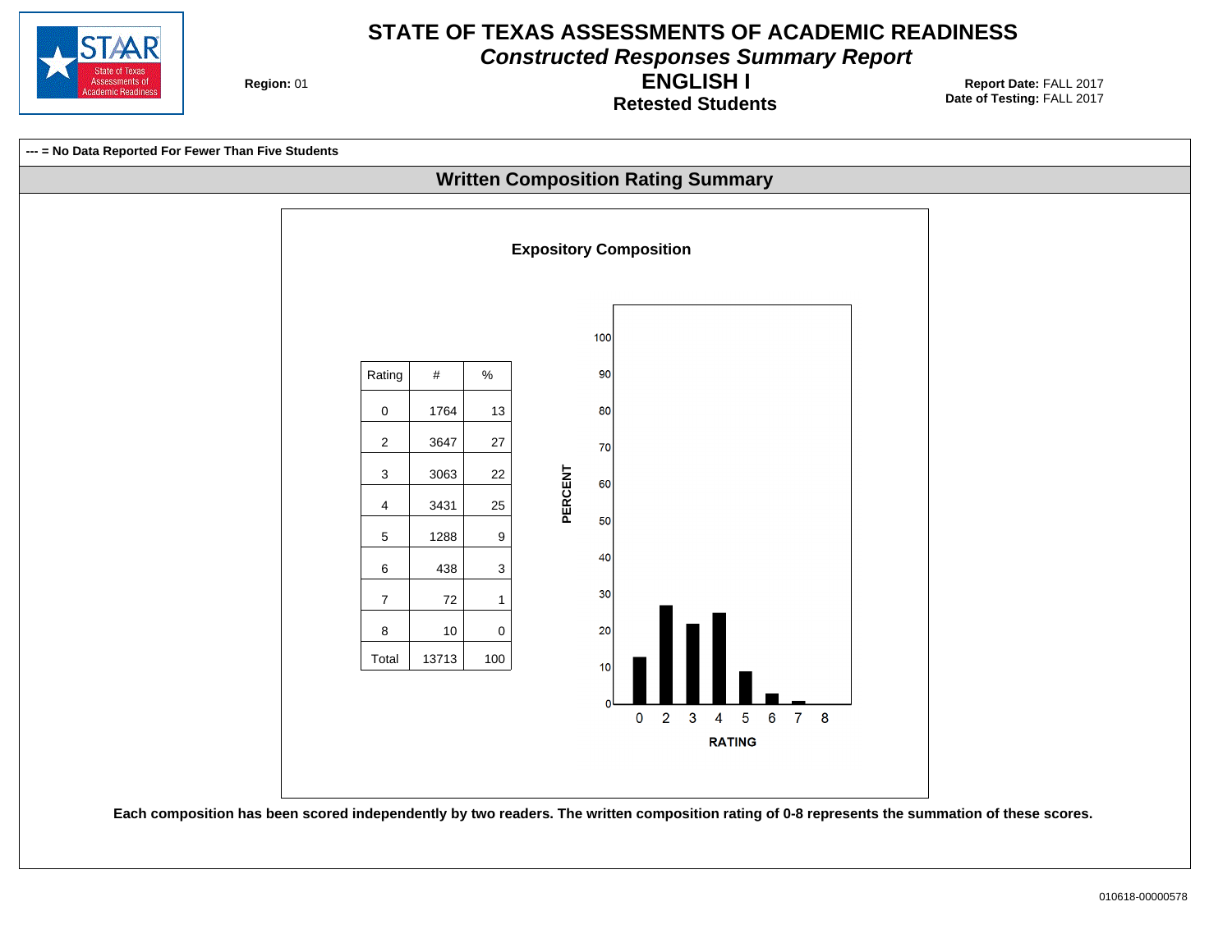

**Constructed Responses Summary Report**

**Region: 01** 

**Retested Students ENGLISH I**

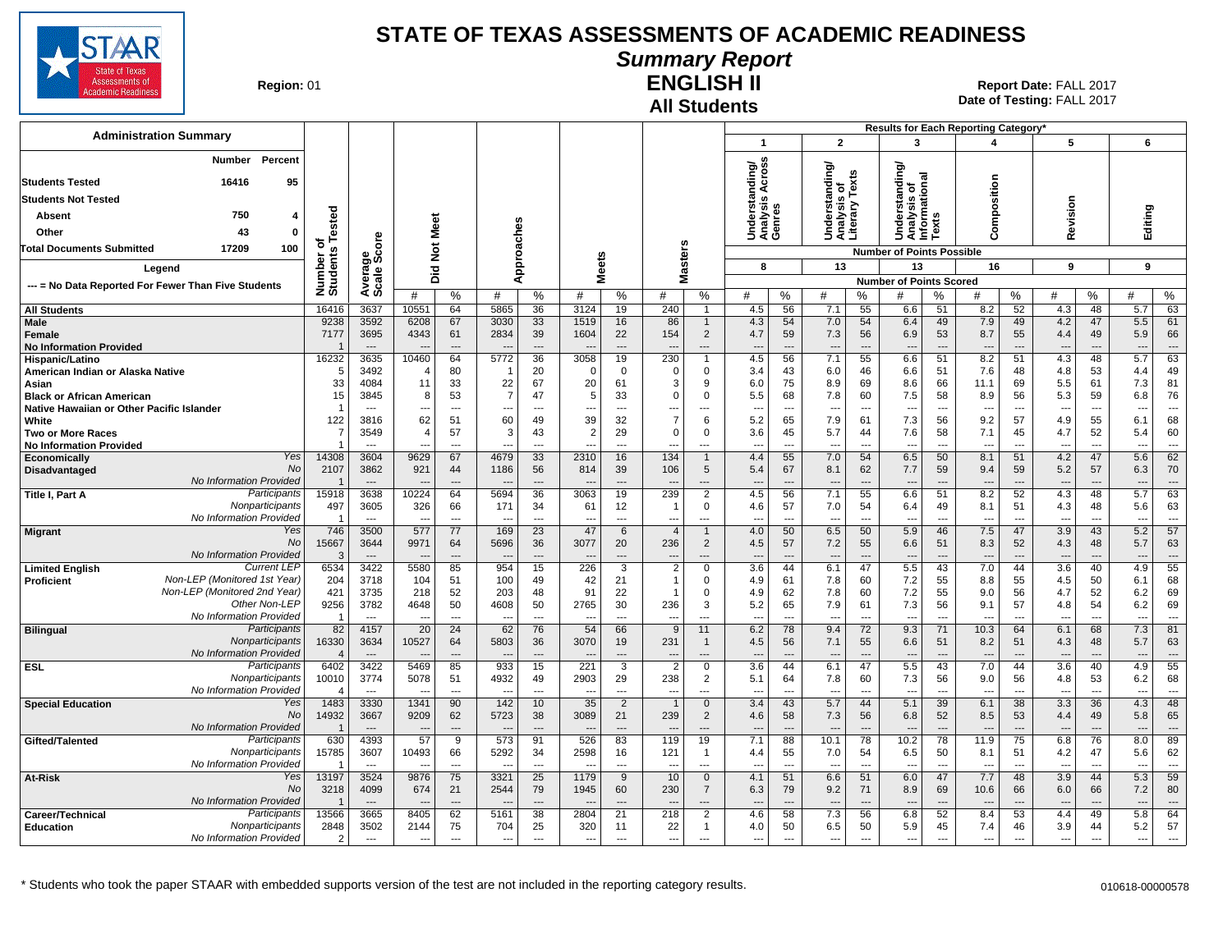

## **Summary Report**

**Region: 01** 

#### **All Students ENGLISH II**

**Date of Testing:**  FALL 2017 01 **Report Date:** FALL 2017

|                                                                         |                      |                                  |                                  |                                      |                                          |                                      |                                |                                            |                  |                                         |                                        |                                |                                 |                                      | Results for Each Reporting Category*                |                                      |                                        |                                |                                        |                                |                          |                                      |
|-------------------------------------------------------------------------|----------------------|----------------------------------|----------------------------------|--------------------------------------|------------------------------------------|--------------------------------------|--------------------------------|--------------------------------------------|------------------|-----------------------------------------|----------------------------------------|--------------------------------|---------------------------------|--------------------------------------|-----------------------------------------------------|--------------------------------------|----------------------------------------|--------------------------------|----------------------------------------|--------------------------------|--------------------------|--------------------------------------|
| <b>Administration Summary</b>                                           |                      |                                  |                                  |                                      |                                          |                                      |                                |                                            |                  |                                         | $\mathbf 1$                            |                                | $\overline{2}$                  |                                      | 3                                                   |                                      | Δ                                      |                                | 5                                      |                                | 6                        |                                      |
| Percent<br>Number<br><b>Students Tested</b><br>16416<br>95              |                      |                                  |                                  |                                      |                                          |                                      |                                |                                            |                  |                                         | nding/<br>Across                       |                                | ding/                           | is on<br>v Texts                     | anding<br>ᢎ                                         |                                      | Composition                            |                                |                                        |                                |                          |                                      |
| <b>Students Not Tested</b>                                              |                      |                                  |                                  |                                      |                                          |                                      |                                |                                            |                  |                                         |                                        |                                | rstan                           |                                      |                                                     |                                      |                                        |                                |                                        |                                |                          |                                      |
| 750<br><b>Absent</b>                                                    | ested                |                                  |                                  |                                      |                                          |                                      |                                |                                            |                  |                                         | Understa<br>Analysis<br>Genres         |                                | ζãς<br>Θ                        |                                      | Understandi<br>Analysis of<br>Informationa<br>Texts |                                      |                                        |                                | Revision                               |                                | Editing                  |                                      |
| 43<br>Other<br>$\Omega$                                                 |                      |                                  | Meet                             |                                      |                                          |                                      |                                |                                            |                  |                                         |                                        |                                | Under<br>Analys<br>Literar      |                                      |                                                     |                                      |                                        |                                |                                        |                                |                          |                                      |
| <b>Total Documents Submitted</b><br>17209<br>100                        | ৳                    | ge<br>Score                      | $\frac{5}{2}$                    |                                      |                                          | oaches                               |                                |                                            |                  |                                         |                                        |                                |                                 |                                      | <b>Number of Points Possible</b>                    |                                      |                                        |                                |                                        |                                |                          |                                      |
| Legend                                                                  | Number o<br>Students |                                  |                                  |                                      |                                          |                                      | eets                           |                                            |                  | asters                                  | 8                                      |                                | 13                              |                                      | 13                                                  |                                      | 16                                     |                                | 9                                      |                                | 9                        |                                      |
|                                                                         |                      | Avera<br>Scale                   | 고<br>ه                           |                                      |                                          | Appro                                | ż                              |                                            |                  | Σ                                       |                                        |                                |                                 |                                      | <b>Number of Points Scored</b>                      |                                      |                                        |                                |                                        |                                |                          |                                      |
| --- = No Data Reported For Fewer Than Five Students                     |                      |                                  | #                                | %                                    | #                                        | %                                    | #                              | %                                          | #                | %                                       | #                                      | %                              | #                               | %                                    | #                                                   | %                                    | #                                      | %                              | #                                      | %                              | #                        | %                                    |
| <b>All Students</b>                                                     | 16416                | 3637                             | 10551                            | 64                                   | 5865                                     | 36                                   | 3124                           | 19                                         | 240              | $\overline{1}$                          | 4.5                                    | 56                             | 7.1                             | 55                                   | 6.6                                                 | 51                                   | 8.2                                    | 52                             | 4.3                                    | 48                             | 5.7                      | 63                                   |
| Male<br>Female<br><b>No Information Provided</b>                        | 9238<br>7177         | 3592<br>3695<br>$---$            | 6208<br>4343                     | 67<br>61<br>$\overline{\phantom{a}}$ | 3030<br>2834<br>$\overline{\phantom{a}}$ | 33<br>39<br>$\overline{\phantom{a}}$ | 1519<br>1604                   | 16<br>22<br>$\overline{\phantom{a}}$       | 86<br>154<br>--- | $\overline{1}$<br>$\overline{2}$<br>--- | 4.3<br>4.7<br>$\overline{\phantom{a}}$ | 54<br>59<br>---                | 7.0<br>7.3<br>---               | 54<br>56<br>$\overline{\phantom{a}}$ | 6.4<br>6.9<br>---                                   | 49<br>53<br>$\overline{\phantom{a}}$ | 7.9<br>8.7<br>$\overline{\phantom{a}}$ | 49<br>55<br>$---$              | 4.2<br>4.4<br>$\overline{\phantom{a}}$ | 47<br>49<br>$---$              | 5.5<br>5.9<br>---        | 61<br>66<br>$\overline{\phantom{a}}$ |
| Hispanic/Latino                                                         | 16232                | 3635                             | 10460                            | 64                                   | 5772                                     | 36                                   | 3058                           | 19                                         | 230              | $\mathbf{1}$                            | 4.5                                    | 56                             | 7.1                             | 55                                   | 6.6                                                 | 51                                   | 8.2                                    | 51                             | 4.3                                    | 48                             | 5.7                      | 63                                   |
| American Indian or Alaska Native<br>Asian                               | F<br>33              | 3492<br>4084                     | 11                               | 80<br>33                             | -1<br>22                                 | 20<br>67                             | $\mathbf 0$<br>20              | $\mathbf 0$<br>61                          | $\mathbf 0$<br>3 | $\mathbf 0$<br>9                        | 3.4<br>6.0                             | 43<br>75                       | 6.0<br>8.9                      | 46<br>69                             | 6.6<br>8.6                                          | 51<br>66                             | 7.6<br>11.1                            | 48<br>69                       | 4.8<br>5.5                             | 53<br>61                       | 4.4<br>7.3               | 49<br>81                             |
| <b>Black or African American</b>                                        | 15                   | 3845                             | 8                                | 53                                   | $\overline{7}$                           | 47                                   | 5                              | 33                                         | $\mathbf 0$      | 0                                       | 5.5                                    | 68                             | 7.8                             | 60                                   | 7.5                                                 | 58                                   | 8.9                                    | 56                             | 5.3                                    | 59                             | 6.8                      | 76                                   |
| Native Hawaiian or Other Pacific Islander                               |                      | $\overline{a}$                   | --                               | ---                                  | $\scriptstyle\cdots$                     | $\overline{a}$                       | ---                            | $---$                                      | ---              | ---                                     | $\overline{\phantom{a}}$               | $\overline{a}$                 | $\overline{\phantom{a}}$        | $\overline{a}$                       | $\overline{a}$                                      | $\overline{\phantom{a}}$             | $\overline{a}$                         | $\overline{\phantom{a}}$       | $\sim$                                 | $\overline{\phantom{a}}$       | ---                      | $\overline{\phantom{a}}$             |
| White                                                                   | 122                  | 3816                             | 62                               | 51                                   | 60                                       | 49                                   | 39                             | 32                                         | $\overline{7}$   | 6                                       | 5.2                                    | 65                             | 7.9                             | 61                                   | 7.3                                                 | 56                                   | 9.2                                    | 57                             | 4.9                                    | 55                             | 6.1                      | 68                                   |
| <b>Two or More Races</b><br><b>No Information Provided</b>              |                      | 3549<br>$\sim$                   | $\overline{4}$                   | 57<br>---                            | 3<br>---                                 | 43<br>$---$                          | $\overline{2}$                 | 29<br>$---$                                | $\Omega$<br>---  | $\mathbf 0$<br>---                      | 3.6<br>$\sim$                          | 45<br>$\overline{a}$           | 5.7<br>---                      | 44<br>---                            | 7.6<br>$\overline{\phantom{a}}$                     | 58<br>---                            | 7.1<br>$\overline{a}$                  | 45<br>$\sim$                   | 4.7<br>---                             | 52<br>$\overline{\phantom{a}}$ | 5.4<br>---               | 60<br>$\qquad \qquad \cdots$         |
| Yes<br><b>Economically</b>                                              | 14308                | 3604                             | 9629                             | 67                                   | 4679                                     | 33                                   | 2310                           | 16                                         | 134              | $\mathbf{1}$                            | 4.4                                    | 55                             | 7.0                             | 54                                   | 6.5                                                 | 50                                   | 8.1                                    | 51                             | 4.2                                    | 47                             | 5.6                      | 62                                   |
| No<br>Disadvantaged                                                     | 2107                 | 3862                             | 921                              | 44                                   | 1186                                     | 56                                   | 814                            | 39                                         | 106              | 5                                       | 5.4                                    | 67                             | 8.1                             | 62                                   | 7.7                                                 | 59                                   | 9.4                                    | 59                             | 5.2                                    | 57                             | 6.3                      | 70                                   |
| No Information Provided<br>Participants                                 | 15918                | $\overline{\phantom{a}}$<br>3638 | 10224                            | ---<br>64                            | 5694                                     | 36                                   | 3063                           | 19                                         | 239              | ---<br>$\overline{2}$                   | 4.5                                    | 56                             | ---<br>7.1                      | ---<br>55                            | 6.6                                                 | ---<br>51                            | 8.2                                    | 52                             | 4.3                                    | 48                             | 5.7                      | $\overline{\phantom{a}}$<br>63       |
| Title I, Part A<br>Nonparticipants<br>No Information Provided           | 497<br>- 1           | 3605<br>$\overline{\phantom{a}}$ | 326<br>$\overline{a}$            | 66<br>$\overline{a}$                 | 171<br>$\overline{\phantom{a}}$          | 34<br>$\overline{a}$                 | 61<br>$\overline{\phantom{a}}$ | 12<br>$\overline{a}$                       | -1<br>---        | 0<br>---                                | 4.6<br>$\overline{a}$                  | 57<br>$\overline{\phantom{a}}$ | 7.0<br>$\overline{\phantom{a}}$ | 54<br>$\overline{a}$                 | 6.4<br>$\overline{a}$                               | 49<br>$\overline{a}$                 | 8.1<br>$\overline{a}$                  | 51<br>$\overline{\phantom{a}}$ | 4.3<br>$\overline{\phantom{a}}$        | 48<br>$\sim$                   | 5.6<br>---               | 63<br>$\overline{a}$                 |
| Yes<br><b>Migrant</b>                                                   | 746                  | 3500                             | 577                              | 77                                   | 169                                      | 23                                   | 47                             | 6                                          | $\overline{4}$   | $\overline{1}$                          | 4.0                                    | 50                             | 6.5                             | 50                                   | 5.9                                                 | 46                                   | 7.5                                    | 47                             | 3.9                                    | 43                             | 5.2                      | 57                                   |
| No<br>No Information Provided                                           | 15667                | 3644<br>$---$                    | 9971                             | 64<br>---                            | 5696                                     | 36<br>$---$                          | 3077                           | 20<br>$---$                                | 236<br>---       | 2<br>---                                | 4.5<br>$\overline{\phantom{a}}$        | 57<br>$\overline{\phantom{a}}$ | 7.2<br>---                      | 55<br>$\overline{\phantom{a}}$       | 6.6                                                 | 51<br>$\overline{\phantom{a}}$       | 8.3                                    | 52<br>$\overline{\phantom{a}}$ | 4.3<br>$\sim$                          | 48<br>$---$                    | 5.7<br>$- -$             | 63<br>$\cdots$                       |
| <b>Current LEP</b><br><b>Limited English</b>                            | 6534                 | 3422                             | 5580                             | 85                                   | 954                                      | 15                                   | 226                            | 3                                          | $\overline{2}$   | $\mathbf 0$                             | 3.6                                    | 44                             | 6.1                             | 47                                   | 5.5                                                 | 43                                   | 7.0                                    | 44                             | 3.6                                    | 40                             | 4.9                      | 55                                   |
| Non-LEP (Monitored 1st Year)<br>Proficient                              | 204                  | 3718                             | 104                              | 51                                   | 100                                      | 49                                   | 42                             | 21                                         | $\overline{1}$   | 0                                       | 4.9                                    | 61                             | 7.8                             | 60                                   | 7.2                                                 | 55                                   | 8.8                                    | 55                             | 4.5                                    | 50                             | 6.1                      | 68                                   |
| Non-LEP (Monitored 2nd Year)<br>Other Non-LEP                           | 421<br>9256          | 3735<br>3782                     | 218<br>4648                      | 52<br>50                             | 203<br>4608                              | 48<br>50                             | 91<br>2765                     | 22<br>30                                   | 236              | 0<br>3                                  | 4.9<br>5.2                             | 62<br>65                       | 7.8<br>7.9                      | 60<br>61                             | 7.2<br>7.3                                          | 55<br>56                             | 9.0<br>9.1                             | 56<br>57                       | 4.7<br>4.8                             | 52<br>54                       | 6.2<br>6.2               | 69<br>69                             |
| No Information Provided                                                 | - 1                  | $\sim$                           |                                  | $\overline{a}$                       |                                          | $\overline{a}$                       |                                | $\overline{a}$                             |                  | $\overline{a}$                          | $\overline{a}$                         | $\overline{a}$                 | $\overline{\phantom{a}}$        | $\overline{a}$                       | --                                                  | $\overline{a}$                       | $\sim$                                 | $\overline{a}$                 |                                        | $\overline{a}$                 | ---                      | $\overline{\phantom{a}}$             |
| Participants<br><b>Bilingual</b>                                        | 82                   | 4157                             | 20                               | 24                                   | 62                                       | 76                                   | 54                             | 66                                         | 9                | 11                                      | 6.2                                    | 78                             | 9.4                             | 72                                   | 9.3                                                 | 71                                   | 10.3                                   | 64                             | 6.1                                    | 68                             | 7.3                      | 81                                   |
| Nonparticipants<br>No Information Provided                              | 16330                | 3634                             | 10527                            | 64                                   | 5803                                     | 36                                   | 3070                           | 19                                         | 231              | $\overline{1}$                          | 4.5                                    | 56                             | 7.1                             | 55                                   | 6.6                                                 | 51                                   | 8.2                                    | 51                             | 4.3                                    | 48                             | 5.7                      | 63                                   |
| Participants<br><b>ESL</b>                                              | 6402                 | $---$<br>3422                    | 5469                             | ---<br>85                            | 933                                      | ---<br>15                            | 221                            | $\overline{\phantom{a}}$<br>$\overline{3}$ | $\overline{2}$   | ---<br>$\mathbf 0$                      | 3.6                                    | ---<br>44                      | $\overline{\phantom{a}}$<br>6.1 | $\overline{a}$<br>47                 | 5.5                                                 | $\overline{\phantom{a}}$<br>43       | 7.0                                    | $\overline{\phantom{a}}$<br>44 | 3.6                                    | $\overline{a}$<br>40           | 4.9                      | $\overline{\phantom{a}}$<br>55       |
| Nonparticipants                                                         | 10010                | 3774                             | 5078                             | 51                                   | 4932                                     | 49                                   | 2903                           | 29                                         | 238              | $\overline{2}$                          | 5.1                                    | 64                             | 7.8                             | 60                                   | 7.3                                                 | 56                                   | 9.0                                    | 56                             | 4.8                                    | 53                             | 6.2                      | 68                                   |
| No Information Provided                                                 |                      | $\overline{\phantom{a}}$         |                                  | ---                                  |                                          | $\overline{a}$                       |                                | $\overline{a}$                             |                  | ---                                     |                                        | $\overline{\phantom{a}}$       | ---                             | $\overline{\phantom{a}}$             | $\overline{\phantom{a}}$                            | ---                                  |                                        |                                |                                        | ---                            | ---                      | $\hspace{0.05cm} \ldots$             |
| Yes<br><b>Special Education</b><br>No                                   | 1483                 | 3330                             | 1341                             | 90                                   | 142                                      | 10                                   | 35                             | $\overline{2}$                             | $\overline{1}$   | $\mathbf 0$                             | 3.4                                    | 43                             | 5.7                             | 44                                   | 5.1                                                 | 39                                   | 6.1                                    | 38                             | 3.3                                    | 36                             | 4.3                      | 48                                   |
| No Information Provided                                                 | 14932                | 3667<br>$\sim$                   | 9209                             | 62<br>$\overline{a}$                 | 5723                                     | 38<br>$\overline{a}$                 | 3089                           | 21<br>$\overline{a}$                       | 239              | 2<br>---                                | 4.6                                    | 58<br>$\overline{a}$           | 7.3<br>$\overline{\phantom{a}}$ | 56<br>$\overline{a}$                 | 6.8                                                 | 52<br>$\overline{\phantom{a}}$       | 8.5                                    | 53                             | 4.4                                    | 49                             | 5.8                      | 65<br>$\overline{a}$                 |
| Participants<br>Gifted/Talented                                         | 630                  | 4393                             | 57                               | 9                                    | 573                                      | 91                                   | 526                            | 83                                         | 119              | 19                                      | 7.1                                    | 88                             | 10.1                            | 78                                   | 10.2                                                | 78                                   | 11.9                                   | 75                             | 6.8                                    | 76                             | 8.0                      | 89                                   |
| Nonparticipants                                                         | 15785                | 3607                             | 10493                            | 66                                   | 5292                                     | 34                                   | 2598                           | 16                                         | 121              | $\overline{1}$                          | 4.4                                    | 55                             | 7.0                             | 54                                   | 6.5                                                 | 50                                   | 8.1                                    | 51                             | 4.2                                    | 47                             | 5.6                      | 62                                   |
| No Information Provided<br>Yes                                          | 13197                | $\overline{\phantom{a}}$<br>3524 | $\overline{\phantom{a}}$<br>9876 | $\overline{a}$<br>75                 | $\overline{a}$<br>3321                   | $\overline{a}$<br>25                 | $\sim$<br>1179                 | $\overline{\phantom{a}}$<br>9              | ---<br>10        | $\overline{a}$<br>$\overline{0}$        | $--$<br>4.1                            | $\overline{\phantom{a}}$<br>51 | ---                             | $\overline{a}$                       | ---<br>6.0                                          | ---<br>47                            | $\overline{a}$<br>7.7                  | $\overline{a}$<br>48           | $\overline{\phantom{a}}$<br>3.9        | $\overline{\phantom{a}}$<br>44 | ---                      | $\overline{a}$<br>59                 |
| At-Risk<br>No                                                           | 3218                 | 4099                             | 674                              | 21                                   | 2544                                     | 79                                   | 1945                           | 60                                         | 230              | $\overline{7}$                          | 6.3                                    | 79                             | 6.6<br>9.2                      | 51<br>71                             | 8.9                                                 | 69                                   | 10.6                                   | 66                             | 6.0                                    | 66                             | 5.3<br>7.2               | 80                                   |
| No Information Provided                                                 |                      | $---$                            |                                  | $\overline{a}$                       |                                          | $\overline{a}$                       |                                | $\overline{\phantom{a}}$                   |                  | $\overline{a}$                          | $\overline{\phantom{a}}$               | $\overline{\phantom{a}}$       | $\overline{\phantom{a}}$        | $\overline{a}$                       | $\overline{a}$                                      | $\overline{a}$                       | $\overline{a}$                         | $\overline{\phantom{a}}$       | $\overline{\phantom{a}}$               | $\overline{a}$                 | $\overline{\phantom{a}}$ | $---$                                |
| Participants<br>Career/Technical<br>Nonparticipants<br><b>Education</b> | 13566<br>2848        | 3665<br>3502                     | 8405<br>2144                     | 62<br>75                             | 5161<br>704                              | 38<br>25                             | 2804<br>320                    | 21<br>11                                   | 218<br>22        | $\overline{2}$<br>$\mathbf{1}$          | 4.6<br>4.0                             | 58<br>50                       | 7.3<br>6.5                      | 56<br>50                             | 6.8<br>5.9                                          | 52<br>45                             | 8.4<br>7.4                             | 53<br>46                       | 4.4<br>3.9                             | 49<br>44                       | 5.8<br>5.2               | 64<br>57                             |
| No Information Provided                                                 | $\mathcal{P}$        | $\sim$                           | $\sim$                           | $\overline{a}$                       | $---$                                    | $\overline{a}$                       | $\overline{\phantom{a}}$       | $\overline{a}$                             | ---              | $\overline{a}$                          | $-$                                    | $\overline{a}$                 | $\overline{a}$                  | $\overline{a}$                       | $\overline{a}$                                      | $\overline{a}$                       | $\overline{a}$                         | $\overline{\phantom{a}}$       | $\overline{\phantom{a}}$               | $\overline{a}$                 | $\sim$                   | $\overline{\phantom{a}}$             |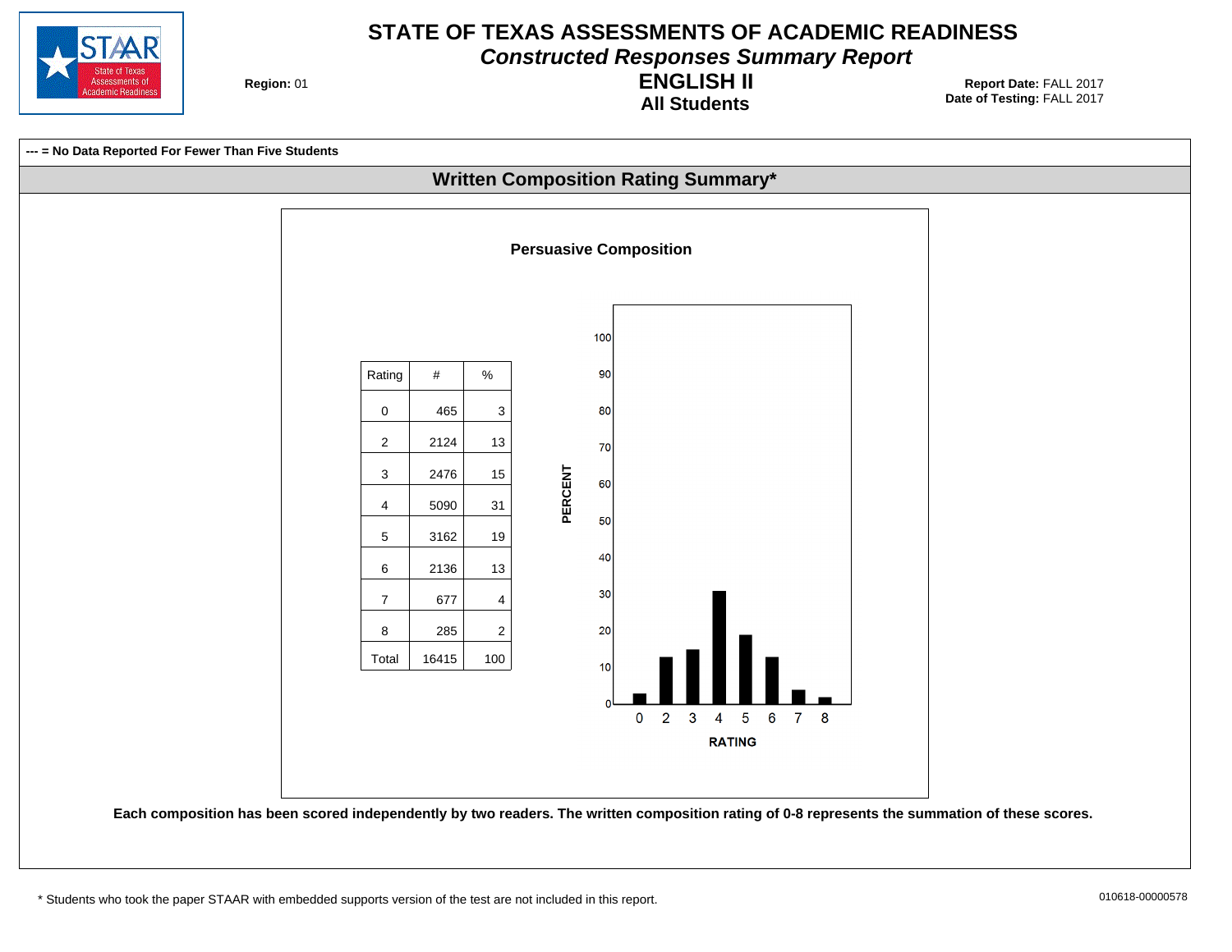

**Constructed Responses Summary Report**

**Region: 01** 

**All Students ENGLISH II**

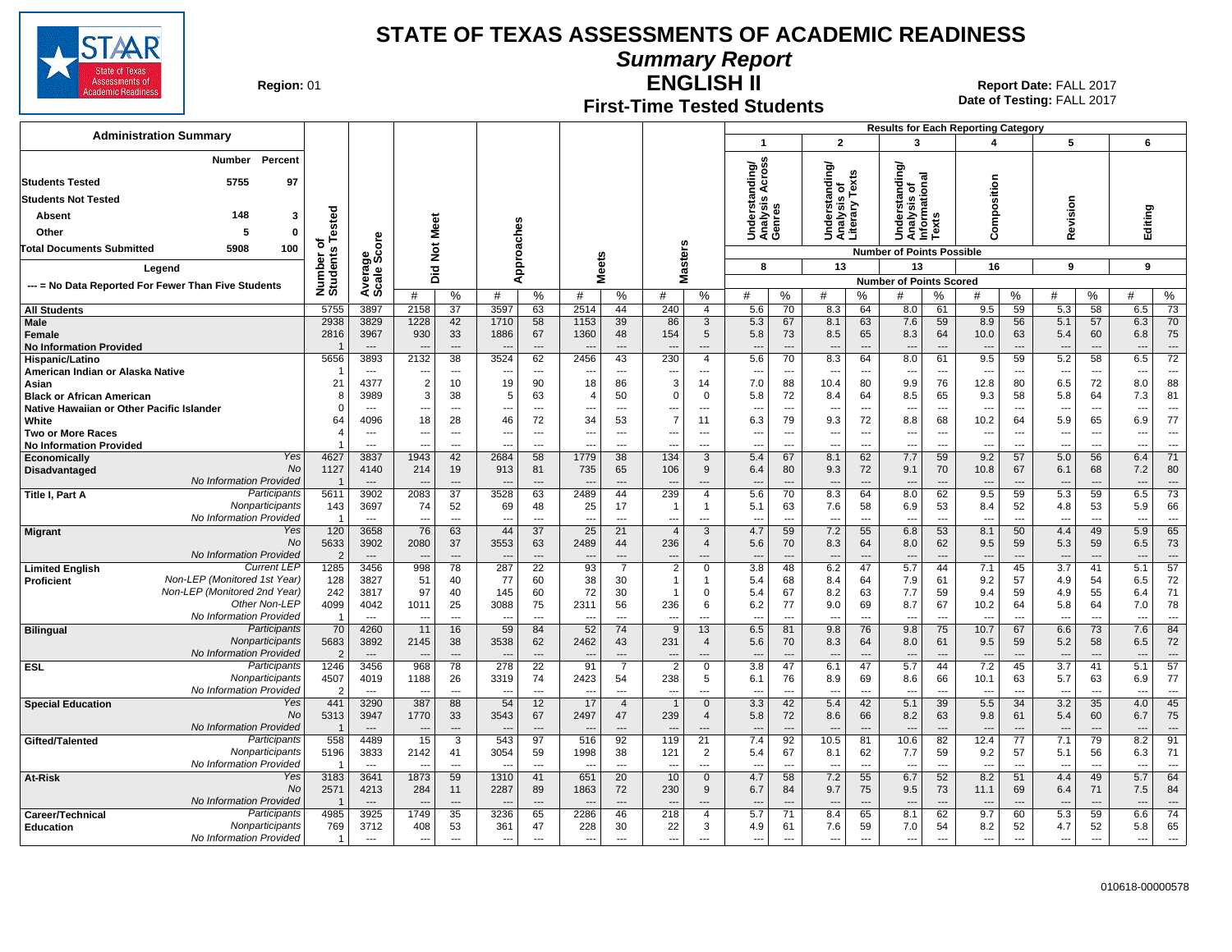

#### **Summary Report**

**Region: 01** 

### **First-Time Tested Students**

**ENGLISH II** 01 **Report Date:** FALL 2017 **Date of Testing:**  FALL 2017

| <b>Administration Summary</b>                                                     |                          |                                  |                                  |                                  |                                  |                                  |                                            |                                   |                       |                                  |                                   |                                            |                                                      |                                  |                                             |                                  | <b>Results for Each Reporting Category</b> |                                |                                 |                                 |                                 |                                            |
|-----------------------------------------------------------------------------------|--------------------------|----------------------------------|----------------------------------|----------------------------------|----------------------------------|----------------------------------|--------------------------------------------|-----------------------------------|-----------------------|----------------------------------|-----------------------------------|--------------------------------------------|------------------------------------------------------|----------------------------------|---------------------------------------------|----------------------------------|--------------------------------------------|--------------------------------|---------------------------------|---------------------------------|---------------------------------|--------------------------------------------|
|                                                                                   |                          |                                  |                                  |                                  |                                  |                                  |                                            |                                   |                       |                                  | $\mathbf{1}$                      |                                            | $\overline{2}$                                       |                                  | 3                                           |                                  | 4                                          |                                | 5                               |                                 | 6                               |                                            |
| Percent<br>Number                                                                 |                          |                                  |                                  |                                  |                                  |                                  |                                            |                                   |                       |                                  | nding/<br>Across                  |                                            |                                                      |                                  |                                             |                                  |                                            |                                |                                 |                                 |                                 |                                            |
| 5755<br>97<br><b>Students Tested</b>                                              |                          |                                  |                                  |                                  |                                  |                                  |                                            |                                   |                       |                                  |                                   |                                            | tanding/                                             | is of<br>v Texts                 | nding/<br>ö                                 | <b>Ta</b>                        |                                            |                                |                                 |                                 |                                 |                                            |
| <b>Students Not Tested</b>                                                        |                          |                                  |                                  |                                  |                                  |                                  |                                            |                                   |                       |                                  |                                   |                                            |                                                      |                                  | ত্ত্                                        |                                  | position                                   |                                |                                 |                                 |                                 |                                            |
| 148<br>3<br>Absent                                                                | ested                    |                                  |                                  |                                  |                                  |                                  |                                            |                                   |                       |                                  | Inderstar<br>.nalysis /<br>ienres |                                            | Understa<br>Analysis<br>Literary                     |                                  | Understa<br>Analysis<br>Informatic<br>Texts |                                  |                                            |                                | Revision                        |                                 | Editing                         |                                            |
| Other<br>5<br>$\Omega$                                                            |                          | ဨ                                | Meet                             |                                  |                                  |                                  |                                            |                                   |                       |                                  | うその                               |                                            |                                                      |                                  | ⊇نة<br>Ξ                                    |                                  | 통<br>ت                                     |                                |                                 |                                 |                                 |                                            |
| 100<br><b>Total Documents Submitted</b><br>5908                                   | ⊢<br>Ö                   | မှု<br>မိတ်                      | $\frac{5}{2}$                    |                                  |                                  |                                  |                                            |                                   |                       |                                  |                                   |                                            |                                                      |                                  | <b>Number of Points Possible</b>            |                                  |                                            |                                |                                 |                                 |                                 |                                            |
| Leaend                                                                            | Number o<br>Students     |                                  |                                  |                                  |                                  | Approaches                       | <b>Meets</b>                               |                                   |                       | <b>Masters</b>                   | 8                                 |                                            | 13                                                   |                                  | 13                                          |                                  | 16                                         |                                | 9                               |                                 | 9                               |                                            |
| --- = No Data Reported For Fewer Than Five Students                               |                          | Averag<br>Scale                  | Ъä                               |                                  |                                  |                                  |                                            |                                   |                       |                                  |                                   |                                            |                                                      |                                  | <b>Number of Points Scored</b>              |                                  |                                            |                                |                                 |                                 |                                 |                                            |
|                                                                                   |                          |                                  | #                                | %                                | #                                | %                                | #                                          | %                                 | #                     | %                                | #                                 | $\%$                                       | #                                                    | %                                | #                                           | %                                | #                                          | %                              | #                               | ℅                               | #                               | $\%$                                       |
| <b>All Students</b>                                                               | 5755                     | 3897                             | 2158                             | 37                               | 3597                             | 63                               | 2514                                       | 44                                | 240                   | $\overline{4}$                   | 5.6                               | 70                                         | 8.3                                                  | 64                               | 8.0                                         | 61                               | 9.5                                        | 59                             | 5.3                             | 58                              | 6.5                             | 73                                         |
| <b>Male</b><br>Female                                                             | 2938<br>2816             | 3829<br>3967                     | 1228<br>930                      | 42<br>33                         | 1710<br>1886                     | 58<br>67                         | 1153<br>1360                               | 39<br>48                          | 86<br>154             | 3<br>5                           | 5.3<br>5.8                        | 67<br>73                                   | 8.1<br>8.5                                           | 63<br>65                         | 7.6<br>8.3                                  | 59<br>64                         | 8.9<br>10.0                                | 56<br>63                       | 5.1<br>5.4                      | 57<br>60                        | 6.3<br>6.8                      | 70<br>75                                   |
| <b>No Information Provided</b>                                                    |                          | $\overline{\phantom{a}}$         |                                  | $\overline{a}$                   |                                  | $\overline{a}$                   |                                            | $\overline{\phantom{a}}$          |                       | ---                              |                                   | ---                                        |                                                      | $\overline{a}$                   |                                             | $\overline{\phantom{a}}$         |                                            | ---                            |                                 | ---                             |                                 |                                            |
| Hispanic/Latino                                                                   | 5656                     | 3893                             | 2132                             | 38                               | 3524                             | 62                               | 2456                                       | 43                                | 230                   | 4                                | 5.6                               | 70                                         | 8.3                                                  | 64                               | 8.0                                         | 61                               | 9.5                                        | 59                             | 5.2                             | 58                              | 6.5                             | $\overline{72}$                            |
| American Indian or Alaska Native                                                  | 21                       | $\overline{\phantom{a}}$<br>4377 | $\overline{2}$                   | ---<br>10                        | ---<br>19                        | ---<br>90                        | 18                                         | $\overline{a}$<br>86              | 3                     | ---<br>14                        | $\overline{a}$<br>7.0             | $\overline{\phantom{a}}$<br>88             | $\overline{\phantom{a}}$<br>10.4                     | $\overline{a}$<br>80             | $\overline{\phantom{a}}$<br>9.9             | ---<br>76                        | ---<br>12.8                                | ---<br>80                      | 6.5                             | ---<br>72                       | 8.0                             | $\overline{a}$<br>88                       |
| Asian<br><b>Black or African American</b>                                         | -8                       | 3989                             | 3                                | 38                               | 5                                | 63                               | $\overline{4}$                             | 50                                | $\Omega$              | $\Omega$                         | 5.8                               | 72                                         | 8.4                                                  | 64                               | 8.5                                         | 65                               | 9.3                                        | 58                             | 5.8                             | 64                              | 7.3                             | 81                                         |
| Native Hawaiian or Other Pacific Islander                                         | $\Omega$                 | $\overline{\phantom{a}}$         | ---                              | $\overline{a}$                   | $\overline{a}$                   | $\overline{a}$                   | $\overline{\phantom{a}}$                   | $\overline{\phantom{a}}$          | ---                   | $\overline{\phantom{a}}$         | $\overline{\phantom{a}}$          | $\overline{\phantom{a}}$                   | $\overline{\phantom{a}}$                             | ---                              | $\overline{a}$                              | ---                              | $\overline{a}$                             | $\overline{a}$                 | $\overline{a}$                  | $\overline{\phantom{a}}$        | $\overline{\phantom{a}}$        | $\overline{\phantom{a}}$                   |
| White                                                                             | 64                       | 4096                             | 18                               | 28                               | 46                               | 72                               | 34                                         | 53                                | $\overline{7}$        | 11                               | 6.3                               | 79                                         | 9.3                                                  | 72                               | 8.8                                         | 68                               | 10.2                                       | 64                             | 5.9                             | 65                              | 6.9                             | 77                                         |
| <b>Two or More Races</b><br><b>No Information Provided</b>                        | $\overline{4}$           | $\overline{\phantom{a}}$<br>---  | ---<br>---                       | $\overline{a}$<br>$\overline{a}$ | ---<br>$\overline{a}$            | $\overline{a}$<br>$\overline{a}$ | $\overline{\phantom{a}}$<br>$\overline{a}$ | $\overline{\phantom{a}}$<br>$---$ | ---<br>$\overline{a}$ | $\overline{a}$<br>$\overline{a}$ | $\overline{a}$<br>$\overline{a}$  | $\overline{\phantom{a}}$<br>$\overline{a}$ | $\overline{\phantom{a}}$<br>$\overline{\phantom{a}}$ | $\overline{a}$<br>$\overline{a}$ | ---<br>$\overline{\phantom{a}}$             | $\overline{a}$<br>$\overline{a}$ | ---<br>$\overline{a}$                      | $\overline{a}$<br>---          | $\overline{\phantom{a}}$<br>--- | $\overline{\phantom{a}}$<br>--- | ---<br>$-$                      | $\overline{\phantom{a}}$<br>$\overline{a}$ |
| Yes<br>Economically                                                               | 4627                     | 3837                             | 1943                             | 42                               | 2684                             | 58                               | 1779                                       | 38                                | 134                   | 3                                | 5.4                               | 67                                         | 8.1                                                  | 62                               | 7.7                                         | 59                               | 9.2                                        | 57                             | 5.0                             | 56                              | 6.4                             | 71                                         |
| No<br>Disadvantaged                                                               | 1127                     | 4140                             | 214                              | 19                               | 913                              | 81                               | 735                                        | 65                                | 106                   | 9                                | 6.4                               | 80                                         | 9.3                                                  | 72                               | 9.1                                         | 70                               | 10.8                                       | 67                             | 6.1                             | 68                              | 7.2                             | 80                                         |
| No Information Provided<br>Participants<br>Title I, Part A                        | 5611                     | $\overline{\phantom{a}}$<br>3902 | $\overline{\phantom{a}}$<br>2083 | $---$<br>$\overline{37}$         | $\overline{\phantom{a}}$<br>3528 | $\overline{a}$<br>63             | 2489                                       | $---$<br>44                       | ---<br>239            | ---<br>4                         | ---<br>5.6                        | ---<br>70                                  | $\overline{\phantom{a}}$<br>8.3                      | $\overline{\phantom{a}}$<br>64   | ---<br>8.0                                  | $\overline{\phantom{a}}$<br>62   | $\overline{\phantom{a}}$<br>9.5            | $\overline{\phantom{a}}$<br>59 | $\overline{\phantom{a}}$<br>5.3 | $\overline{\phantom{a}}$<br>59  | $\overline{\phantom{a}}$<br>6.5 | $\cdots$<br>$\overline{73}$                |
| Nonparticipants                                                                   | 143                      | 3697                             | 74                               | 52                               | 69                               | 48                               | 25                                         | 17                                | $\overline{1}$        | $\mathbf{1}$                     | 5.1                               | 63                                         | 7.6                                                  | 58                               | 6.9                                         | 53                               | 8.4                                        | 52                             | 4.8                             | 53                              | 5.9                             | 66                                         |
| No Information Provided                                                           |                          | $\overline{\phantom{a}}$         | $\overline{a}$                   | $\overline{a}$                   | $\overline{a}$                   | $\overline{a}$                   | $\sim$                                     | $---$                             | $\overline{a}$        | $\overline{a}$                   | $\sim$                            | $\overline{\phantom{a}}$                   | $\overline{\phantom{a}}$                             | $---$                            | $\overline{a}$                              | $---$                            | $---$                                      | $\overline{a}$                 | $\sim$                          | $\overline{\phantom{a}}$        | $\sim$                          | $\overline{a}$                             |
| Yes<br><b>Migrant</b><br><b>No</b>                                                | 120<br>5633              | 3658                             | 76<br>2080                       | 63<br>37                         | 44<br>3553                       | 37                               | 25<br>2489                                 | 21<br>44                          | $\overline{4}$        | 3                                | 4.7                               | 59<br>70                                   | 7.2                                                  | 55                               | 6.8                                         | 53                               | 8.1<br>9.5                                 | 50                             | 4.4<br>5.3                      | 49                              | 5.9<br>6.5                      | 65<br>73                                   |
| No Information Provided                                                           | $\overline{2}$           | 3902<br>$---$                    | ---                              | $---$                            | $---$                            | 63<br>$---$                      |                                            | $---$                             | 236<br>---            | $\overline{4}$<br>---            | 5.6<br>$---$                      | $\overline{\phantom{a}}$                   | 8.3<br>$---$                                         | 64<br>$---$                      | 8.0<br>$---$                                | 62<br>$---$                      | $---$                                      | 59<br>$---$                    | $\overline{\phantom{a}}$        | 59<br>$---$                     | $\overline{\phantom{a}}$        | $---$                                      |
| <b>Current LEP</b><br><b>Limited English</b>                                      | 1285                     | 3456                             | 998                              | 78                               | 287                              | $\overline{22}$                  | 93                                         | $\overline{7}$                    | $\overline{2}$        | $\mathbf 0$                      | 3.8                               | 48                                         | 6.2                                                  | 47                               | 5.7                                         | 44                               | 7.1                                        | 45                             | 3.7                             | 41                              | 5.1                             | 57                                         |
| Non-LEP (Monitored 1st Year)<br><b>Proficient</b><br>Non-LEP (Monitored 2nd Year) | 128                      | 3827                             | 51                               | 40                               | 77                               | 60                               | 38                                         | 30                                | -1                    | -1                               | 5.4                               | 68                                         | 8.4                                                  | 64                               | 7.9                                         | 61                               | 9.2                                        | 57                             | 4.9                             | 54                              | 6.5                             | 72                                         |
| Other Non-LEP                                                                     | 242<br>4099              | 3817<br>4042                     | 97<br>1011                       | 40<br>25                         | 145<br>3088                      | 60<br>75                         | 72<br>2311                                 | 30<br>56                          | 236                   | $\Omega$<br>6                    | 5.4<br>6.2                        | 67<br>77                                   | 8.2<br>9.0                                           | 63<br>69                         | 7.7<br>8.7                                  | 59<br>67                         | 9.4<br>10.2                                | 59<br>64                       | 4.9<br>5.8                      | 55<br>64                        | 6.4<br>7.0                      | 71<br>78                                   |
| No Information Provided                                                           | $\overline{\phantom{0}}$ | $\overline{a}$                   |                                  | $\sim$                           |                                  | $\overline{a}$                   |                                            | $\overline{a}$                    |                       | ---                              | $\sim$                            | $\overline{a}$                             |                                                      | $\overline{a}$                   | $\sim$                                      | $\overline{a}$                   |                                            | $\overline{a}$                 |                                 | $\sim$                          |                                 | $\overline{a}$                             |
| Participants<br><b>Bilingual</b>                                                  | 70                       | 4260                             | 11                               | 16                               | 59                               | 84                               | 52                                         | 74                                | 9                     | 13                               | 6.5                               | 81                                         | 9.8                                                  | 76                               | 9.8                                         | 75                               | 10.7                                       | 67                             | 6.6                             | 73                              | 7.6                             | 84                                         |
| <b>Nonparticipants</b><br>No Information Provided                                 | 5683<br>-2               | 3892<br>$---$                    | 2145                             | 38<br>$\overline{a}$             | 3538<br>$\overline{a}$           | 62<br>$\overline{a}$             | 2462                                       | 43<br>$\overline{a}$              | 231                   | $\overline{4}$<br>---            | 5.6<br>$\sim$                     | 70<br>$\overline{\phantom{a}}$             | 8.3<br>$\overline{\phantom{a}}$                      | 64<br>$\overline{a}$             | 8.0<br>$\overline{a}$                       | 61<br>$\overline{a}$             | 9.5<br>$\overline{a}$                      | 59<br>$\overline{a}$           | 5.2<br>---                      | 58<br>$\overline{\phantom{a}}$  | 6.5<br>$-$                      | 72<br>$---$                                |
| Participants<br><b>ESL</b>                                                        | 1246                     | 3456                             | 968                              | 78                               | 278                              | 22                               | 91                                         | 7                                 | $\overline{2}$        | $\Omega$                         | 3.8                               | 47                                         | 6.1                                                  | 47                               | 5.7                                         | 44                               | 7.2                                        | 45                             | $\overline{3.7}$                | 41                              | 5.1                             | 57                                         |
| Nonparticipants                                                                   | 4507                     | 4019                             | 1188                             | 26                               | 3319                             | 74                               | 2423                                       | 54                                | 238                   | 5                                | 6.1                               | 76                                         | 8.9                                                  | 69                               | 8.6                                         | 66                               | 10.1                                       | 63                             | 5.7                             | 63                              | 6.9                             | 77                                         |
| No Information Provided<br>Yes                                                    | $\overline{2}$<br>441    | $\overline{\phantom{a}}$         |                                  | $-$ --<br>88                     | $\overline{a}$<br>54             | $\sim$                           |                                            | $\overline{a}$                    | $\mathbf{1}$          | ---<br>$\mathbf{0}$              |                                   | $\overline{a}$                             | $\sim$                                               | $---$                            | $\sim$                                      | $\overline{a}$                   | $\overline{a}$                             | $\overline{a}$<br>34           | $\overline{a}$                  | $\overline{a}$                  | $\overline{\phantom{a}}$<br>4.0 | $\overline{a}$<br>45                       |
| <b>Special Education</b><br>N <sub>O</sub>                                        | 5313                     | 3290<br>3947                     | 387<br>1770                      | 33                               | 3543                             | 12<br>67                         | 17<br>2497                                 | $\overline{4}$<br>47              | 239                   | $\overline{4}$                   | 3.3<br>5.8                        | 42<br>72                                   | 5.4<br>8.6                                           | 42<br>66                         | 5.1<br>8.2                                  | 39<br>63                         | 5.5<br>9.8                                 | 61                             | 3.2<br>5.4                      | 35<br>60                        | 6.7                             | 75                                         |
| No Information Provided                                                           |                          | $\overline{\phantom{a}}$         |                                  | ---                              |                                  | $\overline{a}$                   |                                            |                                   |                       | ---                              |                                   | $\overline{a}$                             |                                                      | $\overline{a}$                   |                                             | $\overline{a}$                   |                                            | $\overline{a}$                 |                                 | $\overline{a}$                  |                                 |                                            |
| Participants<br>Gifted/Talented                                                   | 558                      | 4489                             | 15                               | 3                                | 543                              | 97                               | 516                                        | 92                                | 119                   | 21                               | 7.4                               | 92                                         | 10.5                                                 | 81                               | 10.6                                        | 82                               | 12.4                                       | 77                             | 7.1                             | 79                              | 8.2                             | 91                                         |
| Nonparticipants<br>No Information Provided                                        | 5196                     | 3833<br>$\overline{a}$           | 2142                             | 41<br>$\overline{a}$             | 3054                             | 59<br>$\overline{a}$             | 1998                                       | 38<br>$---$                       | 121                   | $\overline{2}$<br>---            | 5.4                               | 67<br>$\overline{\phantom{a}}$             | 8.1                                                  | 62<br>$---$                      | 7.7                                         | 59<br>$\overline{a}$             | 9.2                                        | 57<br>---                      | 5.1<br>$\overline{a}$           | 56                              | 6.3                             | 71<br>$\overline{\phantom{a}}$             |
| Yes<br>At-Risk                                                                    | 3183                     | 3641                             | 1873                             | 59                               | 1310                             | 41                               | 651                                        | $\overline{20}$                   | 10                    | $\mathbf 0$                      | 4.7                               | 58                                         | 7.2                                                  | 55                               | 6.7                                         | 52                               | 8.2                                        | 51                             | 4.4                             | 49                              | 5.7                             | 64                                         |
| <b>No</b>                                                                         | 2571                     | 4213                             | 284                              | 11                               | 2287                             | 89                               | 1863                                       | 72                                | 230                   | 9                                | 6.7                               | 84                                         | 9.7                                                  | 75                               | 9.5                                         | 73                               | 11.1                                       | 69                             | 6.4                             | 71                              | 7.5                             | 84                                         |
| No Information Provided                                                           |                          | $\qquad \qquad \cdots$           |                                  | $---$                            | $\sim$                           | $\overline{a}$                   |                                            | $\overline{a}$                    | $\sim$                | ---                              | $\sim$                            | $\overline{a}$                             | ---                                                  | $\overline{a}$                   | $\overline{a}$                              | $\overline{\phantom{a}}$         | $\overline{a}$                             | $\overline{a}$                 | $\overline{\phantom{a}}$        | $\overline{\phantom{a}}$        | $\overline{\phantom{a}}$        | $\overline{a}$                             |
| Participants<br>Career/Technical<br>Nonparticipants<br><b>Education</b>           | 4985<br>769              | 3925<br>3712                     | 1749<br>408                      | 35<br>53                         | 3236<br>361                      | 65<br>47                         | 2286<br>228                                | 46<br>30                          | 218<br>22             | $\overline{4}$<br>3              | 5.7<br>4.9                        | 71<br>61                                   | 8.4<br>7.6                                           | 65<br>59                         | 8.1<br>7.0                                  | 62<br>54                         | 9.7<br>8.2                                 | 60<br>52                       | 5.3<br>4.7                      | 59<br>52                        | 6.6<br>5.8                      | $\overline{74}$<br>65                      |
| No Information Provided                                                           |                          | $\overline{a}$                   | ---                              | $\overline{a}$                   |                                  |                                  |                                            |                                   | $\overline{a}$        |                                  | $\overline{a}$                    |                                            | $\overline{\phantom{a}}$                             |                                  |                                             |                                  | $\overline{a}$                             | ---                            |                                 |                                 |                                 | $\hspace{0.05cm} \ldots$                   |
|                                                                                   |                          |                                  |                                  |                                  |                                  |                                  |                                            |                                   |                       |                                  |                                   |                                            |                                                      |                                  |                                             |                                  |                                            |                                |                                 |                                 |                                 |                                            |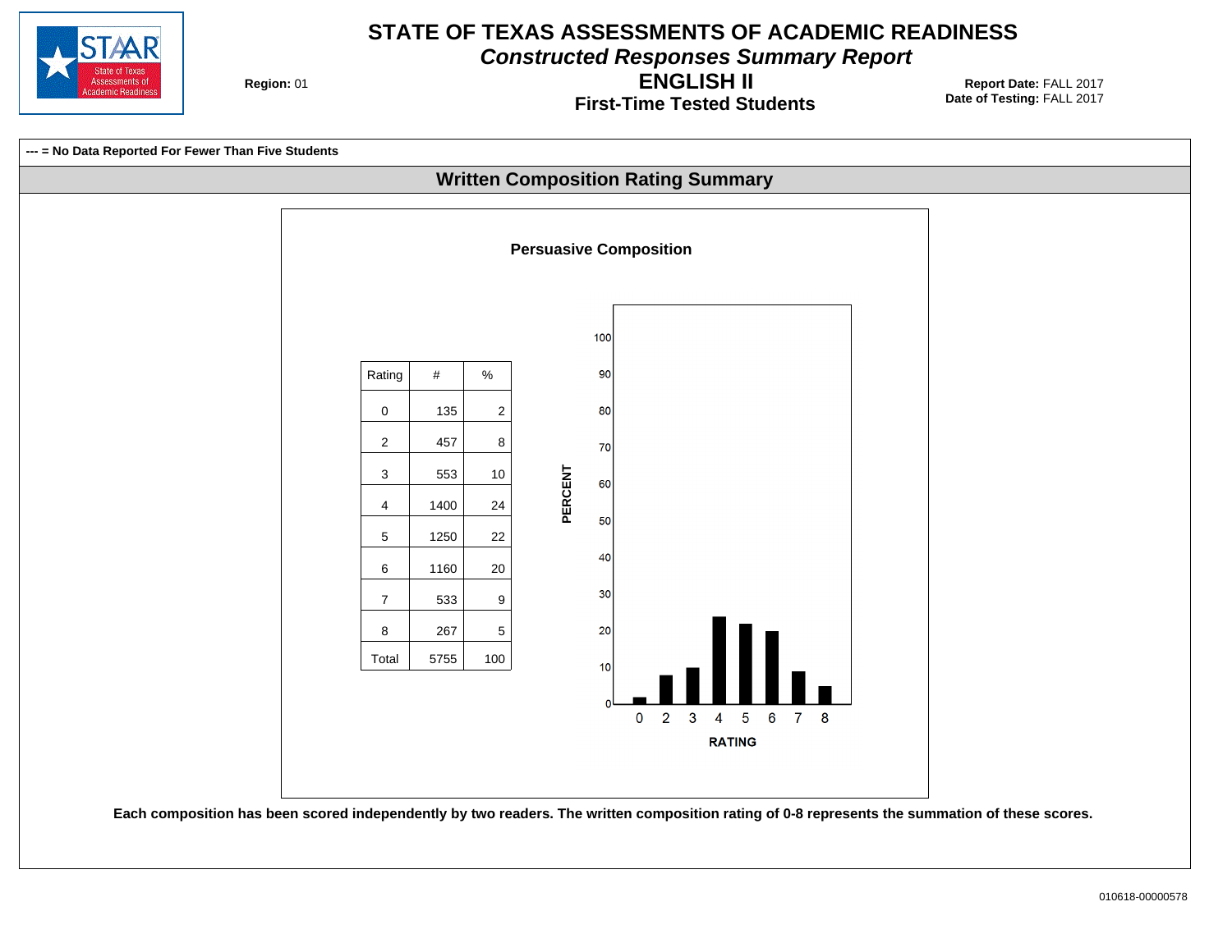

**Constructed Responses Summary Report**

**Region: 01** 

**First-Time Tested Students ENGLISH II**

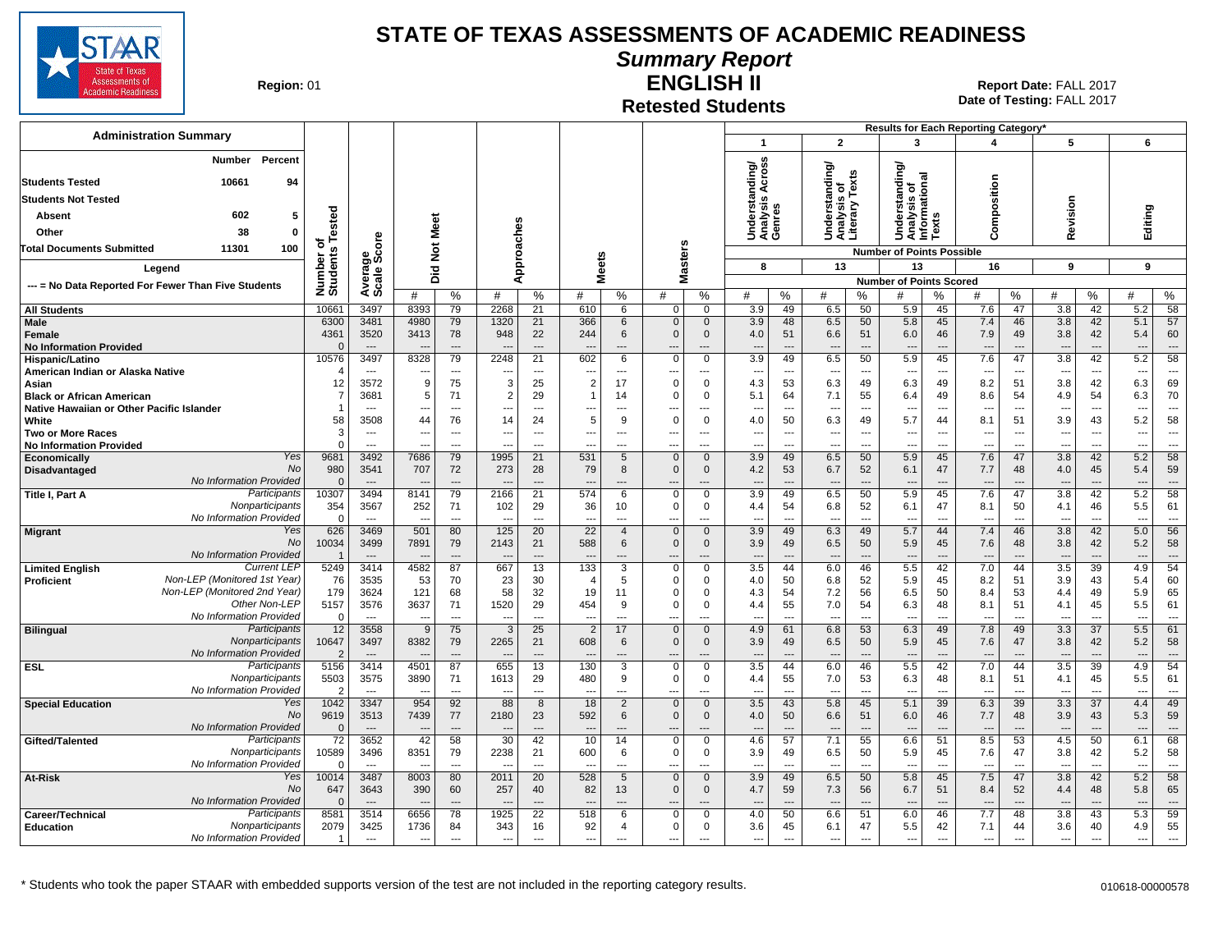

#### **Summary Report**

**Region: 01** 

#### **Retested Students ENGLISH II**

**Date of Testing:**  FALL 2017 01 **Report Date:** FALL 2017

|                                                                                                                                               |                      |                                  |                                          |                      |                                |                            |                               |                               |                             |                                         |                                                    |                                |                                                    |                            |                                                        |                                | Results for Each Reporting Category* |                                |                                        |                      |                   |                                |
|-----------------------------------------------------------------------------------------------------------------------------------------------|----------------------|----------------------------------|------------------------------------------|----------------------|--------------------------------|----------------------------|-------------------------------|-------------------------------|-----------------------------|-----------------------------------------|----------------------------------------------------|--------------------------------|----------------------------------------------------|----------------------------|--------------------------------------------------------|--------------------------------|--------------------------------------|--------------------------------|----------------------------------------|----------------------|-------------------|--------------------------------|
| <b>Administration Summary</b>                                                                                                                 |                      |                                  |                                          |                      |                                |                            |                               |                               |                             |                                         | $\mathbf{1}$                                       |                                | $\mathbf{2}$                                       |                            | 3                                                      |                                | 4                                    |                                | 5                                      |                      | 6                 |                                |
| Percent<br>Number<br><b>Students Tested</b><br>10661<br>94<br><b>Students Not Tested</b><br>602<br>Absent<br>5<br>Other<br>38<br>$\mathbf{0}$ | Tested               |                                  | Meet                                     |                      |                                | Approaches                 |                               |                               |                             |                                         | nding/<br>Across<br>Understa<br>Analysis<br>Genres |                                | ding/<br>Understand<br>Analysis of<br>Literary Teː | is on<br>v Texts           | ding/<br>Understanding<br>Analysis of<br>Informational | ā                              | Composition                          |                                | Revision                               |                      | Editing           |                                |
| 100<br><b>Total Documents Submitted</b><br>11301                                                                                              | ৳                    | ge<br>Score                      | $\frac{5}{2}$                            |                      |                                |                            |                               |                               |                             |                                         |                                                    |                                |                                                    |                            | <b>Number of Points Possible</b>                       |                                |                                      |                                |                                        |                      |                   |                                |
| Legend                                                                                                                                        | Number o<br>Students |                                  | Did                                      |                      |                                |                            | eets                          |                               |                             | lasters                                 | 8                                                  |                                | 13                                                 |                            | 13                                                     |                                | 16                                   |                                | 9                                      |                      | 9                 |                                |
| --- = No Data Reported For Fewer Than Five Students                                                                                           |                      | Avera                            |                                          |                      |                                |                            | ż                             |                               |                             | Σ                                       |                                                    |                                |                                                    |                            | <b>Number of Points Scored</b>                         |                                |                                      |                                |                                        |                      |                   |                                |
|                                                                                                                                               |                      |                                  | #                                        | %                    | #                              | %                          | #                             | %                             | #                           | %                                       | #                                                  | %                              | #                                                  | %                          | #                                                      | ℅                              | #                                    | %                              | #                                      | %                    | #                 | $\%$                           |
| <b>All Students</b><br>Male                                                                                                                   | 10661                | 3497<br>3481                     | 8393<br>4980                             | 79<br>79             | 2268                           | 21                         | 610                           | 6                             | $\mathbf 0$<br>$\mathbf{0}$ | $\mathbf 0$                             | 3.9                                                | 49<br>48                       | 6.5                                                | 50                         | 5.9                                                    | 45                             | 7.6<br>7.4                           | 47<br>46                       | 3.8                                    | 42<br>42             | 5.2               | 58<br>57                       |
| Female<br><b>No Information Provided</b>                                                                                                      | 6300<br>4361         | 3520                             | 3413                                     | 78<br>---            | 1320<br>948                    | 21<br>22<br>$\overline{a}$ | 366<br>244                    | 6<br>6<br>$---$               | $\Omega$<br>---             | $\mathbf 0$<br>$\mathbf 0$<br>---       | 3.9<br>4.0<br>$---$                                | 51<br>$\overline{a}$           | 6.5<br>6.6<br>---                                  | 50<br>51<br>$\overline{a}$ | 5.8<br>6.0                                             | 45<br>46                       | 7.9<br>$\overline{\phantom{a}}$      | 49                             | 3.8<br>3.8<br>$\overline{\phantom{a}}$ | 42                   | 5.1<br>5.4<br>--- | 60<br>$\overline{a}$           |
| Hispanic/Latino                                                                                                                               | 10576                | 3497                             | 8328                                     | 79                   | 2248                           | 21                         | 602                           | 6                             | $\Omega$                    | 0                                       | 3.9                                                | 49                             | 6.5                                                | 50                         | 5.9                                                    | 45                             | 7.6                                  | 47                             | 3.8                                    | 42                   | 5.2               | 58                             |
| American Indian or Alaska Native<br>Asian                                                                                                     | 12                   | $\overline{\phantom{a}}$<br>3572 | $\overline{\phantom{a}}$<br>$\mathbf{Q}$ | $\overline{a}$<br>75 | $---$<br>$\mathsf 3$           | $---$<br>25                | ---<br>$\overline{2}$         | $---$<br>17                   | ---<br>$\Omega$             | ---<br>$\mathbf 0$                      | ---<br>4.3                                         | $\overline{\phantom{a}}$<br>53 | $\overline{\phantom{a}}$<br>6.3                    | ---<br>49                  | ---<br>6.3                                             | $\overline{\phantom{a}}$<br>49 | $---$<br>8.2                         | $\overline{\phantom{a}}$<br>51 | ---<br>3.8                             | ---<br>42            | ---<br>6.3        | $\overline{\phantom{a}}$<br>69 |
| <b>Black or African American</b>                                                                                                              |                      | 3681                             | 5                                        | 71                   | $\overline{2}$                 | 29                         | $\mathbf 1$                   | 14                            | $\Omega$                    | $\Omega$                                | 5.1                                                | 64                             | 7.1                                                | 55                         | 6.4                                                    | 49                             | 8.6                                  | 54                             | 4.9                                    | 54                   | 6.3               | 70                             |
| Native Hawaiian or Other Pacific Islander                                                                                                     |                      | $\overline{a}$                   | --                                       | $\overline{a}$       | $\hspace{0.05cm} \ldots$       | $\overline{a}$             | $\overline{\phantom{a}}$      | $\overline{\phantom{a}}$      | ---                         | ---                                     | $\overline{\phantom{a}}$                           | $\overline{\phantom{a}}$       | ---                                                | ---                        | $\overline{\phantom{a}}$                               | $\overline{\phantom{a}}$       | $\overline{\phantom{a}}$             | ---                            | ---                                    | ---                  | ---               | $\overline{\phantom{a}}$       |
| White                                                                                                                                         | 58<br>-3             | 3508<br>$\overline{\phantom{a}}$ | 44<br>--                                 | 76<br>---            | 14<br>$\overline{\phantom{a}}$ | 24<br>---                  | 5<br>$\overline{\phantom{a}}$ | 9<br>$\overline{\phantom{a}}$ | $\Omega$<br>---             | $\mathbf 0$<br>$\overline{\phantom{a}}$ | 4.0                                                | 50<br>$\overline{\phantom{a}}$ | 6.3                                                | 49<br>---                  | 5.7<br>$\overline{\phantom{a}}$                        | 44<br>$\overline{\phantom{a}}$ | 8.1<br>$\overline{\phantom{a}}$      | 51<br>$\overline{\phantom{a}}$ | 3.9<br>---                             | 43<br>---            | 5.2               | 58<br>$\sim$                   |
| <b>Two or More Races</b><br><b>No Information Provided</b>                                                                                    |                      | $\overline{a}$                   | $\sim$                                   | $-$                  | $\sim$                         | $\overline{a}$             |                               | $\overline{a}$                | $\sim$                      | $\overline{a}$                          | $\overline{\phantom{a}}$<br>$\overline{a}$         | $\overline{a}$                 | ---<br>$\sim$                                      | $\sim$                     | $\sim$                                                 | $\overline{\phantom{a}}$       | $\overline{a}$                       | $\overline{a}$                 | $\sim$                                 | $\overline{a}$       | ---<br>---        | $---$                          |
| Yes<br><b>Economically</b>                                                                                                                    | 9681                 | 3492                             | 7686                                     | 79                   | 1995                           | 21                         | 531                           | 5                             | $\Omega$                    | $\mathbf{0}$                            | 3.9                                                | 49                             | 6.5                                                | 50                         | 5.9                                                    | 45                             | 7.6                                  | 47                             | 3.8                                    | 42                   | 5.2               | 58                             |
| <b>No</b><br>Disadvantaged<br>No Information Provided                                                                                         | 980                  | 3541<br>$\sim$                   | 707                                      | 72<br>$\sim$         | 273                            | 28<br>$\overline{a}$       | 79                            | 8                             | $\Omega$                    | $\mathbf 0$                             | 4.2                                                | 53<br>$\overline{a}$           | 6.7                                                | 52<br>$\sim$               | 6.1                                                    | 47<br>$-$                      | 7.7                                  | 48                             | 4.0                                    | 45                   | 5.4               | 59<br>$\overline{a}$           |
| Participants<br>Title I, Part A                                                                                                               | $\Omega$<br>10307    | 3494                             | 8141                                     | 79                   | 2166                           | 21                         | 574                           | 6                             | $\Omega$                    | $\overline{0}$                          | 3.9                                                | 49                             | $\overline{\phantom{a}}$<br>6.5                    | 50                         | 5.9                                                    | 45                             | 7.6                                  | 47                             | 3.8                                    | 42                   | 5.2               | 58                             |
| Nonparticipants                                                                                                                               | 354                  | 3567                             | 252                                      | 71                   | 102                            | 29                         | 36                            | 10                            | $\Omega$                    | $\mathbf 0$                             | 4.4                                                | 54                             | 6.8                                                | 52                         | 6.1                                                    | 47                             | 8.1                                  | 50                             | 4.1                                    | 46                   | 5.5               | 61                             |
| No Information Provided                                                                                                                       | $\Omega$             | $\sim$                           |                                          | ---                  |                                | $\overline{a}$             |                               | $\overline{a}$                |                             | ш,                                      |                                                    | $\overline{a}$                 |                                                    | ---                        |                                                        | $\sim$                         |                                      | ---                            |                                        | $\overline{a}$       |                   | $\overline{\phantom{a}}$       |
| Yes<br><b>Migrant</b><br>No                                                                                                                   | 626<br>10034         | 3469<br>3499                     | 501<br>7891                              | 80<br>79             | $\overline{125}$<br>2143       | 20<br>21                   | $\overline{22}$<br>588        | $\overline{4}$<br>6           | $\Omega$<br>$\Omega$        | $\mathbf 0$<br>$\mathbf 0$              | 3.9<br>3.9                                         | 49<br>49                       | 6.3<br>6.5                                         | 49<br>50                   | 5.7<br>5.9                                             | 44<br>45                       | 7.4<br>7.6                           | 46<br>48                       | 3.8<br>3.8                             | 42<br>42             | 5.0<br>5.2        | 56<br>58                       |
| No Information Provided                                                                                                                       |                      |                                  |                                          | $---$                |                                | $\overline{a}$             |                               |                               | ---                         | ---                                     | $\overline{a}$                                     | $\overline{a}$                 | ---                                                | $\overline{a}$             |                                                        |                                |                                      |                                | $\overline{\phantom{a}}$               |                      | ---               | $\overline{\phantom{a}}$       |
| <b>Current LEP</b><br><b>Limited English</b>                                                                                                  | 5249                 | 3414                             | 4582                                     | 87                   | 667                            | 13                         | 133                           | 3                             | $\Omega$                    | $\mathbf 0$                             | 3.5                                                | 44                             | 6.0                                                | 46                         | 5.5                                                    | 42                             | 7.0                                  | 44                             | 3.5                                    | 39                   | 4.9               | 54                             |
| Non-LEP (Monitored 1st Year)<br><b>Proficient</b><br>Non-LEP (Monitored 2nd Year)                                                             | 76<br>179            | 3535<br>3624                     | 53<br>121                                | 70<br>68             | 23<br>58                       | 30<br>32                   | $\overline{4}$<br>19          | -5<br>11                      | $\Omega$<br>$\Omega$        | $\Omega$<br>$\Omega$                    | 4.0<br>4.3                                         | 50<br>54                       | 6.8<br>7.2                                         | 52<br>56                   | 5.9<br>6.5                                             | 45<br>50                       | 8.2<br>8.4                           | 51<br>53                       | 3.9<br>4.4                             | 43<br>49             | 5.4<br>5.9        | 60<br>65                       |
| Other Non-LEP                                                                                                                                 | 5157                 | 3576                             | 3637                                     | 71                   | 1520                           | 29                         | 454                           | 9                             | $\Omega$                    | $\mathbf 0$                             | 4.4                                                | 55                             | 7.0                                                | 54                         | 6.3                                                    | 48                             | 8.1                                  | 51                             | 4.1                                    | 45                   | 5.5               | 61                             |
| No Information Provided                                                                                                                       | $\overline{0}$       | $\sim$                           |                                          | $\overline{a}$       |                                | $\overline{a}$             | $\overline{\phantom{a}}$      | $\sim$                        | --                          | ---                                     |                                                    | $\overline{a}$                 |                                                    | $\sim$                     | $\overline{a}$                                         | $\sim$                         |                                      | $\overline{\phantom{a}}$       |                                        | $\sim$               |                   | $\overline{a}$                 |
| Participants<br><b>Bilingual</b><br>Nonparticipants                                                                                           | 12<br>10647          | 3558<br>3497                     | 9<br>8382                                | 75<br>79             | 3<br>2265                      | 25<br>21                   | $\overline{2}$<br>608         | 17<br>6                       | $\Omega$<br>$\Omega$        | $\mathbf 0$<br>$\mathbf 0$              | 4.9<br>3.9                                         | 61<br>49                       | 6.8<br>6.5                                         | 53<br>50                   | 6.3<br>5.9                                             | 49<br>45                       | 7.8<br>7.6                           | 49<br>47                       | 3.3<br>3.8                             | 37<br>42             | 5.5<br>5.2        | 61<br>58                       |
| No Information Provided                                                                                                                       |                      | $---$                            |                                          | $\overline{a}$       |                                | $---$                      |                               | $---$                         | $\overline{a}$              | $\overline{a}$                          | $\overline{a}$                                     | $\overline{a}$                 | ---                                                | $\overline{a}$             | $\overline{\phantom{a}}$                               | $---$                          | $\overline{a}$                       | $---$                          | $\overline{\phantom{a}}$               | $\overline{a}$       | ---               | $---$                          |
| Participants<br><b>ESL</b>                                                                                                                    | 5156                 | 3414                             | 4501                                     | 87                   | 655                            | 13                         | 130                           | 3                             | $\mathbf 0$                 | $\mathbf 0$                             | 3.5                                                | 44                             | 6.0                                                | 46                         | 5.5                                                    | 42                             | 7.0                                  | 44                             | 3.5                                    | $\overline{39}$      | 4.9               | 54                             |
| Nonparticipants<br>No Information Provided                                                                                                    | 5503                 | 3575                             | 3890                                     | 71                   | 1613                           | 29<br>$\overline{a}$       | 480                           | 9<br>$\overline{a}$           | $\Omega$                    | $\mathbf 0$                             | 4.4                                                | 55<br>$\overline{a}$           | 7.0                                                | 53<br>$\sim$               | 6.3                                                    | 48<br>$\overline{a}$           | 8.1                                  | 51<br>$\overline{a}$           | 4.1                                    | 45                   | 5.5               | 61                             |
| Yes<br><b>Special Education</b>                                                                                                               | 1042                 | $\overline{a}$<br>3347           | 954                                      | $\overline{a}$<br>92 | $\sim$<br>88                   | 8                          | 18                            | 2                             | ---<br>$\Omega$             | ---<br>$\mathbf{0}$                     | 3.5                                                | 43                             | ---<br>5.8                                         | 45                         | 5.1                                                    | 39                             | 6.3                                  | 39                             | 3.3                                    | $\overline{a}$<br>37 | ---<br>4.4        | ---<br>49                      |
| No                                                                                                                                            | 9619                 | 3513                             | 7439                                     | 77                   | 2180                           | 23                         | 592                           | 6                             | $\Omega$                    | $\mathbf{0}$                            | 4.0                                                | 50                             | 6.6                                                | 51                         | 6.0                                                    | 46                             | 7.7                                  | 48                             | 3.9                                    | 43                   | 5.3               | 59                             |
| No Information Provided                                                                                                                       | $\Omega$             | $\overline{\phantom{a}}$         |                                          | ---                  | $\overline{\phantom{a}}$       | $\overline{\phantom{a}}$   |                               |                               | ---                         | ---                                     | $\overline{a}$                                     | $\overline{a}$                 | ---                                                | ---                        | ---                                                    | $\overline{\phantom{a}}$       |                                      |                                | $\overline{\phantom{a}}$               |                      | ---               | ---                            |
| Participants<br>Gifted/Talented<br>Nonparticipants                                                                                            | 72<br>10589          | 3652<br>3496                     | 42<br>8351                               | 58<br>79             | 30<br>2238                     | 42<br>21                   | 10<br>600                     | 14<br>6                       | $\Omega$<br>$\Omega$        | $\overline{0}$<br>$\mathbf 0$           | 4.6<br>3.9                                         | 57<br>49                       | 7.1<br>6.5                                         | 55<br>50                   | 6.6<br>5.9                                             | 51<br>45                       | 8.5<br>7.6                           | 53<br>47                       | 4.5<br>3.8                             | 50<br>42             | 6.1<br>5.2        | 68<br>58                       |
| No Information Provided                                                                                                                       | $\mathcal{C}$        | $\overline{a}$                   | --                                       | ---                  | $\overline{\phantom{a}}$       | $\overline{a}$             | $\sim$                        | $\overline{a}$                | ---                         | ---                                     | $\overline{\phantom{a}}$                           | $\overline{a}$                 | $\overline{a}$                                     | $\overline{a}$             | $\overline{a}$                                         | $\overline{a}$                 | $\overline{a}$                       | $\overline{\phantom{a}}$       | ---                                    | $\overline{a}$       | ---               | $\overline{a}$                 |
| Yes<br>At-Risk                                                                                                                                | 10014                | 3487                             | 8003                                     | 80                   | 2011                           | 20                         | 528                           | 5                             | $\Omega$                    | $\mathbf 0$                             | 3.9                                                | 49                             | 6.5                                                | 50                         | 5.8                                                    | 45                             | 7.5                                  | 47                             | 3.8                                    | 42                   | $\overline{5.2}$  | 58                             |
| <b>No</b><br>No Information Provided                                                                                                          | 647<br>$\sqrt{ }$    | 3643                             | 390                                      | 60<br>$\overline{a}$ | 257                            | 40                         | 82                            | 13                            | $\Omega$                    | $\mathbf 0$                             | 4.7                                                | 59                             | 7.3                                                | 56                         | 6.7                                                    | 51                             | 8.4                                  | 52                             | 4.4                                    | 48                   | 5.8               | 65<br>$\overline{a}$           |
| Participants<br>Career/Technical                                                                                                              | 8581                 | $\overline{\phantom{a}}$<br>3514 | 6656                                     | 78                   | 1925                           | 22                         | 518                           | 6                             | $\Omega$                    | $\Omega$                                | 4.0                                                | 50                             | 6.6                                                | 51                         | 6.0                                                    | 46                             | 7.7                                  | 48                             | 3.8                                    | 43                   | 5.3               | 59                             |
| Nonparticipants<br><b>Education</b><br>No Information Provided                                                                                | 2079<br>-1           | 3425<br>$-$                      | 1736<br>$\overline{\phantom{a}}$         | 84<br>$\overline{a}$ | 343<br>---                     | 16<br>$\overline{a}$       | 92<br>$\sim$                  | $\overline{4}$<br>$---$       | $\Omega$<br>---             | $\mathbf 0$<br>$---$                    | 3.6<br>$\overline{\phantom{a}}$                    | 45<br>$\overline{\phantom{a}}$ | 6.1<br>---                                         | 47<br>$\overline{a}$       | 5.5<br>---                                             | 42<br>$\overline{\phantom{a}}$ | 7.1<br>$\sim$                        | 44<br>$---$                    | 3.6<br>$\overline{\phantom{a}}$        | 40<br>$\overline{a}$ | 4.9<br>---        | 55<br>$\overline{\phantom{a}}$ |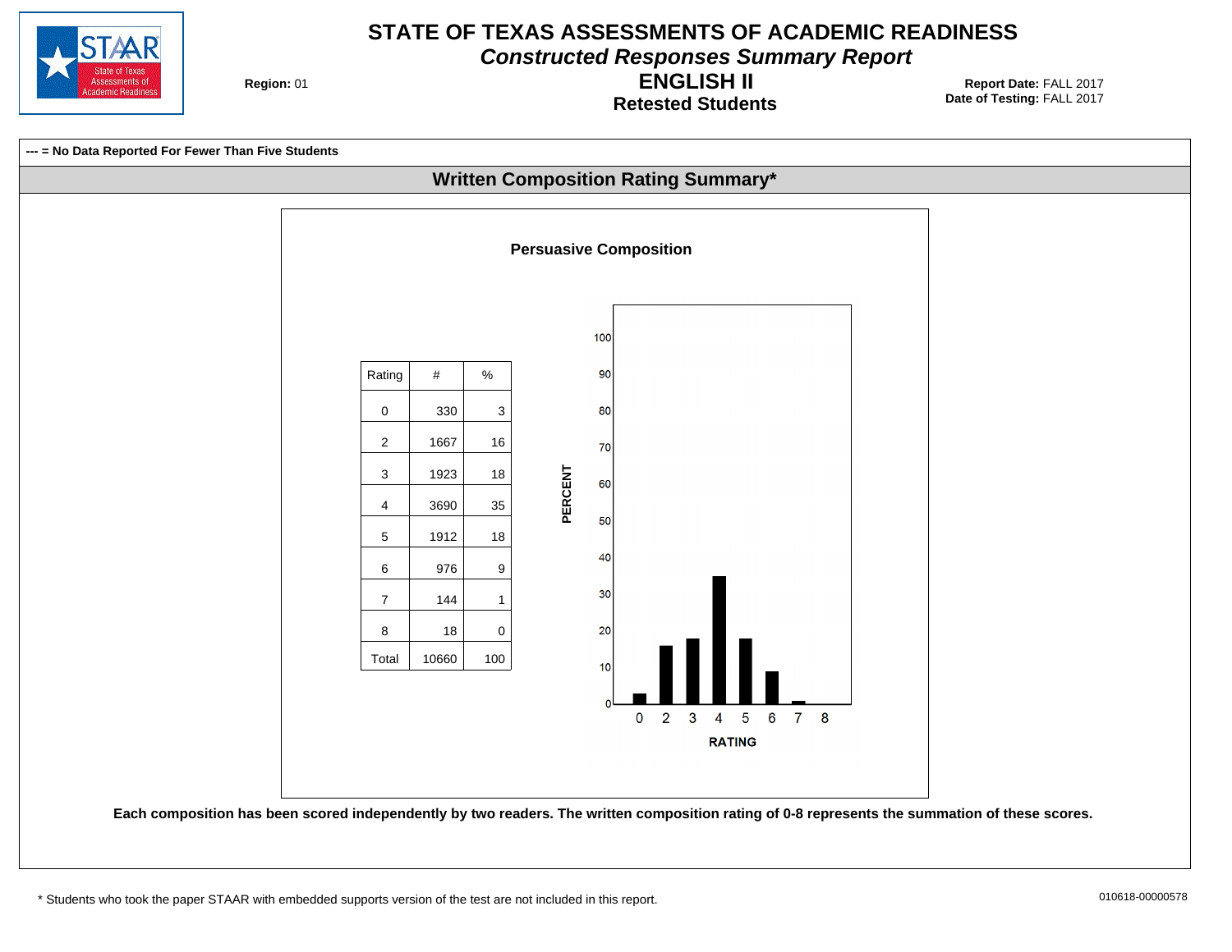

**Constructed Responses Summary Report**

**Region: 01** 

**Retested Students ENGLISH II**

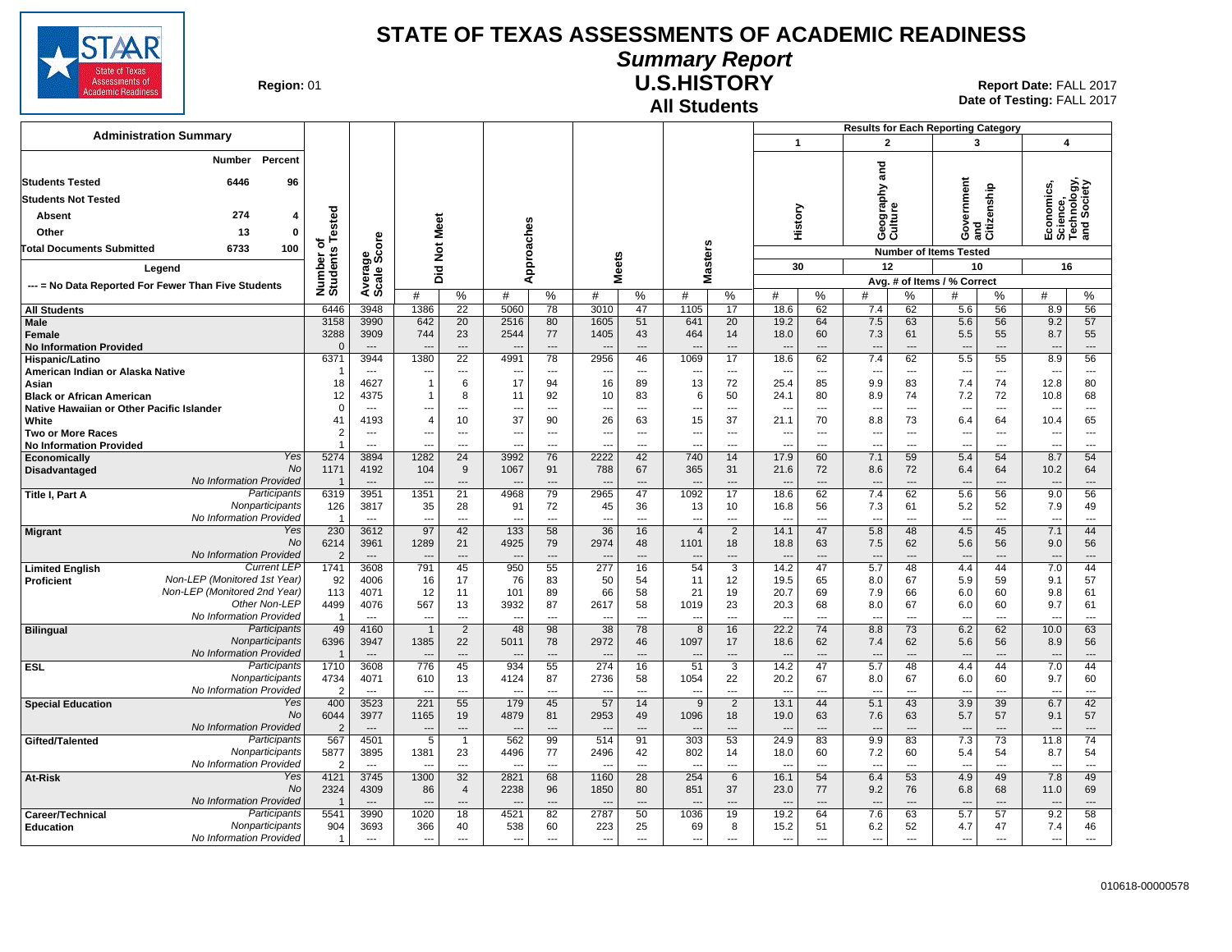

#### **Summary Report**

**Region: 01** 

# **All Students**

**U.S.HISTORY** Report Date: FALL 2017 **Date of Testing:**  FALL 2017

|                                                            |                                             |                              |                                            |                                        |                       |                        |                                      |                                            |                                          |                                        |                                      |                                          |                                      | <b>Results for Each Reporting Category</b> |                       |                                            |                       |                                                      |                       |
|------------------------------------------------------------|---------------------------------------------|------------------------------|--------------------------------------------|----------------------------------------|-----------------------|------------------------|--------------------------------------|--------------------------------------------|------------------------------------------|----------------------------------------|--------------------------------------|------------------------------------------|--------------------------------------|--------------------------------------------|-----------------------|--------------------------------------------|-----------------------|------------------------------------------------------|-----------------------|
| <b>Administration Summary</b>                              |                                             |                              |                                            |                                        |                       |                        |                                      |                                            |                                          |                                        |                                      | $\mathbf{1}$                             |                                      | $\mathbf{2}$                               |                       | $\overline{\mathbf{3}}$                    |                       | $\overline{\mathbf{4}}$                              |                       |
| Percent<br>Number<br><b>Students Tested</b><br>6446<br>96  |                                             |                              |                                            |                                        |                       |                        |                                      |                                            |                                          |                                        |                                      |                                          |                                      | ក្ខ                                        |                       |                                            |                       | Economics,<br>Science,<br>Technology,<br>and Society |                       |
| <b>Students Not Tested</b>                                 |                                             |                              |                                            |                                        |                       |                        |                                      |                                            |                                          |                                        |                                      |                                          |                                      |                                            |                       |                                            |                       |                                                      |                       |
| <b>Absent</b>                                              | 274<br>4                                    |                              |                                            |                                        |                       |                        |                                      |                                            |                                          |                                        |                                      |                                          |                                      |                                            |                       | overnment                                  |                       |                                                      |                       |
| Other                                                      | 13<br>0                                     | Tested                       |                                            | Did Not Meet                           |                       |                        |                                      |                                            |                                          |                                        |                                      | History                                  |                                      | Geography<br>Culture                       |                       | Ó                                          | and<br>Citizenship    |                                                      |                       |
| 100<br><b>Total Documents Submitted</b><br>6733            |                                             | ৳                            | ge<br>Score                                |                                        |                       |                        |                                      |                                            |                                          |                                        |                                      |                                          |                                      |                                            |                       | <b>Number of Items Tested</b>              |                       |                                                      |                       |
|                                                            |                                             |                              |                                            |                                        |                       |                        |                                      |                                            |                                          |                                        |                                      | 30                                       |                                      | 12                                         |                       |                                            |                       | 16                                                   |                       |
| Legend                                                     |                                             |                              |                                            |                                        |                       | Approaches             |                                      | <b>Meets</b>                               |                                          | <b>Masters</b>                         |                                      |                                          |                                      | 10<br>Avg. # of Items / % Correct          |                       |                                            |                       |                                                      |                       |
| --- = No Data Reported For Fewer Than Five Students        |                                             | Number of<br>Students        | Average 3                                  | #                                      | %                     | #                      | %                                    | #                                          | %                                        | #                                      | %                                    | #                                        | $\%$                                 | #                                          | $\%$                  | #                                          | %                     | #                                                    | %                     |
| <b>All Students</b>                                        |                                             | 6446                         | 3948                                       | 1386                                   | 22                    | 5060                   | 78                                   | 3010                                       | 47                                       | 1105                                   | 17                                   | 18.6                                     | 62                                   | 7.4                                        | 62                    | 5.6                                        | 56                    | 8.9                                                  | 56                    |
| Male<br>Female<br><b>No Information Provided</b>           |                                             | 3158<br>3288<br>$\mathbf{0}$ | 3990<br>3909<br>$\cdots$                   | 642<br>744<br>$\overline{\phantom{a}}$ | 20<br>23<br>$---$     | 2516<br>2544<br>--     | 80<br>77<br>$\overline{\phantom{a}}$ | 1605<br>1405<br>$\overline{\phantom{a}}$   | 51<br>43<br>$\overline{a}$               | 641<br>464<br>$\overline{\phantom{a}}$ | 20<br>14<br>$\overline{\phantom{a}}$ | 19.2<br>18.0<br>$\overline{\phantom{a}}$ | 64<br>60<br>$\overline{\phantom{a}}$ | 7.5<br>7.3<br>$\overline{\phantom{a}}$     | 63<br>61<br>---       | 5.6<br>5.5<br>$\overline{\phantom{a}}$     | 56<br>55<br>$---$     | 9.2<br>8.7<br>$\overline{\phantom{a}}$               | 57<br>55<br>---       |
| Hispanic/Latino                                            |                                             | 6371                         | 3944                                       | 1380                                   | 22                    | 4991                   | 78                                   | 2956                                       | 46                                       | 1069                                   | 17                                   | 18.6                                     | 62                                   | 7.4                                        | 62                    | 5.5                                        | 55                    | 8.9                                                  | 56                    |
| American Indian or Alaska Native                           |                                             |                              | $\sim$<br>4627                             | ---<br>$\overline{1}$                  | $\overline{a}$<br>6   | --<br>17               | $\overline{a}$<br>94                 | $\overline{a}$<br>16                       | $\overline{a}$                           | $\sim$                                 | $---$<br>72                          | $- - -$                                  | $\overline{a}$                       | $\overline{a}$                             | $\overline{a}$        | $\overline{\phantom{a}}$                   | $\overline{a}$<br>74  | $\overline{\phantom{a}}$                             | ---<br>80             |
| Asian<br><b>Black or African American</b>                  |                                             | 18<br>12                     | 4375                                       | -1                                     | 8                     | 11                     | 92                                   | 10                                         | 89<br>83                                 | 13<br>6                                | 50                                   | 25.4<br>24.1                             | 85<br>80                             | 9.9<br>8.9                                 | 83<br>74              | 7.4<br>7.2                                 | 72                    | 12.8<br>10.8                                         | 68                    |
| Native Hawaiian or Other Pacific Islander                  |                                             | $\mathbf 0$                  | $\sim$                                     | ---                                    | $---$                 | --                     | $\overline{a}$                       | $\overline{\phantom{a}}$                   | $\overline{a}$                           | ---                                    | $\overline{a}$                       | $\overline{\phantom{a}}$                 | $\overline{\phantom{a}}$             | $\overline{\phantom{a}}$                   | $\overline{a}$        | ---                                        | $\overline{a}$        |                                                      | $\overline{a}$        |
| White                                                      |                                             | 41                           | 4193                                       | $\overline{4}$                         | 10                    | 37                     | 90                                   | 26                                         | 63                                       | 15                                     | 37                                   | 21.1                                     | 70                                   | 8.8                                        | 73                    | 6.4                                        | 64                    | 10.4                                                 | 65                    |
| <b>Two or More Races</b><br><b>No Information Provided</b> |                                             | $\overline{2}$<br>1          | $\hspace{0.05cm} \ldots$<br>$\overline{a}$ | ---<br>$\sim$                          | ---<br>$\overline{a}$ | ---<br>--              | ---<br>$\overline{a}$                | $\overline{\phantom{a}}$<br>$\overline{a}$ | $\qquad \qquad \cdots$<br>$\overline{a}$ | ---<br>$\sim$                          | $\overline{\phantom{a}}$<br>$---$    | $\overline{\phantom{a}}$<br>$\sim$       | $---$<br>$\overline{a}$              | $\overline{\phantom{a}}$<br>$\overline{a}$ | ---<br>$\overline{a}$ | $\overline{\phantom{a}}$<br>$\overline{a}$ | ---<br>$\overline{a}$ | $\overline{\phantom{a}}$                             | ---<br>$\overline{a}$ |
| <b>Economically</b>                                        | Yes                                         | 5274                         | 3894                                       | 1282                                   | 24                    | 3992                   | 76                                   | 2222                                       | 42                                       | 740                                    | 14                                   | 17.9                                     | 60                                   | 7.1                                        | 59                    | 5.4                                        | 54                    | 8.7                                                  | 54                    |
| Disadvantaged                                              | No                                          | 1171                         | 4192                                       | 104                                    | 9                     | 1067                   | 91                                   | 788                                        | 67                                       | 365                                    | 31                                   | 21.6                                     | 72                                   | 8.6                                        | 72                    | 6.4                                        | 64                    | 10.2                                                 | 64                    |
|                                                            | No Information Provided<br>Participants     |                              | $\overline{a}$                             |                                        | ---                   |                        | $\overline{a}$                       |                                            | $\overline{a}$                           |                                        | $\overline{a}$                       | $\sim$                                   | $\overline{\phantom{a}}$             | $\overline{\phantom{a}}$                   |                       | $\overline{\phantom{a}}$                   |                       |                                                      | $\overline{a}$        |
| <b>Title I, Part A</b>                                     | Nonparticipants                             | 6319<br>126                  | 3951<br>3817                               | 1351<br>35                             | 21<br>28              | 4968<br>91             | 79<br>72                             | 2965<br>45                                 | 47<br>36                                 | 1092<br>13                             | 17<br>10                             | 18.6<br>16.8                             | 62<br>56                             | 7.4<br>7.3                                 | 62<br>61              | 5.6<br>5.2                                 | 56<br>52              | 9.0<br>7.9                                           | 56<br>49              |
|                                                            | No Information Provided                     | -1                           | $\overline{\phantom{a}}$                   | $\overline{\phantom{a}}$               | ---                   | --                     | ---                                  | $\overline{\phantom{a}}$                   | $\overline{a}$                           | ---                                    | $\overline{a}$                       | $\overline{\phantom{a}}$                 | ---                                  | $\overline{\phantom{a}}$                   | ---                   | $\overline{\phantom{a}}$                   | ---                   | $\overline{\phantom{a}}$                             | ---                   |
| <b>Migrant</b>                                             | Yes                                         | 230                          | 3612                                       | 97                                     | 42                    | 133                    | 58                                   | 36                                         | 16                                       | $\overline{4}$                         | $\overline{2}$                       | 14.1                                     | 47                                   | 5.8                                        | 48                    | 4.5                                        | 45                    | 7.1                                                  | 44                    |
|                                                            | No<br>No Information Provided               | 6214<br>$\overline{2}$       | 3961                                       | 1289                                   | 21<br>---             | 4925                   | 79<br>---                            | 2974                                       | 48<br>$\overline{a}$                     | 1101                                   | 18<br>$\overline{a}$                 | 18.8<br>$\overline{\phantom{a}}$         | 63<br>$\overline{\phantom{a}}$       | 7.5                                        | 62                    | 5.6                                        | 56                    | 9.0                                                  | 56<br>---             |
| <b>Limited English</b>                                     | <b>Current LEP</b>                          | 1741                         | 3608                                       | $\overline{\phantom{a}}$<br>791        | 45                    | --<br>950              | 55                                   | $\overline{\phantom{a}}$<br>277            | 16                                       | $\overline{\phantom{a}}$<br>54         | 3                                    | 14.2                                     | 47                                   | $\overline{\phantom{a}}$<br>5.7            | 48                    | $\overline{\phantom{a}}$<br>4.4            | 44                    | $\overline{\phantom{a}}$<br>7.0                      | 44                    |
| Proficient                                                 | Non-LEP (Monitored 1st Year)                | 92                           | 4006                                       | 16                                     | 17                    | 76                     | 83                                   | 50                                         | 54                                       | 11                                     | 12                                   | 19.5                                     | 65                                   | 8.0                                        | 67                    | 5.9                                        | 59                    | 9.1                                                  | 57                    |
|                                                            | Non-LEP (Monitored 2nd Year)                | 113                          | 4071                                       | 12                                     | 11                    | 101                    | 89                                   | 66                                         | 58                                       | 21                                     | 19                                   | 20.7                                     | 69                                   | 7.9                                        | 66                    | 6.0                                        | 60                    | 9.8                                                  | 61                    |
|                                                            | Other Non-LEP<br>No Information Provided    | 4499<br>$\overline{1}$       | 4076<br>$\overline{\phantom{a}}$           | 567                                    | 13<br>---             | 3932                   | 87<br>$\overline{\phantom{a}}$       | 2617                                       | 58<br>$\overline{a}$                     | 1019                                   | 23<br>$\overline{a}$                 | 20.3                                     | 68<br>$\sim$                         | 8.0<br>$\overline{a}$                      | 67<br>---             | 6.0<br>$\overline{\phantom{a}}$            | 60<br>$\overline{a}$  | 9.7                                                  | 61<br>---             |
| <b>Bilingual</b>                                           | Participants                                | 49                           | 4160                                       | $\overline{1}$                         | 2                     | 48                     | 98                                   | 38                                         | 78                                       | 8                                      | 16                                   | 22.2                                     | 74                                   | 8.8                                        | 73                    | 6.2                                        | 62                    | 10.0                                                 | 63                    |
|                                                            | Nonparticipants                             | 6396                         | 3947                                       | 1385                                   | 22                    | 5011                   | 78                                   | 2972                                       | 46                                       | 1097                                   | 17                                   | 18.6                                     | 62                                   | 7.4                                        | 62                    | 5.6                                        | 56                    | 8.9                                                  | 56                    |
|                                                            | No Information Provided                     |                              | $\overline{\phantom{a}}$                   | $\overline{\phantom{a}}$               | ---                   |                        | $\overline{\phantom{a}}$             |                                            | $\overline{a}$                           |                                        | $\overline{a}$                       | $\overline{\phantom{a}}$                 | $\overline{\phantom{a}}$             | $\overline{\phantom{a}}$                   | $---$                 | $\overline{\phantom{a}}$                   |                       | $\sim$                                               | ---                   |
| <b>ESL</b>                                                 | Participants<br>Nonparticipants             | 1710<br>4734                 | 3608<br>4071                               | 776<br>610                             | 45<br>13              | 934<br>4124            | 55<br>87                             | 274<br>2736                                | 16<br>58                                 | 51<br>1054                             | 3<br>22                              | 14.2<br>20.2                             | 47<br>67                             | 5.7<br>8.0                                 | 48<br>67              | 4.4<br>6.0                                 | 44<br>60              | 7.0<br>9.7                                           | 44<br>60              |
|                                                            | No Information Provided                     | $\overline{2}$               | $\overline{a}$                             |                                        | $\sim$                |                        | $\sim$                               |                                            | $\sim$                                   | $\sim$                                 | $\overline{a}$                       | $\sim$                                   | $\overline{\phantom{a}}$             | $\overline{a}$                             | ---                   | $\sim$                                     | $\overline{a}$        | $\overline{\phantom{a}}$                             | $\overline{a}$        |
| <b>Special Education</b>                                   | Yes                                         | 400                          | 3523                                       | 221                                    | 55                    | 179                    | 45                                   | 57                                         | 14                                       | 9                                      | $\overline{2}$                       | 13.1                                     | 44                                   | 5.1                                        | 43                    | 3.9                                        | 39                    | 6.7                                                  | 42                    |
|                                                            | <b>No</b><br><b>No Information Provided</b> | 6044<br>$\overline{2}$       | 3977<br>$---$                              | 1165<br>$\overline{a}$                 | 19<br>$---$           | 4879<br>$\overline{a}$ | 81<br>$\overline{a}$                 | 2953                                       | 49<br>$\overline{a}$                     | 1096                                   | 18<br>$\overline{a}$                 | 19.0<br>$\overline{a}$                   | 63<br>$-$                            | 7.6<br>$\overline{\phantom{a}}$            | 63<br>$---$           | 5.7<br>$\overline{\phantom{a}}$            | 57<br>$\overline{a}$  | 9.1<br>--                                            | 57<br>$\overline{a}$  |
| Gifted/Talented                                            | Participants                                | 567                          | 4501                                       | 5                                      | $\overline{1}$        | 562                    | 99                                   | 514                                        | 91                                       | 303                                    | 53                                   | 24.9                                     | 83                                   | 9.9                                        | 83                    | 7.3                                        | 73                    | 11.8                                                 | 74                    |
|                                                            | Nonparticipants                             | 5877                         | 3895                                       | 1381                                   | 23                    | 4496                   | 77                                   | 2496                                       | 42                                       | 802                                    | 14                                   | 18.0                                     | 60                                   | 7.2                                        | 60                    | 5.4                                        | 54                    | 8.7                                                  | 54                    |
| At-Risk                                                    | No Information Provided<br>Yes              | $\overline{2}$<br>4121       | $\overline{a}$<br>3745                     | 1300                                   | $\overline{a}$<br>32  | 2821                   | $\overline{a}$<br>68                 | 1160                                       | $\sim$<br>28                             | $\overline{a}$<br>254                  | $---$<br>6                           | $\overline{a}$<br>16.1                   | $\overline{\phantom{a}}$<br>54       | $\overline{a}$<br>6.4                      | $\overline{a}$<br>53  | $\overline{a}$<br>4.9                      | $\sim$<br>49          | $\overline{\phantom{a}}$<br>7.8                      | $\overline{a}$<br>49  |
|                                                            | No                                          | 2324                         | 4309                                       | 86                                     | $\overline{4}$        | 2238                   | 96                                   | 1850                                       | 80                                       | 851                                    | 37                                   | 23.0                                     | 77                                   | 9.2                                        | 76                    | 6.8                                        | 68                    | 11.0                                                 | 69                    |
|                                                            | No Information Provided                     | $\overline{\phantom{a}}$     | $---$                                      | $\overline{\phantom{a}}$               | $---$                 |                        | $\overline{\phantom{a}}$             |                                            | $\overline{a}$                           |                                        | $\overline{a}$                       | $\overline{a}$                           | $\overline{\phantom{a}}$             | $\overline{\phantom{a}}$                   | $\overline{a}$        | $\overline{\phantom{a}}$                   | $\overline{a}$        |                                                      | ---                   |
| Career/Technical                                           | Participants                                | 5541                         | 3990                                       | 1020                                   | 18                    | 4521                   | 82                                   | 2787                                       | 50                                       | 1036                                   | 19                                   | 19.2                                     | 64                                   | 7.6                                        | 63                    | 5.7                                        | 57                    | 9.2                                                  | 58                    |
| <b>Education</b>                                           | Nonparticipants<br>No Information Provided  | 904<br>$\overline{1}$        | 3693<br>---                                | 366<br>$\overline{\phantom{a}}$        | 40<br>---             | 538<br>---             | 60<br>---                            | 223<br>$\overline{\phantom{a}}$            | 25<br>---                                | 69<br>---                              | 8<br>$\overline{a}$                  | 15.2<br>---                              | 51<br>---                            | 6.2<br>---                                 | 52<br>---             | 4.7<br>---                                 | 47<br>---             | 7.4<br>---                                           | 46<br>---             |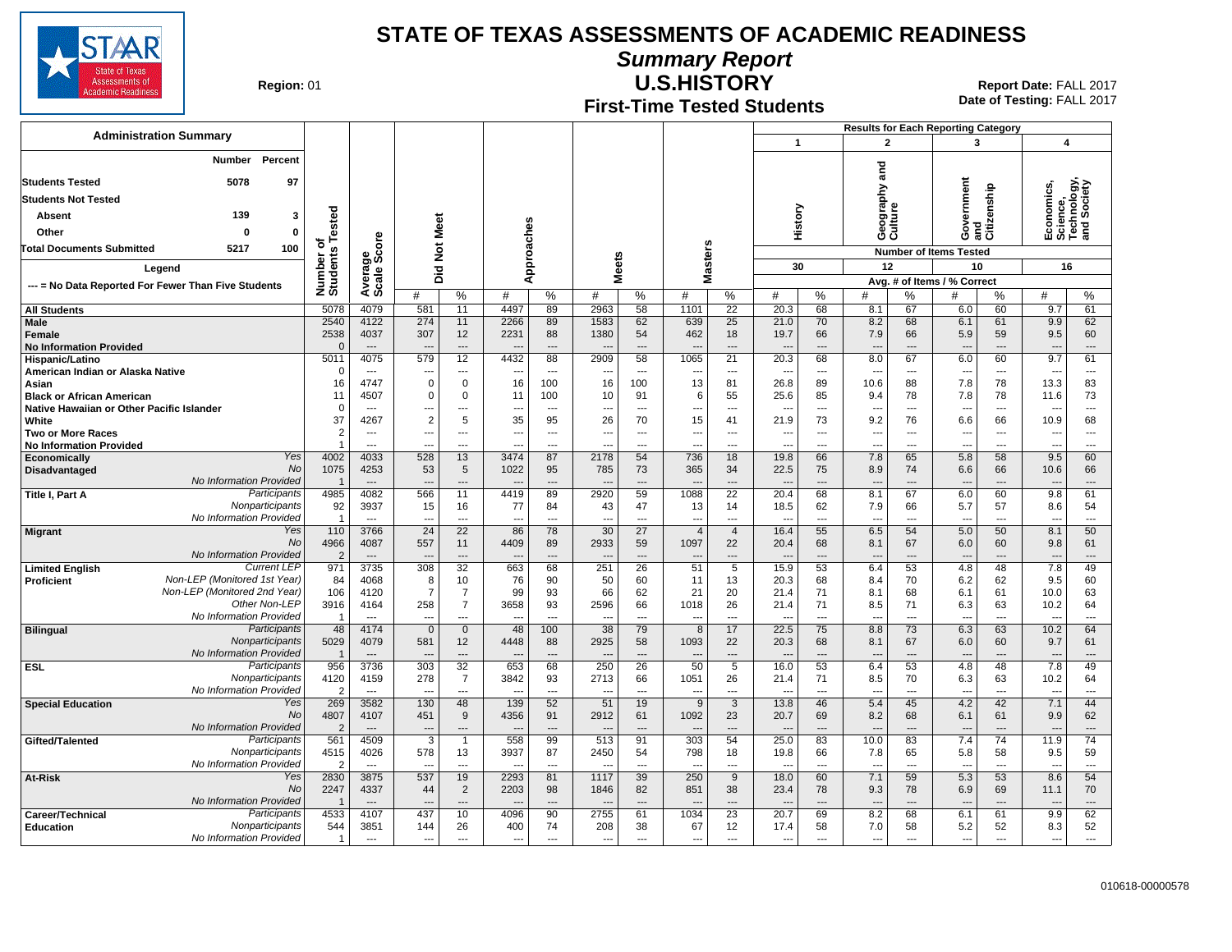

**Summary Report**

**Region: 01** 

## **First-Time Tested Students**

**U.S.HISTORY** Report Date: FALL 2017 **Date of Testing:**  FALL 2017

|                                                        |                    |                        |                                  |                       |                                |                                 |                                   |                                             |                                |                               |                      | <b>Results for Each Reporting Category</b> |                      |                                 |                      |                                 |                                   |                                                      |                |  |  |
|--------------------------------------------------------|--------------------|------------------------|----------------------------------|-----------------------|--------------------------------|---------------------------------|-----------------------------------|---------------------------------------------|--------------------------------|-------------------------------|----------------------|--------------------------------------------|----------------------|---------------------------------|----------------------|---------------------------------|-----------------------------------|------------------------------------------------------|----------------|--|--|
| <b>Administration Summary</b>                          |                    |                        |                                  |                       |                                |                                 |                                   |                                             |                                |                               |                      | $\mathbf{1}$                               |                      | $\overline{2}$                  |                      | 3                               |                                   | $\overline{4}$                                       |                |  |  |
| Number                                                 | Percent            |                        |                                  |                       |                                |                                 |                                   |                                             |                                |                               |                      |                                            |                      |                                 |                      |                                 |                                   |                                                      |                |  |  |
| 5078<br><b>Students Tested</b>                         | 97                 |                        |                                  |                       |                                |                                 |                                   |                                             |                                |                               |                      |                                            |                      | and                             |                      |                                 |                                   |                                                      |                |  |  |
|                                                        |                    |                        |                                  |                       |                                |                                 |                                   |                                             |                                |                               |                      |                                            |                      |                                 |                      |                                 |                                   |                                                      |                |  |  |
| <b>Students Not Tested</b>                             |                    |                        |                                  |                       |                                |                                 |                                   |                                             |                                |                               |                      |                                            |                      | graphy<br>ure                   |                      |                                 |                                   |                                                      |                |  |  |
| 139<br><b>Absent</b>                                   | 3                  | ested                  |                                  |                       |                                |                                 |                                   |                                             |                                |                               |                      | History                                    |                      |                                 |                      | overnment                       | itizenship                        | Economics,<br>Science,<br>Technology,<br>and Society |                |  |  |
| Other<br>$\mathbf 0$                                   | 0                  |                        |                                  |                       |                                |                                 |                                   |                                             |                                |                               |                      |                                            |                      | esi≝                            |                      | O                               | 혾<br>증                            |                                                      |                |  |  |
| 5217<br><b>Total Documents Submitted</b>               | 100                | ৳ঁ                     | ge<br>Score                      | <b>Not Meet</b>       |                                | Approaches                      |                                   |                                             |                                |                               |                      |                                            |                      |                                 |                      | <b>Number of Items Tested</b>   |                                   |                                                      |                |  |  |
| Legend                                                 |                    | Number of<br>Students  |                                  |                       |                                |                                 |                                   |                                             |                                |                               |                      | 30                                         |                      | 12                              |                      | 10                              |                                   | 16                                                   |                |  |  |
| --- = No Data Reported For Fewer Than Five Students    |                    |                        | Avera                            | Did                   |                                |                                 |                                   | <b>Meets</b>                                |                                | <b>Masters</b>                |                      |                                            |                      | Avg. # of Items / % Correct     |                      |                                 |                                   |                                                      |                |  |  |
|                                                        |                    |                        |                                  | #                     | %                              | #                               | %                                 | #                                           | ℅                              | #                             | %                    | #                                          | $\frac{0}{0}$        |                                 | ℅                    |                                 | ℅                                 | #                                                    | %              |  |  |
| <b>All Students</b>                                    |                    | 5078                   | 4079                             | 581                   | 11                             | 4497                            | 89                                | 2963                                        | 58                             | 1101                          | $\overline{22}$      | $\overline{20.3}$                          | 68                   | 8.1                             | 67                   | 6.0                             | 60                                | 9.7                                                  | 61             |  |  |
| Male                                                   |                    | 2540                   | 4122                             | 274                   | 11                             | 2266                            | 89                                | 1583                                        | 62                             | 639                           | 25                   | 21.0                                       | 70                   | 8.2                             | 68                   | 6.1                             | 61                                | 9.9                                                  | 62             |  |  |
| Female<br><b>No Information Provided</b>               |                    | 2538<br>$\Omega$       | 4037                             | 307                   | 12<br>$\overline{\phantom{a}}$ | 2231                            | 88                                | 1380                                        | 54<br>---                      | 462                           | 18                   | 19.7                                       | 66                   | 7.9<br>$\overline{\phantom{a}}$ | 66<br>---            | 5.9                             | 59<br>---                         | 9.5                                                  | 60<br>---      |  |  |
| Hispanic/Latino                                        |                    | 5011                   | 4075                             | 579                   | $\overline{12}$                | 4432                            | 88                                | 2909                                        | 58                             | 1065                          | $\overline{21}$      | $\overline{20.3}$                          | 68                   | 8.0                             | 67                   | 6.0                             | 60                                | 9.7                                                  | 61             |  |  |
| American Indian or Alaska Native                       |                    | $\Omega$               | $\overline{a}$                   |                       | ---                            |                                 | $\overline{\phantom{a}}$          |                                             | $\overline{a}$                 |                               | $\overline{a}$       |                                            | ---                  | $\overline{\phantom{a}}$        | $\overline{a}$       |                                 | $\qquad \qquad \cdots$            | $\overline{\phantom{a}}$                             | ---            |  |  |
| Asian                                                  |                    | 16                     | 4747                             | $\mathbf 0$           | $\mathbf 0$                    | 16                              | 100                               | 16                                          | 100                            | 13                            | 81                   | 26.8                                       | 89                   | 10.6                            | 88                   | 7.8                             | 78                                | 13.3                                                 | 83             |  |  |
| <b>Black or African American</b>                       |                    | 11                     | 4507                             | $\mathbf 0$           | 0                              | 11                              | 100                               | 10                                          | 91                             | 6                             | 55                   | 25.6                                       | 85                   | 9.4                             | 78                   | 7.8                             | 78                                | 11.6                                                 | 73             |  |  |
| Native Hawaiian or Other Pacific Islander              |                    | $\Omega$               | $\overline{a}$                   | ---                   | $\overline{a}$                 | ---                             | $---$                             | $\overline{a}$                              | $\overline{a}$                 | ---                           | $\overline{a}$       | $\overline{\phantom{a}}$                   | ---                  | $\overline{a}$                  | $\overline{a}$       | $\overline{a}$                  | $---$                             | $\overline{a}$                                       | ---            |  |  |
| White                                                  |                    | 37                     | 4267                             | $\overline{2}$        | 5                              | 35                              | 95                                | 26                                          | 70                             | 15                            | 41                   | 21.9                                       | 73                   | 9.2                             | 76                   | 6.6                             | 66                                | 10.9                                                 | 68             |  |  |
| Two or More Races                                      |                    | $\overline{2}$         | $\overline{a}$                   | ---                   | $\overline{a}$                 | ---                             | $\overline{a}$                    | $\overline{a}$                              | $\overline{a}$                 | $\overline{\phantom{a}}$      | $\overline{a}$       | $\overline{a}$                             | ---                  | $\overline{a}$                  | $\overline{a}$       | $\overline{\phantom{a}}$        | $\overline{a}$                    | $\sim$                                               | $-$            |  |  |
| <b>No Information Provided</b>                         |                    |                        | $\overline{a}$                   |                       | $\overline{a}$                 |                                 | ---                               | $\sim$                                      | ---                            |                               | $\overline{a}$       | $\overline{a}$                             | ---                  | $\overline{a}$                  | ---                  |                                 | $---$                             | $\sim$                                               | $\sim$         |  |  |
| <b>Economically</b>                                    | Yes<br>No          | 4002                   | 4033                             | 528                   | 13                             | 3474                            | 87                                | 2178                                        | 54                             | 736                           | 18                   | 19.8                                       | 66                   | 7.8                             | 65                   | 5.8                             | 58                                | 9.5                                                  | 60             |  |  |
| Disadvantaged<br>No Information Provided               |                    | 1075<br>$\overline{1}$ | 4253<br>$\overline{\phantom{a}}$ | 53<br>$\overline{a}$  | 5<br>$\overline{\phantom{a}}$  | 1022                            | 95<br>$\overline{\phantom{a}}$    | 785                                         | 73<br>$\overline{a}$           | 365                           | 34<br>$\overline{a}$ | 22.5<br>$\overline{a}$                     | 75<br>---            | 8.9<br>$\overline{\phantom{a}}$ | 74<br>---            | 6.6<br>$\overline{\phantom{a}}$ | 66<br>$\overline{\phantom{a}}$    | 10.6<br>$\overline{a}$                               | 66<br>---      |  |  |
| Title I, Part A                                        | Participants       | 4985                   | 4082                             | 566                   | 11                             | 4419                            | 89                                | 2920                                        | 59                             | 1088                          | $\overline{22}$      | 20.4                                       | 68                   | 8.1                             | 67                   | 6.0                             | 60                                | 9.8                                                  | 61             |  |  |
| Nonparticipants                                        |                    | 92                     | 3937                             | 15                    | 16                             | 77                              | 84                                | 43                                          | 47                             | 13                            | 14                   | 18.5                                       | 62                   | 7.9                             | 66                   | 5.7                             | 57                                | 8.6                                                  | 54             |  |  |
| No Information Provided                                |                    | $\overline{1}$         | $\overline{a}$                   | $\overline{a}$        | $\overline{a}$                 | ---                             | ---                               | $\overline{a}$                              | $\overline{a}$                 | $\overline{\phantom{a}}$      | $\overline{a}$       | $\overline{a}$                             | ---                  | $\overline{a}$                  | ---                  | $\overline{\phantom{a}}$        | $\overline{a}$                    | $\overline{a}$                                       | ---            |  |  |
| <b>Migrant</b>                                         | Yes                | 110                    | 3766                             | 24                    | 22                             | 86                              | 78                                | 30                                          | 27                             | $\overline{4}$                | $\overline{4}$       | 16.4                                       | 55                   | 6.5                             | 54                   | 5.0                             | 50                                | 8.1                                                  | 50             |  |  |
|                                                        | No                 | 4966                   | 4087                             | 557                   | 11                             | 4409                            | 89                                | 2933                                        | 59                             | 1097                          | 22                   | 20.4                                       | 68                   | 8.1                             | 67                   | 6.0                             | 60                                | 9.8                                                  | 61             |  |  |
| No Information Provided                                |                    | $\overline{2}$         | $\overline{a}$                   |                       | $\overline{a}$                 |                                 | ---                               |                                             | $\overline{a}$                 |                               | $\overline{a}$       |                                            | ---                  | $\overline{\phantom{a}}$        |                      |                                 | ---                               |                                                      | $\overline{a}$ |  |  |
| <b>Limited English</b><br>Non-LEP (Monitored 1st Year) | <b>Current LEP</b> | 971                    | 3735                             | 308                   | $\overline{32}$                | 663                             | 68                                | 251                                         | $\overline{26}$                | 51                            | 5                    | 15.9                                       | 53                   | 6.4                             | 53                   | 4.8                             | 48                                | 7.8                                                  | 49             |  |  |
| <b>Proficient</b><br>Non-LEP (Monitored 2nd Year)      |                    | 84<br>106              | 4068<br>4120                     | 8<br>$\overline{7}$   | 10<br>7                        | 76<br>99                        | 90<br>93                          | 50<br>66                                    | 60<br>62                       | 11<br>21                      | 13<br>20             | 20.3<br>21.4                               | 68<br>71             | 8.4<br>8.1                      | 70<br>68             | 6.2<br>6.1                      | 62<br>61                          | 9.5<br>10.0                                          | 60<br>63       |  |  |
|                                                        | Other Non-LEP      | 3916                   | 4164                             | 258                   | $\overline{7}$                 | 3658                            | 93                                | 2596                                        | 66                             | 1018                          | 26                   | 21.4                                       | 71                   | 8.5                             | 71                   | 6.3                             | 63                                | 10.2                                                 | 64             |  |  |
| <b>No Information Provided</b>                         |                    | $\mathbf{1}$           | $\overline{a}$                   | $\overline{a}$        | $\overline{a}$                 | $\overline{a}$                  | ---                               | $\sim$                                      | ---                            | $\overline{\phantom{a}}$      | $\overline{a}$       | $\overline{a}$                             | ---                  | $\sim$                          | $\overline{a}$       | $\sim$                          | $\overline{a}$                    | $\overline{a}$                                       | $\overline{a}$ |  |  |
| <b>Bilingual</b>                                       | Participants       | 48                     | 4174                             | $\mathbf{0}$          | $\overline{0}$                 | 48                              | 100                               | 38                                          | 79                             | 8                             | 17                   | 22.5                                       | 75                   | 8.8                             | 73                   | 6.3                             | 63                                | 10.2                                                 | 64             |  |  |
|                                                        | Nonparticipants    | 5029                   | 4079                             | 581                   | 12                             | 4448                            | 88                                | 2925                                        | 58                             | 1093                          | 22                   | 20.3                                       | 68                   | 8.1                             | 67                   | 6.0                             | 60                                | 9.7                                                  | 61             |  |  |
| No Information Provided                                |                    | $\overline{1}$         | $---$                            |                       | $\overline{\phantom{a}}$       |                                 | ---                               |                                             | $\overline{\phantom{a}}$       |                               | $\overline{a}$       | $\overline{\phantom{a}}$                   | ---                  |                                 | ---                  | $\overline{\phantom{a}}$        | $\overline{\phantom{a}}$          | $\overline{\phantom{a}}$                             | $---$          |  |  |
| <b>ESL</b>                                             | Participants       | 956                    | 3736                             | 303                   | 32                             | 653                             | 68                                | 250                                         | 26                             | 50                            | $\overline{5}$       | 16.0                                       | 53                   | 6.4                             | 53                   | 4.8                             | 48                                | 7.8                                                  | 49             |  |  |
| Nonparticipants                                        |                    | 4120                   | 4159                             | 278                   | $\overline{7}$                 | 3842                            | 93                                | 2713                                        | 66                             | 1051                          | 26                   | 21.4                                       | 71                   | 8.5                             | 70                   | 6.3                             | 63                                | 10.2                                                 | 64             |  |  |
| No Information Provided                                | Yes                | -2<br>269              | $\overline{a}$<br>3582           | $\overline{a}$<br>130 | $\overline{a}$<br>48           | 139                             | $\overline{a}$<br>$\overline{52}$ | $\overline{\phantom{a}}$<br>$\overline{51}$ | $\overline{\phantom{a}}$<br>19 | $\overline{\phantom{a}}$<br>9 | $\overline{a}$<br>3  | $\overline{\phantom{a}}$<br>13.8           | $\overline{a}$<br>46 | $\overline{a}$<br>5.4           | $\overline{a}$<br>45 | $\overline{a}$<br>4.2           | $\overline{a}$<br>$\overline{42}$ | $\overline{\phantom{a}}$<br>7.1                      | $---$<br>44    |  |  |
| <b>Special Education</b>                               | No                 | 4807                   | 4107                             | 451                   | 9                              | 4356                            | 91                                | 2912                                        | 61                             | 1092                          | 23                   | 20.7                                       | 69                   | 8.2                             | 68                   | 6.1                             | 61                                | 9.9                                                  | 62             |  |  |
| No Information Provided                                |                    | $\overline{2}$         |                                  | $\overline{a}$        | $\overline{a}$                 |                                 | ---                               | $\overline{\phantom{a}}$                    | ---                            |                               | $---$                | $\overline{\phantom{a}}$                   | ---                  | $\overline{\phantom{a}}$        |                      |                                 |                                   | $\overline{\phantom{a}}$                             | ---            |  |  |
| Gifted/Talented                                        | Participants       | 561                    | 4509                             | 3                     | $\overline{1}$                 | 558                             | 99                                | 513                                         | 91                             | 303                           | 54                   | 25.0                                       | 83                   | 10.0                            | 83                   | 7.4                             | 74                                | 11.9                                                 | 74             |  |  |
| Nonparticipants                                        |                    | 4515                   | 4026                             | 578                   | 13                             | 3937                            | 87                                | 2450                                        | 54                             | 798                           | 18                   | 19.8                                       | 66                   | 7.8                             | 65                   | 5.8                             | 58                                | 9.5                                                  | 59             |  |  |
| <b>No Information Provided</b>                         |                    | $\overline{2}$         | $\overline{a}$                   |                       | $\overline{a}$                 |                                 | $\overline{a}$                    |                                             | $\overline{a}$                 |                               | $\overline{a}$       |                                            | ---                  | $\overline{a}$                  | $\overline{a}$       | $\overline{a}$                  | $---$                             | $\overline{a}$                                       | ---            |  |  |
| At-Risk                                                | Yes                | 2830                   | 3875                             | 537                   | 19                             | 2293                            | 81                                | 1117                                        | 39                             | 250                           | 9                    | 18.0                                       | 60                   | 7.1                             | 59                   | 5.3                             | 53                                | 8.6                                                  | 54             |  |  |
|                                                        | <b>No</b>          | 2247                   | 4337                             | 44                    | $\overline{2}$                 | 2203                            | 98                                | 1846                                        | 82                             | 851                           | 38                   | 23.4                                       | 78                   | 9.3                             | 78                   | 6.9                             | 69                                | 11.1                                                 | 70             |  |  |
| No Information Provided                                |                    |                        | ---                              | $\overline{a}$        | $---$                          | $\overline{a}$                  | $\overline{\phantom{a}}$          | $\overline{\phantom{a}}$                    | $\overline{a}$                 | $\overline{\phantom{a}}$      | $\overline{a}$       | $\overline{\phantom{a}}$                   | ---                  | $\overline{a}$                  | $\cdots$             | $\overline{\phantom{a}}$        | $---$                             | $\overline{a}$                                       | $---$          |  |  |
| Career/Technical                                       | Participants       | 4533                   | 4107                             | 437                   | 10                             | 4096                            | 90                                | 2755                                        | 61                             | 1034                          | 23                   | 20.7                                       | 69                   | 8.2                             | 68                   | 6.1                             | 61                                | 9.9                                                  | 62             |  |  |
| <b>Education</b><br>No Information Provided            | Nonparticipants    | 544<br>$\mathbf{1}$    | 3851<br>---                      | 144<br>---            | 26<br>$\overline{a}$           | 400<br>$\overline{\phantom{a}}$ | 74<br>$\overline{a}$              | 208<br>$\overline{a}$                       | 38<br>$\cdots$                 | 67<br>---                     | 12<br>$\overline{a}$ | 17.4<br>$\qquad \qquad \cdots$             | 58<br>---            | 7.0<br>$\overline{\phantom{a}}$ | 58<br>$\overline{a}$ | 5.2<br>$\overline{\phantom{a}}$ | 52<br>$\qquad \qquad \cdots$      | 8.3<br>$\overline{\phantom{a}}$                      | 52<br>---      |  |  |
|                                                        |                    |                        |                                  |                       |                                |                                 |                                   |                                             |                                |                               |                      |                                            |                      |                                 |                      |                                 |                                   |                                                      |                |  |  |